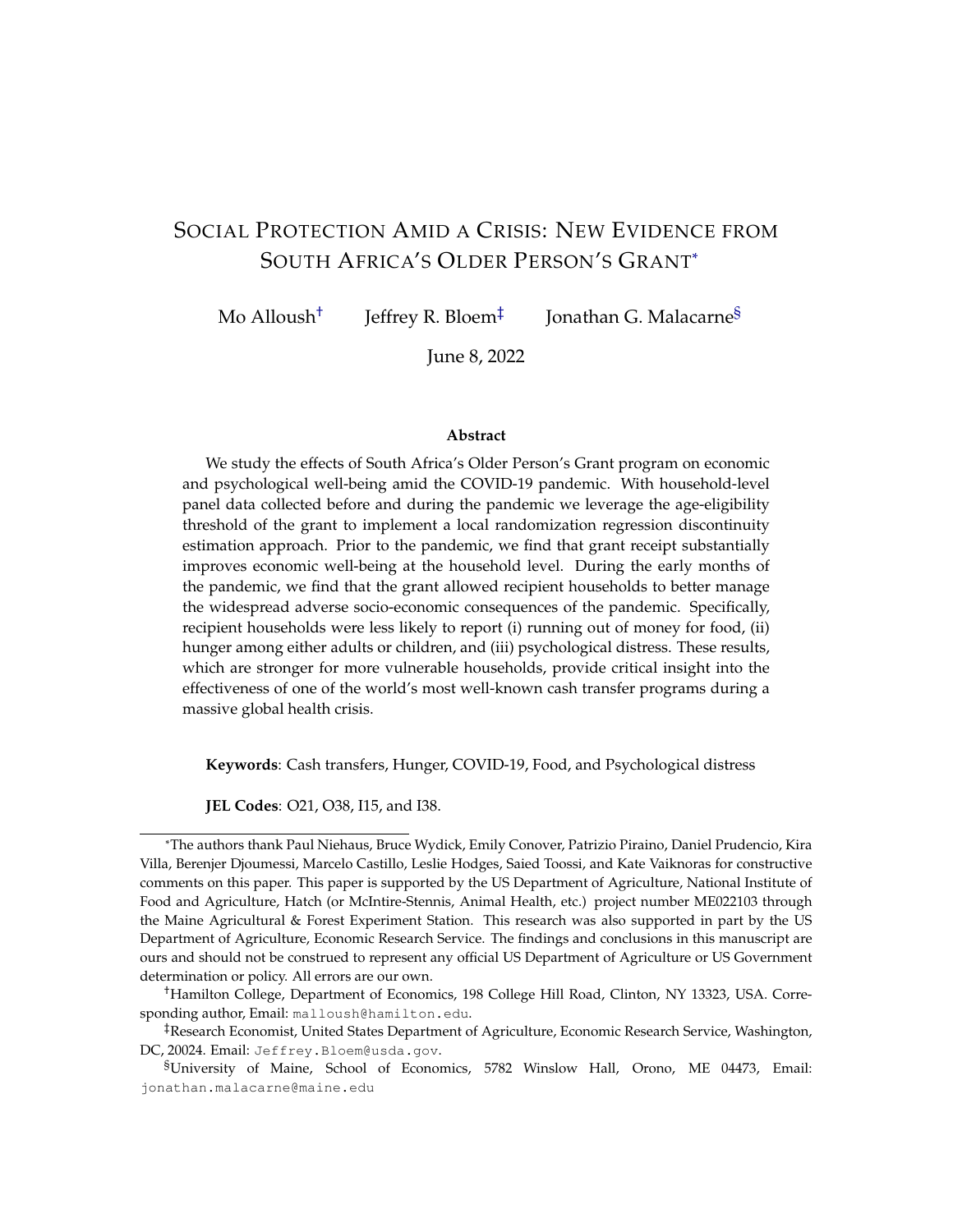# <span id="page-0-0"></span>SOCIAL PROTECTION AMID A CRISIS: NEW EVIDENCE FROM SOUTH AFRICA'S OLDER PERSON'S GRANT\*

Mo Alloush<sup>†</sup> Jeffrey R. Bloem‡ Jonathan G. Malacarne§

June 8, 2022

#### **Abstract**

We study the effects of South Africa's Older Person's Grant program on economic and psychological well-being amid the COVID-19 pandemic. With household-level panel data collected before and during the pandemic we leverage the age-eligibility threshold of the grant to implement a local randomization regression discontinuity estimation approach. Prior to the pandemic, we find that grant receipt substantially improves economic well-being at the household level. During the early months of the pandemic, we find that the grant allowed recipient households to better manage the widespread adverse socio-economic consequences of the pandemic. Specifically, recipient households were less likely to report (i) running out of money for food, (ii) hunger among either adults or children, and (iii) psychological distress. These results, which are stronger for more vulnerable households, provide critical insight into the effectiveness of one of the world's most well-known cash transfer programs during a massive global health crisis.

**Keywords**: Cash transfers, Hunger, COVID-19, Food, and Psychological distress

**JEL Codes**: O21, O38, I15, and I38.

<sup>\*</sup>The authors thank Paul Niehaus, Bruce Wydick, Emily Conover, Patrizio Piraino, Daniel Prudencio, Kira Villa, Berenjer Djoumessi, Marcelo Castillo, Leslie Hodges, Saied Toossi, and Kate Vaiknoras for constructive comments on this paper. This paper is supported by the US Department of Agriculture, National Institute of Food and Agriculture, Hatch (or McIntire-Stennis, Animal Health, etc.) project number ME022103 through the Maine Agricultural & Forest Experiment Station. This research was also supported in part by the US Department of Agriculture, Economic Research Service. The findings and conclusions in this manuscript are ours and should not be construed to represent any official US Department of Agriculture or US Government determination or policy. All errors are our own.

<sup>†</sup>Hamilton College, Department of Economics, 198 College Hill Road, Clinton, NY 13323, USA. Corresponding author, Email: malloush@hamilton.edu.

<sup>‡</sup>Research Economist, United States Department of Agriculture, Economic Research Service, Washington, DC, 20024. Email: Jeffrey.Bloem@usda.gov.

<sup>§</sup>University of Maine, School of Economics, 5782 Winslow Hall, Orono, ME 04473, Email: jonathan.malacarne@maine.edu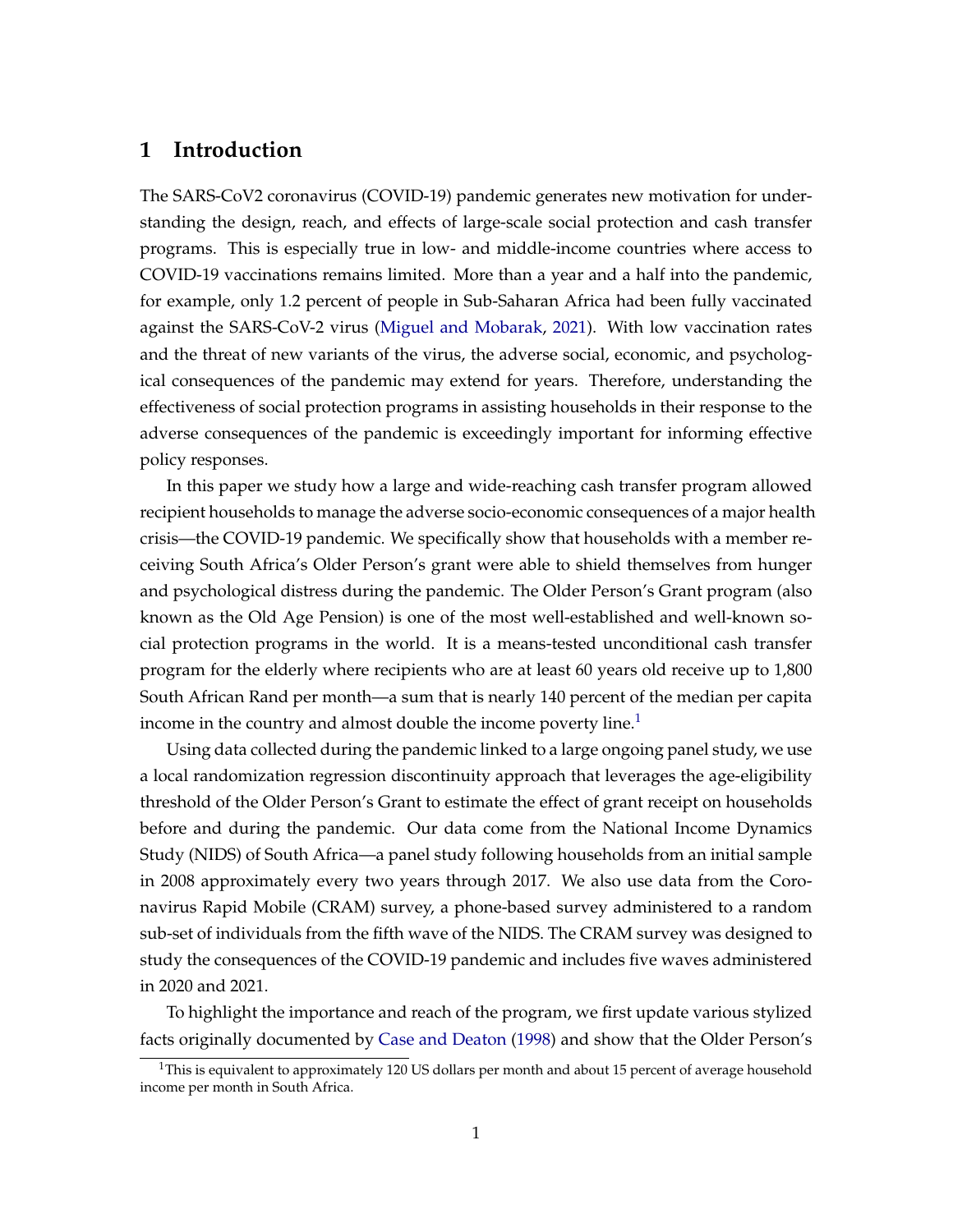## **1 Introduction**

The SARS-CoV2 coronavirus (COVID-19) pandemic generates new motivation for understanding the design, reach, and effects of large-scale social protection and cash transfer programs. This is especially true in low- and middle-income countries where access to COVID-19 vaccinations remains limited. More than a year and a half into the pandemic, for example, only 1.2 percent of people in Sub-Saharan Africa had been fully vaccinated against the SARS-CoV-2 virus [\(Miguel and Mobarak,](#page-27-0) [2021\)](#page-27-0). With low vaccination rates and the threat of new variants of the virus, the adverse social, economic, and psychological consequences of the pandemic may extend for years. Therefore, understanding the effectiveness of social protection programs in assisting households in their response to the adverse consequences of the pandemic is exceedingly important for informing effective policy responses.

In this paper we study how a large and wide-reaching cash transfer program allowed recipient households to manage the adverse socio-economic consequences of a major health crisis—the COVID-19 pandemic. We specifically show that households with a member receiving South Africa's Older Person's grant were able to shield themselves from hunger and psychological distress during the pandemic. The Older Person's Grant program (also known as the Old Age Pension) is one of the most well-established and well-known social protection programs in the world. It is a means-tested unconditional cash transfer program for the elderly where recipients who are at least 60 years old receive up to 1,800 South African Rand per month—a sum that is nearly 140 percent of the median per capita income in the country and almost double the income poverty line. $<sup>1</sup>$  $<sup>1</sup>$  $<sup>1</sup>$ </sup>

Using data collected during the pandemic linked to a large ongoing panel study, we use a local randomization regression discontinuity approach that leverages the age-eligibility threshold of the Older Person's Grant to estimate the effect of grant receipt on households before and during the pandemic. Our data come from the National Income Dynamics Study (NIDS) of South Africa—a panel study following households from an initial sample in 2008 approximately every two years through 2017. We also use data from the Coronavirus Rapid Mobile (CRAM) survey, a phone-based survey administered to a random sub-set of individuals from the fifth wave of the NIDS. The CRAM survey was designed to study the consequences of the COVID-19 pandemic and includes five waves administered in 2020 and 2021.

To highlight the importance and reach of the program, we first update various stylized facts originally documented by [Case and Deaton](#page-25-0) [\(1998\)](#page-25-0) and show that the Older Person's

 $1$ This is equivalent to approximately 120 US dollars per month and about 15 percent of average household income per month in South Africa.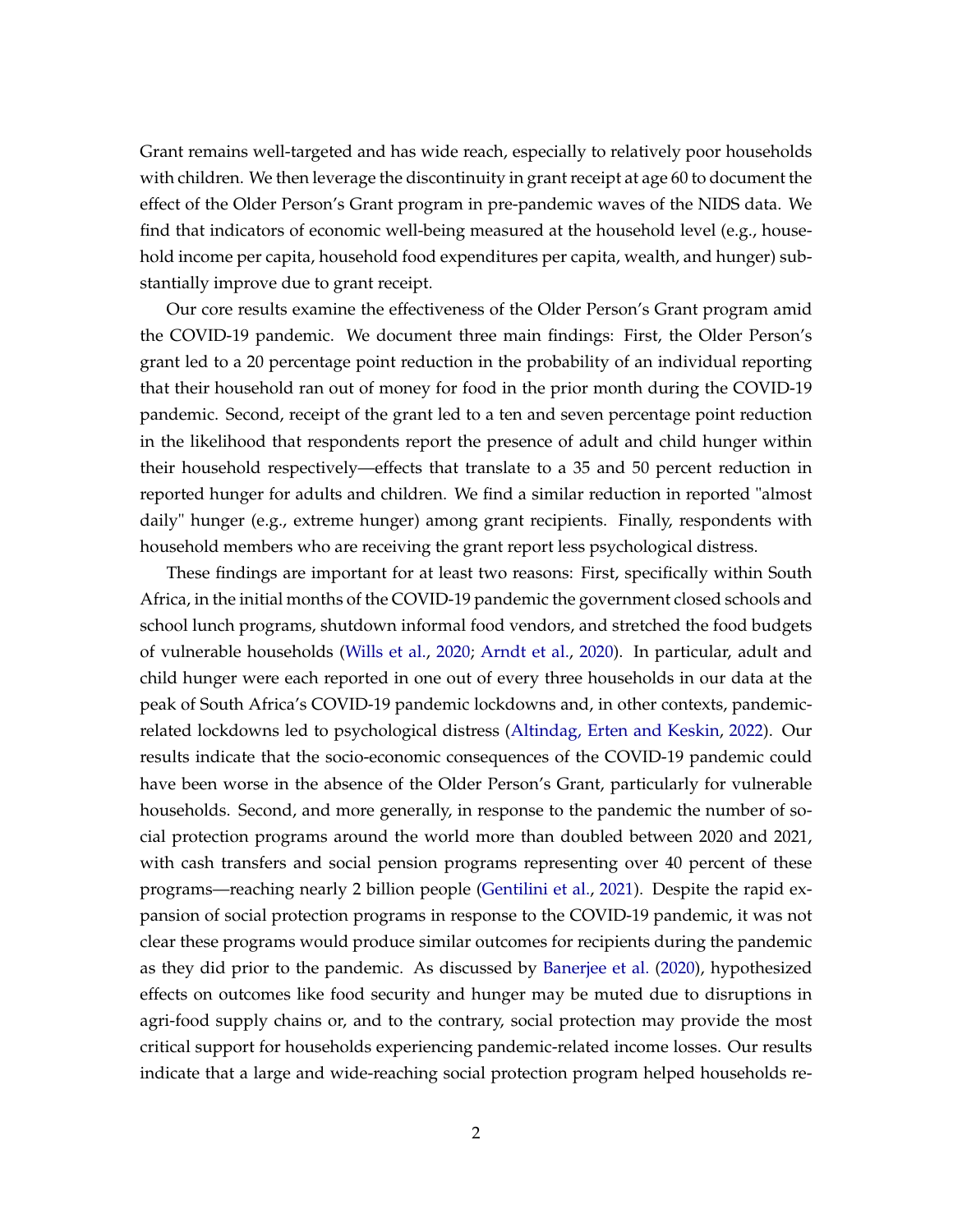Grant remains well-targeted and has wide reach, especially to relatively poor households with children. We then leverage the discontinuity in grant receipt at age 60 to document the effect of the Older Person's Grant program in pre-pandemic waves of the NIDS data. We find that indicators of economic well-being measured at the household level (e.g., household income per capita, household food expenditures per capita, wealth, and hunger) substantially improve due to grant receipt.

Our core results examine the effectiveness of the Older Person's Grant program amid the COVID-19 pandemic. We document three main findings: First, the Older Person's grant led to a 20 percentage point reduction in the probability of an individual reporting that their household ran out of money for food in the prior month during the COVID-19 pandemic. Second, receipt of the grant led to a ten and seven percentage point reduction in the likelihood that respondents report the presence of adult and child hunger within their household respectively—effects that translate to a 35 and 50 percent reduction in reported hunger for adults and children. We find a similar reduction in reported "almost daily" hunger (e.g., extreme hunger) among grant recipients. Finally, respondents with household members who are receiving the grant report less psychological distress.

These findings are important for at least two reasons: First, specifically within South Africa, in the initial months of the COVID-19 pandemic the government closed schools and school lunch programs, shutdown informal food vendors, and stretched the food budgets of vulnerable households [\(Wills et al.,](#page-27-1) [2020;](#page-27-1) [Arndt et al.,](#page-25-1) [2020\)](#page-25-1). In particular, adult and child hunger were each reported in one out of every three households in our data at the peak of South Africa's COVID-19 pandemic lockdowns and, in other contexts, pandemicrelated lockdowns led to psychological distress [\(Altindag, Erten and Keskin,](#page-25-2) [2022\)](#page-25-2). Our results indicate that the socio-economic consequences of the COVID-19 pandemic could have been worse in the absence of the Older Person's Grant, particularly for vulnerable households. Second, and more generally, in response to the pandemic the number of social protection programs around the world more than doubled between 2020 and 2021, with cash transfers and social pension programs representing over 40 percent of these programs—reaching nearly 2 billion people [\(Gentilini et al.,](#page-26-0) [2021\)](#page-26-0). Despite the rapid expansion of social protection programs in response to the COVID-19 pandemic, it was not clear these programs would produce similar outcomes for recipients during the pandemic as they did prior to the pandemic. As discussed by [Banerjee et al.](#page-25-3) [\(2020\)](#page-25-3), hypothesized effects on outcomes like food security and hunger may be muted due to disruptions in agri-food supply chains or, and to the contrary, social protection may provide the most critical support for households experiencing pandemic-related income losses. Our results indicate that a large and wide-reaching social protection program helped households re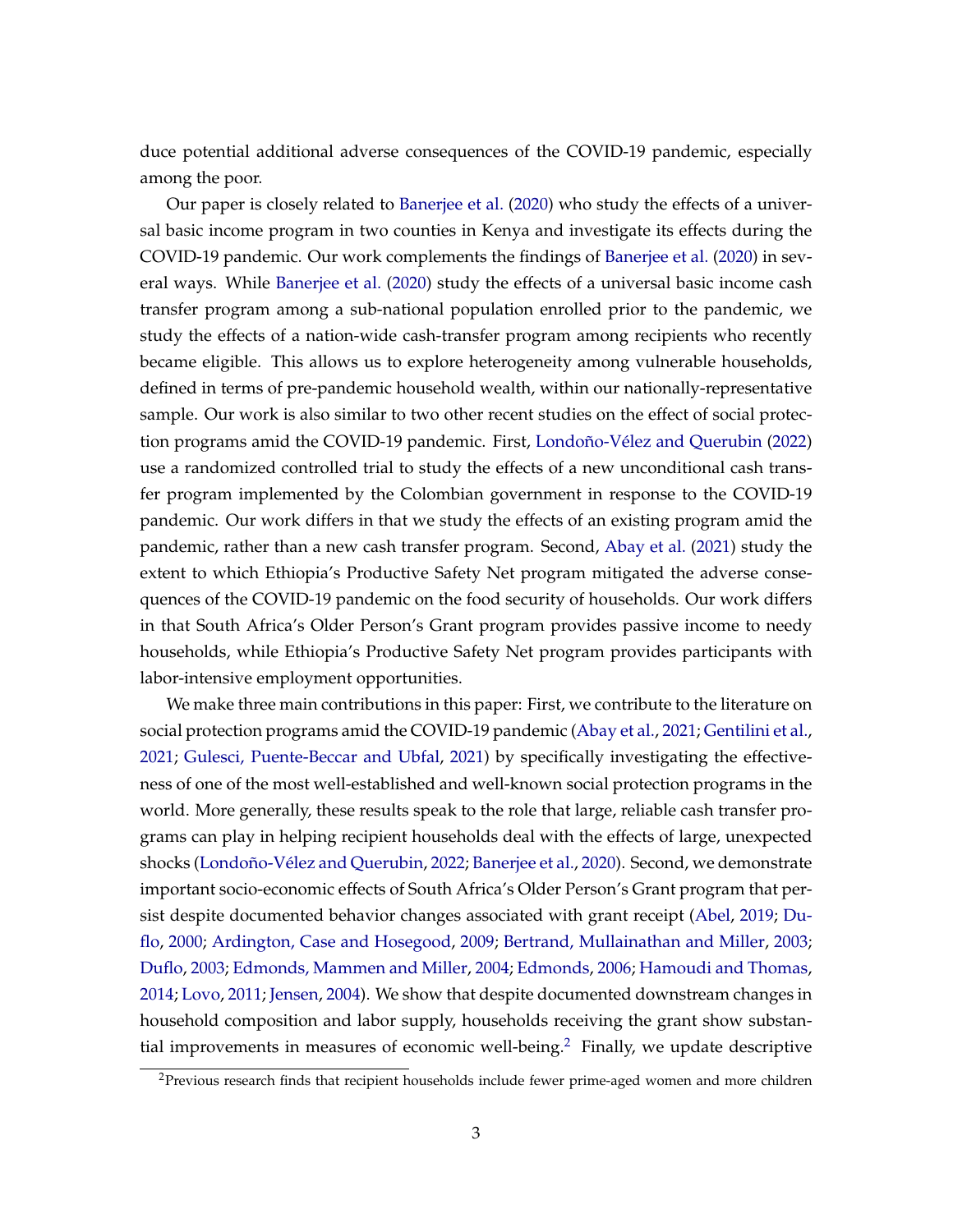duce potential additional adverse consequences of the COVID-19 pandemic, especially among the poor.

Our paper is closely related to [Banerjee et al.](#page-25-3) [\(2020\)](#page-25-3) who study the effects of a universal basic income program in two counties in Kenya and investigate its effects during the COVID-19 pandemic. Our work complements the findings of [Banerjee et al.](#page-25-3) [\(2020\)](#page-25-3) in several ways. While [Banerjee et al.](#page-25-3) [\(2020\)](#page-25-3) study the effects of a universal basic income cash transfer program among a sub-national population enrolled prior to the pandemic, we study the effects of a nation-wide cash-transfer program among recipients who recently became eligible. This allows us to explore heterogeneity among vulnerable households, defined in terms of pre-pandemic household wealth, within our nationally-representative sample. Our work is also similar to two other recent studies on the effect of social protection programs amid the COVID-19 pandemic. First, [Londoño-Vélez and Querubin](#page-27-2) [\(2022\)](#page-27-2) use a randomized controlled trial to study the effects of a new unconditional cash transfer program implemented by the Colombian government in response to the COVID-19 pandemic. Our work differs in that we study the effects of an existing program amid the pandemic, rather than a new cash transfer program. Second, [Abay et al.](#page-25-4) [\(2021\)](#page-25-4) study the extent to which Ethiopia's Productive Safety Net program mitigated the adverse consequences of the COVID-19 pandemic on the food security of households. Our work differs in that South Africa's Older Person's Grant program provides passive income to needy households, while Ethiopia's Productive Safety Net program provides participants with labor-intensive employment opportunities.

We make three main contributions in this paper: First, we contribute to the literature on social protection programs amid the COVID-19 pandemic [\(Abay et al.,](#page-25-4) [2021;](#page-25-4) [Gentilini et al.,](#page-26-0) [2021;](#page-26-0) [Gulesci, Puente-Beccar and Ubfal,](#page-26-1) [2021\)](#page-26-1) by specifically investigating the effectiveness of one of the most well-established and well-known social protection programs in the world. More generally, these results speak to the role that large, reliable cash transfer programs can play in helping recipient households deal with the effects of large, unexpected shocks [\(Londoño-Vélez and Querubin,](#page-27-2) [2022;](#page-27-2) [Banerjee et al.,](#page-25-3) [2020\)](#page-25-3). Second, we demonstrate important socio-economic effects of South Africa's Older Person's Grant program that persist despite documented behavior changes associated with grant receipt [\(Abel,](#page-25-5) [2019;](#page-25-5) [Du](#page-26-2)[flo,](#page-26-2) [2000;](#page-26-2) [Ardington, Case and Hosegood,](#page-25-6) [2009;](#page-25-6) [Bertrand, Mullainathan and Miller,](#page-25-7) [2003;](#page-25-7) [Duflo,](#page-26-3) [2003;](#page-26-3) [Edmonds, Mammen and Miller,](#page-26-4) [2004;](#page-26-4) [Edmonds,](#page-26-5) [2006;](#page-26-5) [Hamoudi and Thomas,](#page-26-6) [2014;](#page-26-6) [Lovo,](#page-27-3) [2011;](#page-27-3) [Jensen,](#page-26-7) [2004\)](#page-26-7). We show that despite documented downstream changes in household composition and labor supply, households receiving the grant show substan-tial improvements in measures of economic well-being.<sup>[2](#page-0-0)</sup> Finally, we update descriptive

<sup>&</sup>lt;sup>2</sup>Previous research finds that recipient households include fewer prime-aged women and more children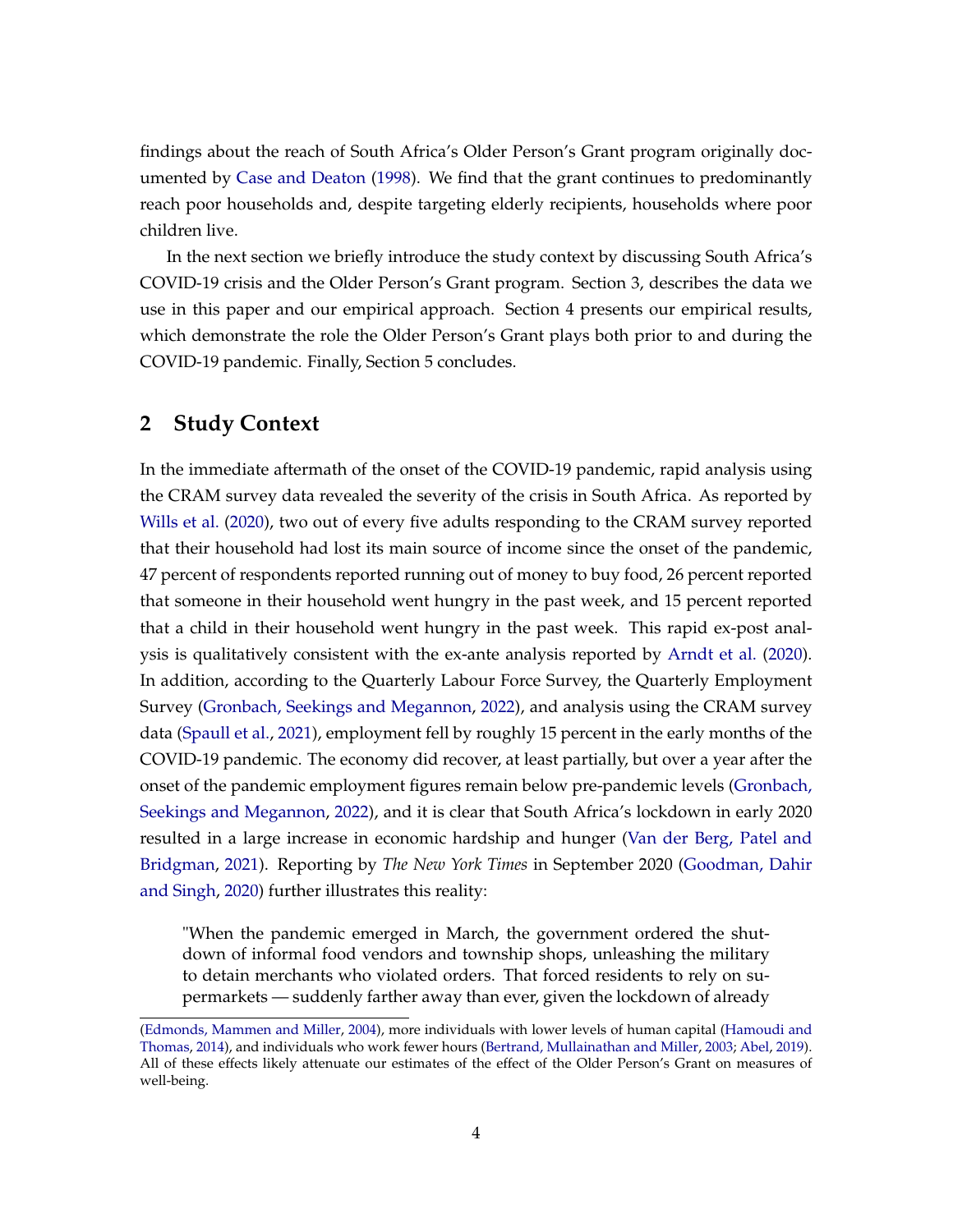findings about the reach of South Africa's Older Person's Grant program originally documented by [Case and Deaton](#page-25-0) [\(1998\)](#page-25-0). We find that the grant continues to predominantly reach poor households and, despite targeting elderly recipients, households where poor children live.

In the next section we briefly introduce the study context by discussing South Africa's COVID-19 crisis and the Older Person's Grant program. Section 3, describes the data we use in this paper and our empirical approach. Section 4 presents our empirical results, which demonstrate the role the Older Person's Grant plays both prior to and during the COVID-19 pandemic. Finally, Section 5 concludes.

## **2 Study Context**

In the immediate aftermath of the onset of the COVID-19 pandemic, rapid analysis using the CRAM survey data revealed the severity of the crisis in South Africa. As reported by [Wills et al.](#page-27-1) [\(2020\)](#page-27-1), two out of every five adults responding to the CRAM survey reported that their household had lost its main source of income since the onset of the pandemic, 47 percent of respondents reported running out of money to buy food, 26 percent reported that someone in their household went hungry in the past week, and 15 percent reported that a child in their household went hungry in the past week. This rapid ex-post analysis is qualitatively consistent with the ex-ante analysis reported by [Arndt et al.](#page-25-1) [\(2020\)](#page-25-1). In addition, according to the Quarterly Labour Force Survey, the Quarterly Employment Survey [\(Gronbach, Seekings and Megannon,](#page-26-8) [2022\)](#page-26-8), and analysis using the CRAM survey data [\(Spaull et al.,](#page-27-4) [2021\)](#page-27-4), employment fell by roughly 15 percent in the early months of the COVID-19 pandemic. The economy did recover, at least partially, but over a year after the onset of the pandemic employment figures remain below pre-pandemic levels [\(Gronbach,](#page-26-8) [Seekings and Megannon,](#page-26-8) [2022\)](#page-26-8), and it is clear that South Africa's lockdown in early 2020 resulted in a large increase in economic hardship and hunger [\(Van der Berg, Patel and](#page-27-5) [Bridgman,](#page-27-5) [2021\)](#page-27-5). Reporting by *The New York Times* in September 2020 [\(Goodman, Dahir](#page-26-9) [and Singh,](#page-26-9) [2020\)](#page-26-9) further illustrates this reality:

"When the pandemic emerged in March, the government ordered the shutdown of informal food vendors and township shops, unleashing the military to detain merchants who violated orders. That forced residents to rely on supermarkets — suddenly farther away than ever, given the lockdown of already

[<sup>\(</sup>Edmonds, Mammen and Miller,](#page-26-4) [2004\)](#page-26-4), more individuals with lower levels of human capital [\(Hamoudi and](#page-26-6) [Thomas,](#page-26-6) [2014\)](#page-26-6), and individuals who work fewer hours [\(Bertrand, Mullainathan and Miller,](#page-25-7) [2003;](#page-25-7) [Abel,](#page-25-5) [2019\)](#page-25-5). All of these effects likely attenuate our estimates of the effect of the Older Person's Grant on measures of well-being.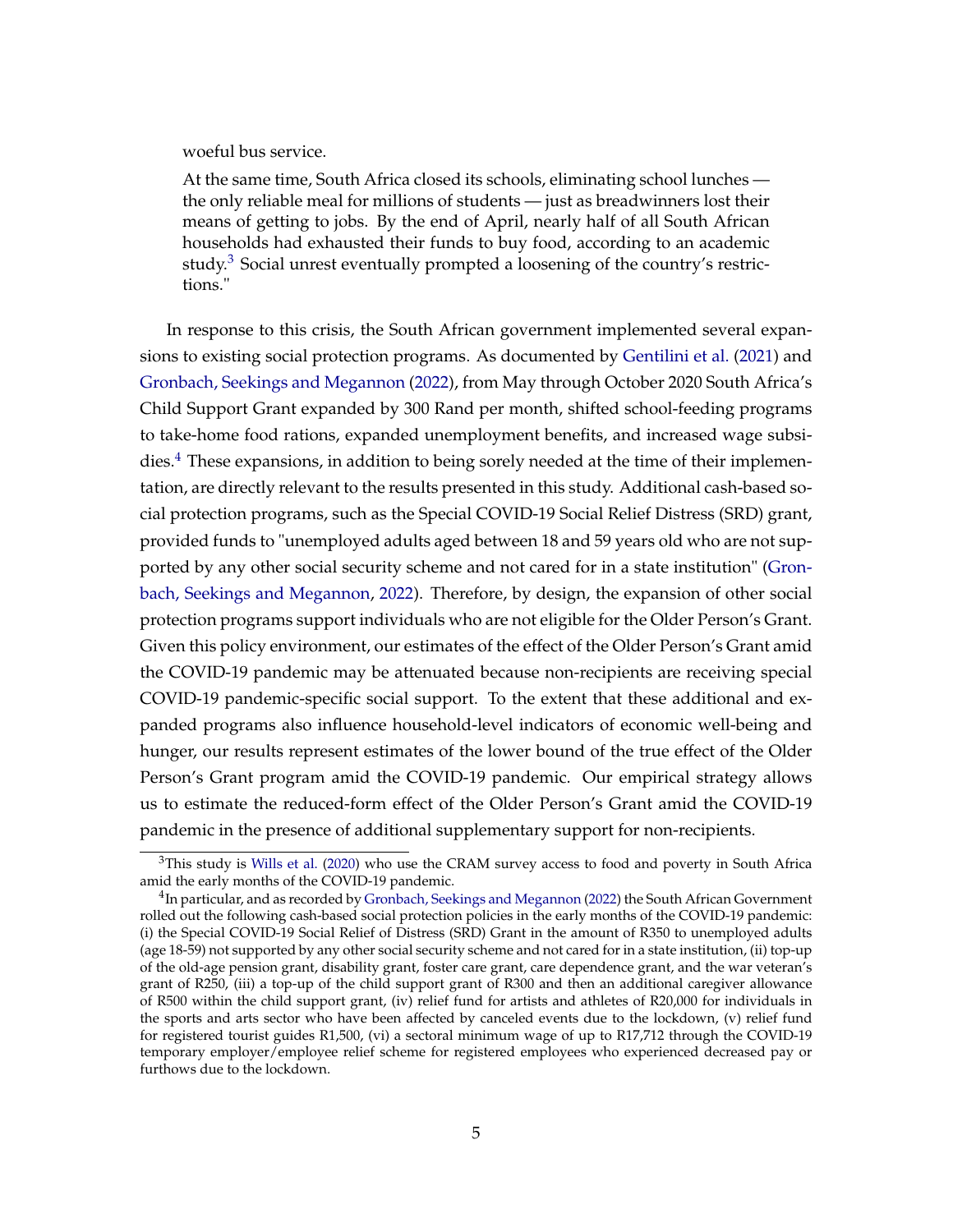woeful bus service.

At the same time, South Africa closed its schools, eliminating school lunches the only reliable meal for millions of students — just as breadwinners lost their means of getting to jobs. By the end of April, nearly half of all South African households had exhausted their funds to buy food, according to an academic study. $3$  Social unrest eventually prompted a loosening of the country's restrictions."

In response to this crisis, the South African government implemented several expansions to existing social protection programs. As documented by [Gentilini et al.](#page-26-0) [\(2021\)](#page-26-0) and [Gronbach, Seekings and Megannon](#page-26-8) [\(2022\)](#page-26-8), from May through October 2020 South Africa's Child Support Grant expanded by 300 Rand per month, shifted school-feeding programs to take-home food rations, expanded unemployment benefits, and increased wage subsidies. $4$  These expansions, in addition to being sorely needed at the time of their implementation, are directly relevant to the results presented in this study. Additional cash-based social protection programs, such as the Special COVID-19 Social Relief Distress (SRD) grant, provided funds to "unemployed adults aged between 18 and 59 years old who are not supported by any other social security scheme and not cared for in a state institution" [\(Gron](#page-26-8)[bach, Seekings and Megannon,](#page-26-8) [2022\)](#page-26-8). Therefore, by design, the expansion of other social protection programs support individuals who are not eligible for the Older Person's Grant. Given this policy environment, our estimates of the effect of the Older Person's Grant amid the COVID-19 pandemic may be attenuated because non-recipients are receiving special COVID-19 pandemic-specific social support. To the extent that these additional and expanded programs also influence household-level indicators of economic well-being and hunger, our results represent estimates of the lower bound of the true effect of the Older Person's Grant program amid the COVID-19 pandemic. Our empirical strategy allows us to estimate the reduced-form effect of the Older Person's Grant amid the COVID-19 pandemic in the presence of additional supplementary support for non-recipients.

 $3$ This study is [Wills et al.](#page-27-1) [\(2020\)](#page-27-1) who use the CRAM survey access to food and poverty in South Africa amid the early months of the COVID-19 pandemic.

 $^4$ In particular, and as recorded by [Gronbach, Seekings and Megannon](#page-26-8) [\(2022\)](#page-26-8) the South African Government rolled out the following cash-based social protection policies in the early months of the COVID-19 pandemic: (i) the Special COVID-19 Social Relief of Distress (SRD) Grant in the amount of R350 to unemployed adults (age 18-59) not supported by any other social security scheme and not cared for in a state institution, (ii) top-up of the old-age pension grant, disability grant, foster care grant, care dependence grant, and the war veteran's grant of R250, (iii) a top-up of the child support grant of R300 and then an additional caregiver allowance of R500 within the child support grant, (iv) relief fund for artists and athletes of R20,000 for individuals in the sports and arts sector who have been affected by canceled events due to the lockdown, (v) relief fund for registered tourist guides R1,500, (vi) a sectoral minimum wage of up to R17,712 through the COVID-19 temporary employer/employee relief scheme for registered employees who experienced decreased pay or furthows due to the lockdown.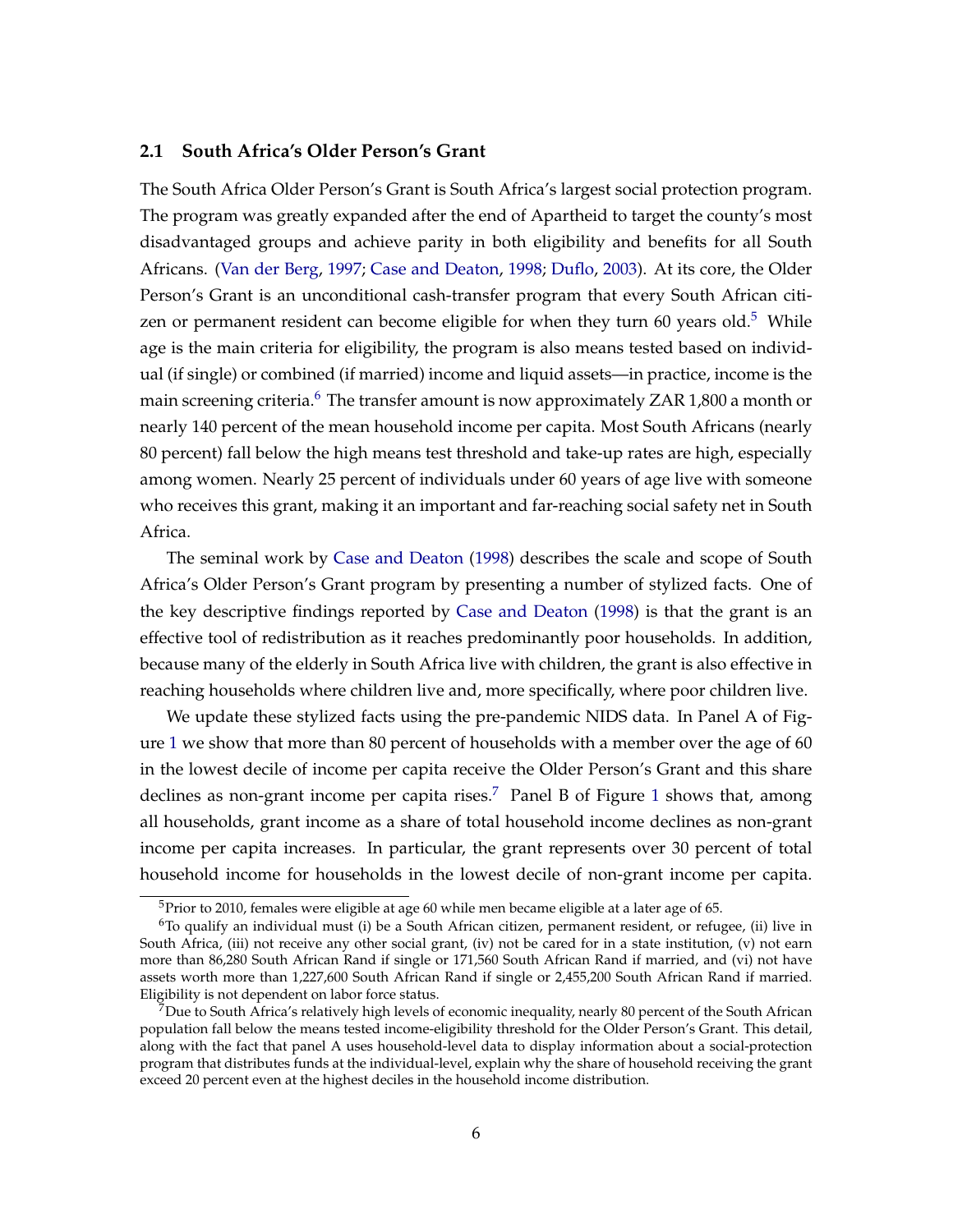#### **2.1 South Africa's Older Person's Grant**

The South Africa Older Person's Grant is South Africa's largest social protection program. The program was greatly expanded after the end of Apartheid to target the county's most disadvantaged groups and achieve parity in both eligibility and benefits for all South Africans. [\(Van der Berg,](#page-27-6) [1997;](#page-27-6) [Case and Deaton,](#page-25-0) [1998;](#page-25-0) [Duflo,](#page-26-3) [2003\)](#page-26-3). At its core, the Older Person's Grant is an unconditional cash-transfer program that every South African citi-zen or permanent resident can become eligible for when they turn 60 years old.<sup>[5](#page-0-0)</sup> While age is the main criteria for eligibility, the program is also means tested based on individual (if single) or combined (if married) income and liquid assets—in practice, income is the main screening criteria.<sup>[6](#page-0-0)</sup> The transfer amount is now approximately ZAR 1,800 a month or nearly 140 percent of the mean household income per capita. Most South Africans (nearly 80 percent) fall below the high means test threshold and take-up rates are high, especially among women. Nearly 25 percent of individuals under 60 years of age live with someone who receives this grant, making it an important and far-reaching social safety net in South Africa.

The seminal work by [Case and Deaton](#page-25-0) [\(1998\)](#page-25-0) describes the scale and scope of South Africa's Older Person's Grant program by presenting a number of stylized facts. One of the key descriptive findings reported by [Case and Deaton](#page-25-0) [\(1998\)](#page-25-0) is that the grant is an effective tool of redistribution as it reaches predominantly poor households. In addition, because many of the elderly in South Africa live with children, the grant is also effective in reaching households where children live and, more specifically, where poor children live.

We update these stylized facts using the pre-pandemic NIDS data. In Panel A of Figure [1](#page-7-0) we show that more than 80 percent of households with a member over the age of 60 in the lowest decile of income per capita receive the Older Person's Grant and this share declines as non-grant income per capita rises.<sup>[7](#page-0-0)</sup> Panel B of Figure [1](#page-7-0) shows that, among all households, grant income as a share of total household income declines as non-grant income per capita increases. In particular, the grant represents over 30 percent of total household income for households in the lowest decile of non-grant income per capita.

<sup>&</sup>lt;sup>5</sup>Prior to 2010, females were eligible at age 60 while men became eligible at a later age of 65.

 $6$ To qualify an individual must (i) be a South African citizen, permanent resident, or refugee, (ii) live in South Africa, (iii) not receive any other social grant, (iv) not be cared for in a state institution, (v) not earn more than 86,280 South African Rand if single or 171,560 South African Rand if married, and (vi) not have assets worth more than 1,227,600 South African Rand if single or 2,455,200 South African Rand if married. Eligibility is not dependent on labor force status.

<sup>7</sup>Due to South Africa's relatively high levels of economic inequality, nearly 80 percent of the South African population fall below the means tested income-eligibility threshold for the Older Person's Grant. This detail, along with the fact that panel A uses household-level data to display information about a social-protection program that distributes funds at the individual-level, explain why the share of household receiving the grant exceed 20 percent even at the highest deciles in the household income distribution.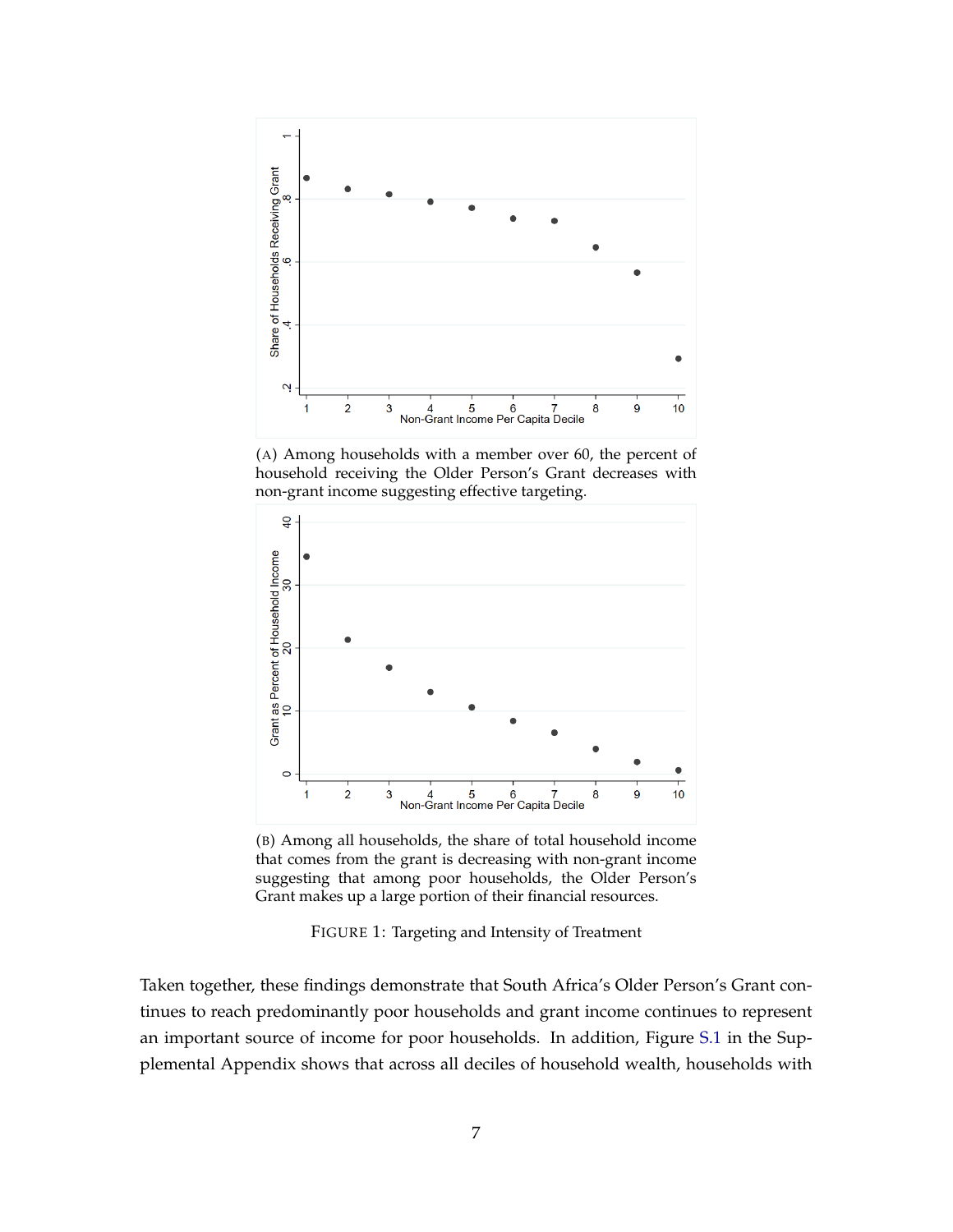<span id="page-7-0"></span>

(A) Among households with a member over 60, the percent of household receiving the Older Person's Grant decreases with non-grant income suggesting effective targeting.



(B) Among all households, the share of total household income that comes from the grant is decreasing with non-grant income suggesting that among poor households, the Older Person's Grant makes up a large portion of their financial resources.

FIGURE 1: Targeting and Intensity of Treatment

Taken together, these findings demonstrate that South Africa's Older Person's Grant continues to reach predominantly poor households and grant income continues to represent an important source of income for poor households. In addition, Figure [S.1](#page-38-0) in the Supplemental Appendix shows that across all deciles of household wealth, households with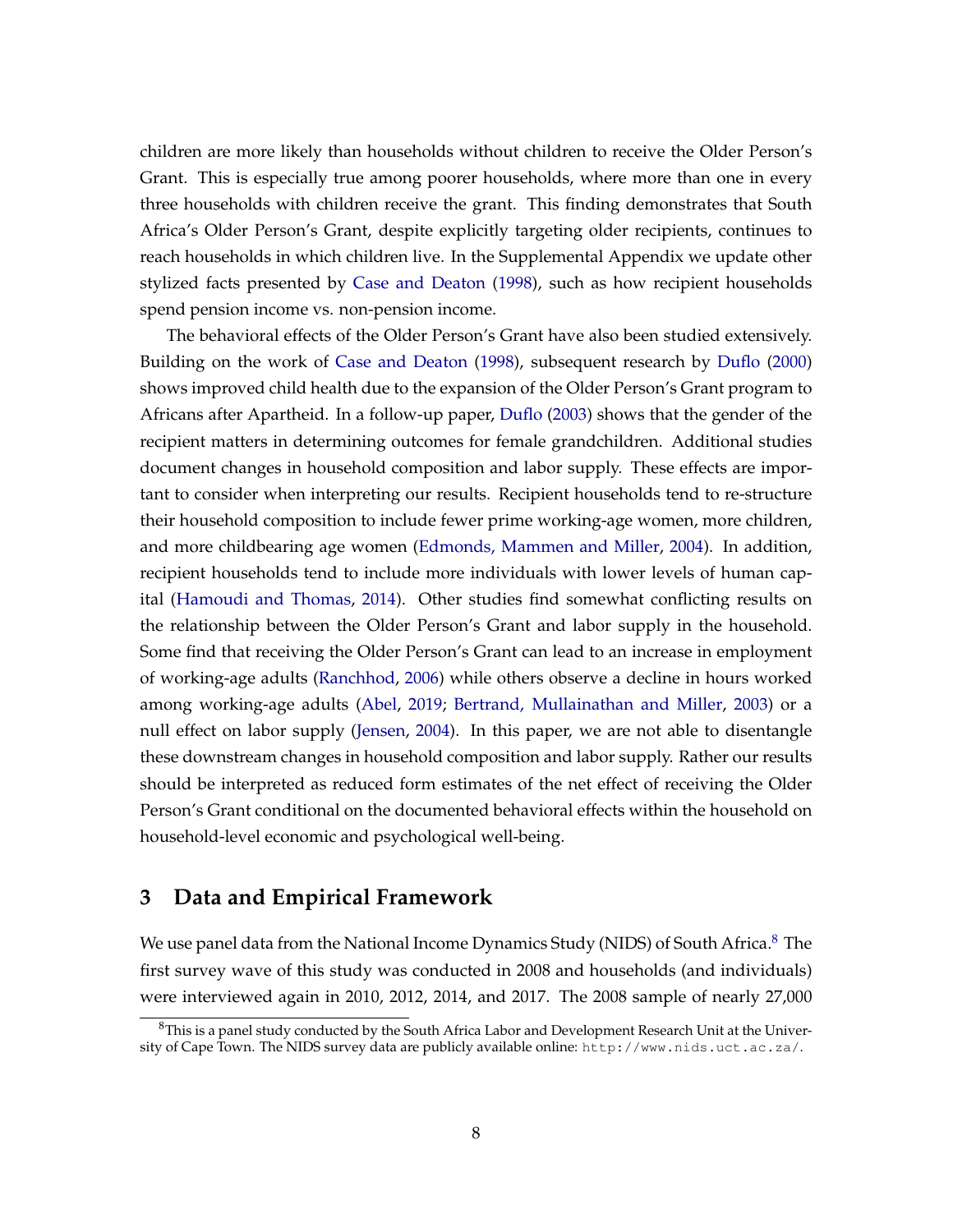children are more likely than households without children to receive the Older Person's Grant. This is especially true among poorer households, where more than one in every three households with children receive the grant. This finding demonstrates that South Africa's Older Person's Grant, despite explicitly targeting older recipients, continues to reach households in which children live. In the Supplemental Appendix we update other stylized facts presented by [Case and Deaton](#page-25-0) [\(1998\)](#page-25-0), such as how recipient households spend pension income vs. non-pension income.

The behavioral effects of the Older Person's Grant have also been studied extensively. Building on the work of [Case and Deaton](#page-25-0) [\(1998\)](#page-25-0), subsequent research by [Duflo](#page-26-2) [\(2000\)](#page-26-2) shows improved child health due to the expansion of the Older Person's Grant program to Africans after Apartheid. In a follow-up paper, [Duflo](#page-26-3) [\(2003\)](#page-26-3) shows that the gender of the recipient matters in determining outcomes for female grandchildren. Additional studies document changes in household composition and labor supply. These effects are important to consider when interpreting our results. Recipient households tend to re-structure their household composition to include fewer prime working-age women, more children, and more childbearing age women [\(Edmonds, Mammen and Miller,](#page-26-4) [2004\)](#page-26-4). In addition, recipient households tend to include more individuals with lower levels of human capital [\(Hamoudi and Thomas,](#page-26-6) [2014\)](#page-26-6). Other studies find somewhat conflicting results on the relationship between the Older Person's Grant and labor supply in the household. Some find that receiving the Older Person's Grant can lead to an increase in employment of working-age adults [\(Ranchhod,](#page-27-7) [2006\)](#page-27-7) while others observe a decline in hours worked among working-age adults [\(Abel,](#page-25-5) [2019;](#page-25-5) [Bertrand, Mullainathan and Miller,](#page-25-7) [2003\)](#page-25-7) or a null effect on labor supply [\(Jensen,](#page-26-7) [2004\)](#page-26-7). In this paper, we are not able to disentangle these downstream changes in household composition and labor supply. Rather our results should be interpreted as reduced form estimates of the net effect of receiving the Older Person's Grant conditional on the documented behavioral effects within the household on household-level economic and psychological well-being.

## **3 Data and Empirical Framework**

We use panel data from the National Income Dynamics Study (NIDS) of South Africa.<sup>[8](#page-0-0)</sup> The first survey wave of this study was conducted in 2008 and households (and individuals) were interviewed again in 2010, 2012, 2014, and 2017. The 2008 sample of nearly 27,000

 $8$ This is a panel study conducted by the South Africa Labor and Development Research Unit at the University of Cape Town. The NIDS survey data are publicly available online: http://www.nids.uct.ac.za/.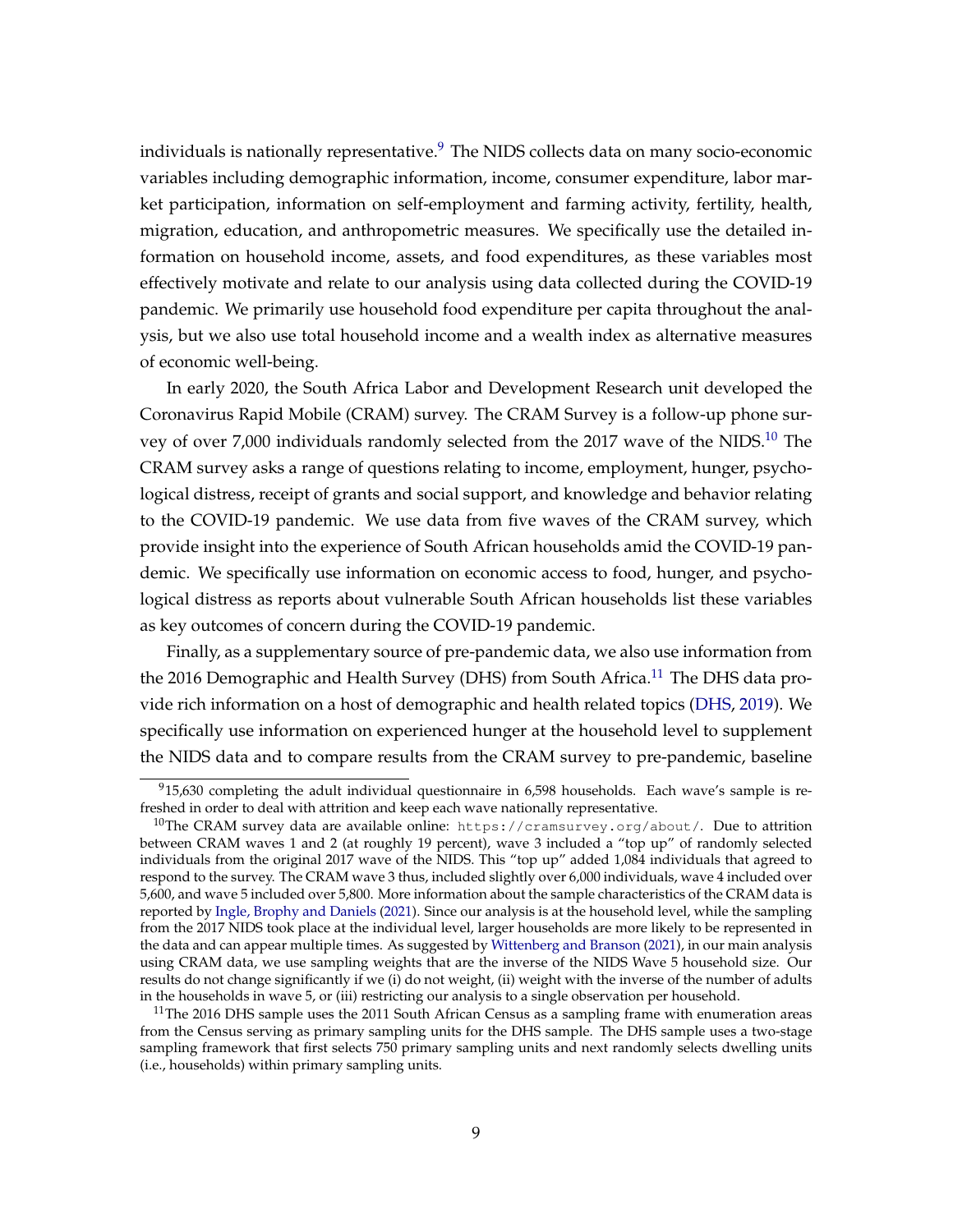individuals is nationally representative.<sup>[9](#page-0-0)</sup> The NIDS collects data on many socio-economic variables including demographic information, income, consumer expenditure, labor market participation, information on self-employment and farming activity, fertility, health, migration, education, and anthropometric measures. We specifically use the detailed information on household income, assets, and food expenditures, as these variables most effectively motivate and relate to our analysis using data collected during the COVID-19 pandemic. We primarily use household food expenditure per capita throughout the analysis, but we also use total household income and a wealth index as alternative measures of economic well-being.

In early 2020, the South Africa Labor and Development Research unit developed the Coronavirus Rapid Mobile (CRAM) survey. The CRAM Survey is a follow-up phone sur-vey of over 7,000 individuals randomly selected from the 2017 wave of the NIDS.<sup>[10](#page-0-0)</sup> The CRAM survey asks a range of questions relating to income, employment, hunger, psychological distress, receipt of grants and social support, and knowledge and behavior relating to the COVID-19 pandemic. We use data from five waves of the CRAM survey, which provide insight into the experience of South African households amid the COVID-19 pandemic. We specifically use information on economic access to food, hunger, and psychological distress as reports about vulnerable South African households list these variables as key outcomes of concern during the COVID-19 pandemic.

Finally, as a supplementary source of pre-pandemic data, we also use information from the 2016 Demographic and Health Survey (DHS) from South Africa.<sup>[11](#page-0-0)</sup> The DHS data provide rich information on a host of demographic and health related topics [\(DHS,](#page-25-8) [2019\)](#page-25-8). We specifically use information on experienced hunger at the household level to supplement the NIDS data and to compare results from the CRAM survey to pre-pandemic, baseline

 $915,630$  completing the adult individual questionnaire in 6,598 households. Each wave's sample is refreshed in order to deal with attrition and keep each wave nationally representative.

<sup>&</sup>lt;sup>10</sup>The CRAM survey data are available online: https://cramsurvey.org/about/. Due to attrition between CRAM waves 1 and 2 (at roughly 19 percent), wave 3 included a "top up" of randomly selected individuals from the original 2017 wave of the NIDS. This "top up" added 1,084 individuals that agreed to respond to the survey. The CRAM wave 3 thus, included slightly over 6,000 individuals, wave 4 included over 5,600, and wave 5 included over 5,800. More information about the sample characteristics of the CRAM data is reported by [Ingle, Brophy and Daniels](#page-26-10) [\(2021\)](#page-26-10). Since our analysis is at the household level, while the sampling from the 2017 NIDS took place at the individual level, larger households are more likely to be represented in the data and can appear multiple times. As suggested by [Wittenberg and Branson](#page-27-8) [\(2021\)](#page-27-8), in our main analysis using CRAM data, we use sampling weights that are the inverse of the NIDS Wave 5 household size. Our results do not change significantly if we (i) do not weight, (ii) weight with the inverse of the number of adults in the households in wave 5, or (iii) restricting our analysis to a single observation per household.

<sup>&</sup>lt;sup>11</sup>The 2016 DHS sample uses the 2011 South African Census as a sampling frame with enumeration areas from the Census serving as primary sampling units for the DHS sample. The DHS sample uses a two-stage sampling framework that first selects 750 primary sampling units and next randomly selects dwelling units (i.e., households) within primary sampling units.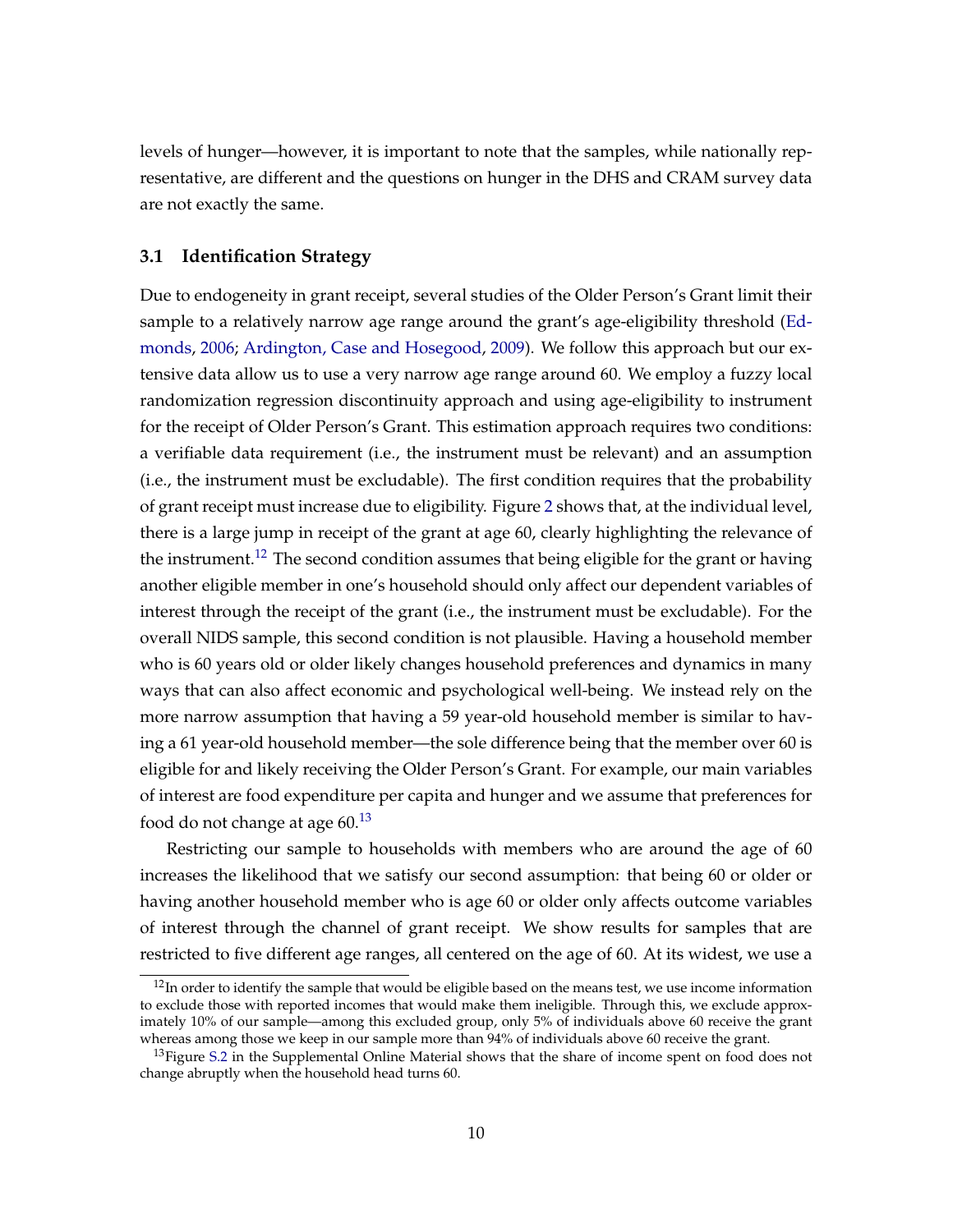levels of hunger—however, it is important to note that the samples, while nationally representative, are different and the questions on hunger in the DHS and CRAM survey data are not exactly the same.

#### **3.1 Identification Strategy**

Due to endogeneity in grant receipt, several studies of the Older Person's Grant limit their sample to a relatively narrow age range around the grant's age-eligibility threshold [\(Ed](#page-26-5)[monds,](#page-26-5) [2006;](#page-26-5) [Ardington, Case and Hosegood,](#page-25-6) [2009\)](#page-25-6). We follow this approach but our extensive data allow us to use a very narrow age range around 60. We employ a fuzzy local randomization regression discontinuity approach and using age-eligibility to instrument for the receipt of Older Person's Grant. This estimation approach requires two conditions: a verifiable data requirement (i.e., the instrument must be relevant) and an assumption (i.e., the instrument must be excludable). The first condition requires that the probability of grant receipt must increase due to eligibility. Figure [2](#page-11-0) shows that, at the individual level, there is a large jump in receipt of the grant at age 60, clearly highlighting the relevance of the instrument.<sup>[12](#page-0-0)</sup> The second condition assumes that being eligible for the grant or having another eligible member in one's household should only affect our dependent variables of interest through the receipt of the grant (i.e., the instrument must be excludable). For the overall NIDS sample, this second condition is not plausible. Having a household member who is 60 years old or older likely changes household preferences and dynamics in many ways that can also affect economic and psychological well-being. We instead rely on the more narrow assumption that having a 59 year-old household member is similar to having a 61 year-old household member—the sole difference being that the member over 60 is eligible for and likely receiving the Older Person's Grant. For example, our main variables of interest are food expenditure per capita and hunger and we assume that preferences for food do not change at age  $60<sup>13</sup>$  $60<sup>13</sup>$  $60<sup>13</sup>$ 

Restricting our sample to households with members who are around the age of 60 increases the likelihood that we satisfy our second assumption: that being 60 or older or having another household member who is age 60 or older only affects outcome variables of interest through the channel of grant receipt. We show results for samples that are restricted to five different age ranges, all centered on the age of 60. At its widest, we use a

 $12$ In order to identify the sample that would be eligible based on the means test, we use income information to exclude those with reported incomes that would make them ineligible. Through this, we exclude approximately 10% of our sample—among this excluded group, only 5% of individuals above 60 receive the grant whereas among those we keep in our sample more than 94% of individuals above 60 receive the grant.

<sup>&</sup>lt;sup>13</sup>Figure [S.2](#page-38-1) in the Supplemental Online Material shows that the share of income spent on food does not change abruptly when the household head turns 60.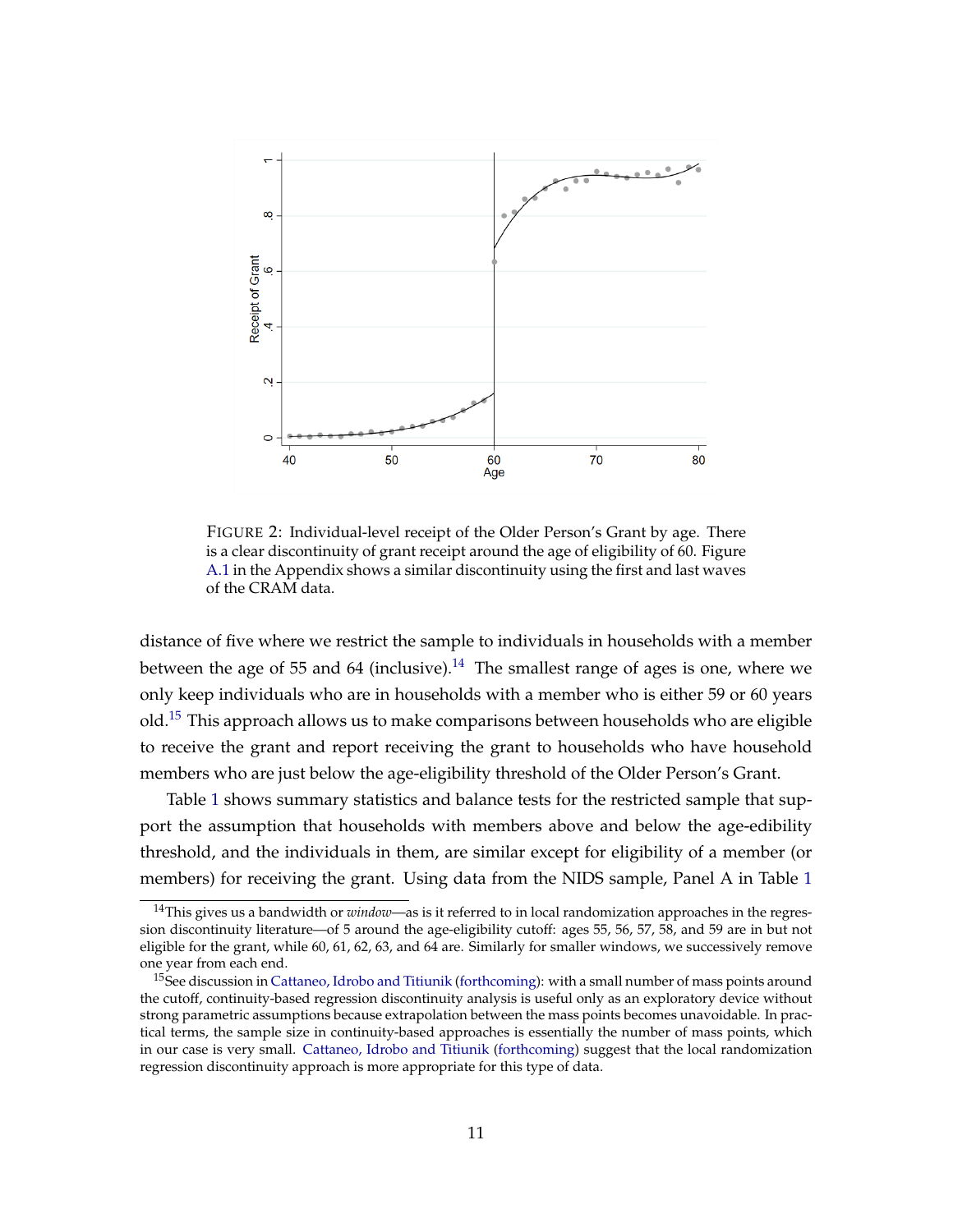<span id="page-11-0"></span>

FIGURE 2: Individual-level receipt of the Older Person's Grant by age. There is a clear discontinuity of grant receipt around the age of eligibility of 60. Figure [A.1](#page-31-0) in the Appendix shows a similar discontinuity using the first and last waves of the CRAM data.

distance of five where we restrict the sample to individuals in households with a member between the age of 55 and 64 (inclusive).<sup>[14](#page-0-0)</sup> The smallest range of ages is one, where we only keep individuals who are in households with a member who is either 59 or 60 years old.[15](#page-0-0) This approach allows us to make comparisons between households who are eligible to receive the grant and report receiving the grant to households who have household members who are just below the age-eligibility threshold of the Older Person's Grant.

Table [1](#page-12-0) shows summary statistics and balance tests for the restricted sample that support the assumption that households with members above and below the age-edibility threshold, and the individuals in them, are similar except for eligibility of a member (or members) for receiving the grant. Using data from the NIDS sample, Panel A in Table [1](#page-12-0)

<sup>14</sup>This gives us a bandwidth or *window*—as is it referred to in local randomization approaches in the regression discontinuity literature—of 5 around the age-eligibility cutoff: ages 55, 56, 57, 58, and 59 are in but not eligible for the grant, while 60, 61, 62, 63, and 64 are. Similarly for smaller windows, we successively remove one year from each end.

<sup>&</sup>lt;sup>15</sup>See discussion in [Cattaneo, Idrobo and Titiunik](#page-25-9) [\(forthcoming\)](#page-25-9): with a small number of mass points around the cutoff, continuity-based regression discontinuity analysis is useful only as an exploratory device without strong parametric assumptions because extrapolation between the mass points becomes unavoidable. In practical terms, the sample size in continuity-based approaches is essentially the number of mass points, which in our case is very small. [Cattaneo, Idrobo and Titiunik](#page-25-9) [\(forthcoming\)](#page-25-9) suggest that the local randomization regression discontinuity approach is more appropriate for this type of data.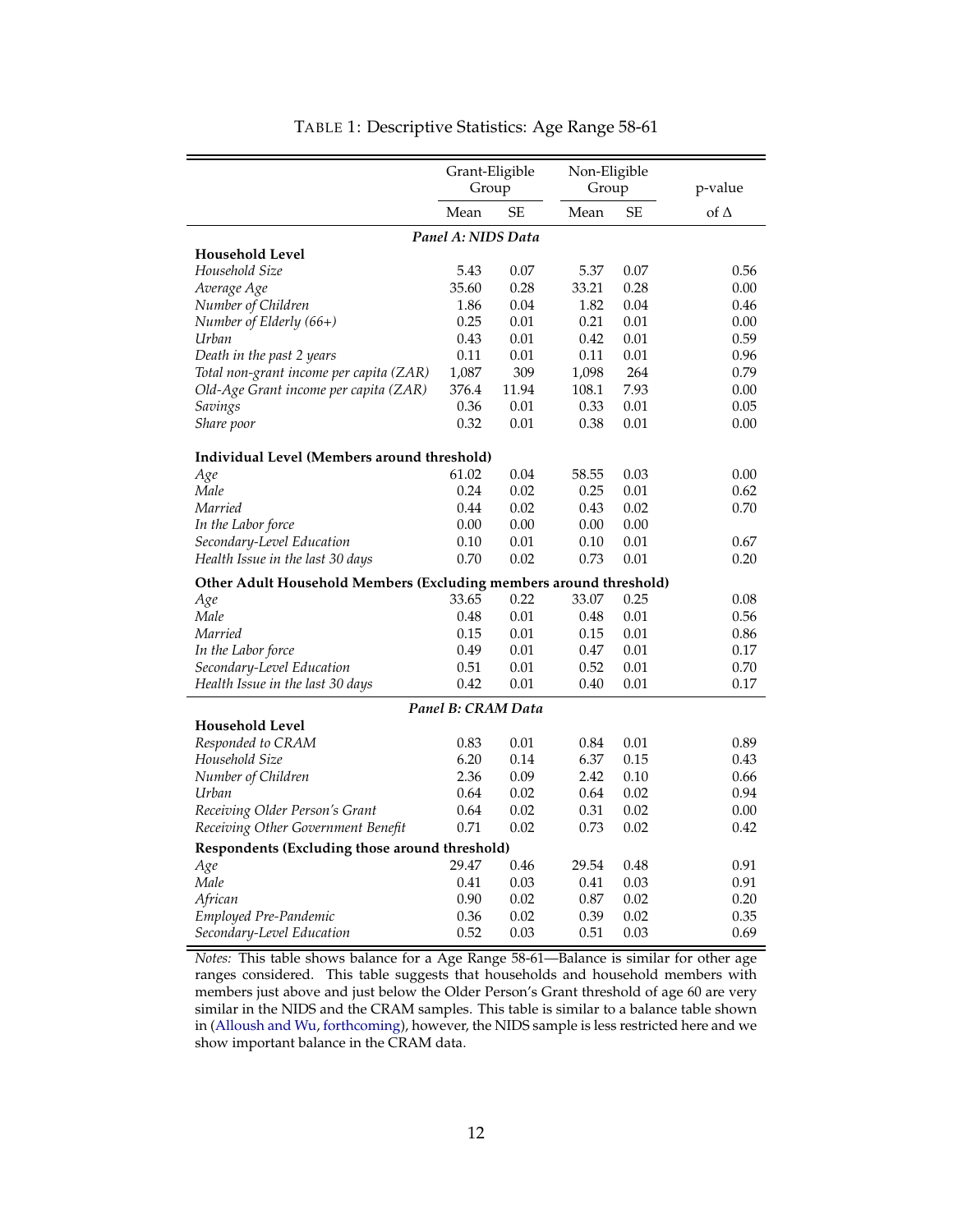<span id="page-12-0"></span>

|                                                                    | Grant-Eligible     |           | Non-Eligible |           |             |  |  |  |
|--------------------------------------------------------------------|--------------------|-----------|--------------|-----------|-------------|--|--|--|
|                                                                    | Group              |           | Group        |           | p-value     |  |  |  |
|                                                                    | Mean               | <b>SE</b> | Mean         | <b>SE</b> | of $\Delta$ |  |  |  |
| Panel A: NIDS Data                                                 |                    |           |              |           |             |  |  |  |
| <b>Household Level</b>                                             |                    |           |              |           |             |  |  |  |
| Household Size                                                     | 5.43               | 0.07      | 5.37         | 0.07      | 0.56        |  |  |  |
| Average Age                                                        | 35.60              | 0.28      | 33.21        | 0.28      | 0.00        |  |  |  |
| Number of Children                                                 | 1.86               | 0.04      | 1.82         | 0.04      | 0.46        |  |  |  |
| Number of Elderly (66+)                                            | 0.25               | 0.01      | 0.21         | 0.01      | 0.00        |  |  |  |
| Urban                                                              | 0.43               | 0.01      | 0.42         | 0.01      | 0.59        |  |  |  |
| Death in the past 2 years                                          | 0.11               | 0.01      | 0.11         | 0.01      | 0.96        |  |  |  |
| Total non-grant income per capita (ZAR)                            | 1,087              | 309       | 1,098        | 264       | 0.79        |  |  |  |
| Old-Age Grant income per capita (ZAR)                              | 376.4              | 11.94     | 108.1        | 7.93      | 0.00        |  |  |  |
| Savings                                                            | 0.36               | 0.01      | 0.33         | 0.01      | 0.05        |  |  |  |
| Share poor                                                         | 0.32               | 0.01      | 0.38         | 0.01      | 0.00        |  |  |  |
| Individual Level (Members around threshold)                        |                    |           |              |           |             |  |  |  |
| Age                                                                | 61.02              | 0.04      | 58.55        | 0.03      | 0.00        |  |  |  |
| Male                                                               | 0.24               | 0.02      | 0.25         | 0.01      | 0.62        |  |  |  |
| Married                                                            | 0.44               | 0.02      | 0.43         | 0.02      | 0.70        |  |  |  |
| In the Labor force                                                 | 0.00               | 0.00      | 0.00         | 0.00      |             |  |  |  |
| Secondary-Level Education                                          | 0.10               | 0.01      | 0.10         | 0.01      | 0.67        |  |  |  |
| Health Issue in the last 30 days                                   | 0.70               | 0.02      | 0.73         | 0.01      | 0.20        |  |  |  |
| Other Adult Household Members (Excluding members around threshold) |                    |           |              |           |             |  |  |  |
| Age                                                                | 33.65              | 0.22      | 33.07        | 0.25      | 0.08        |  |  |  |
| Male                                                               | 0.48               | 0.01      | 0.48         | 0.01      | 0.56        |  |  |  |
| Married                                                            | 0.15               | 0.01      | 0.15         | 0.01      | 0.86        |  |  |  |
| In the Labor force                                                 | 0.49               | 0.01      | 0.47         | 0.01      | 0.17        |  |  |  |
| Secondary-Level Education                                          | 0.51               | 0.01      | 0.52         | 0.01      | 0.70        |  |  |  |
| Health Issue in the last 30 days                                   | 0.42               | 0.01      | 0.40         | 0.01      | 0.17        |  |  |  |
|                                                                    | Panel B: CRAM Data |           |              |           |             |  |  |  |
| <b>Household Level</b>                                             |                    |           |              |           |             |  |  |  |
| Responded to CRAM                                                  | 0.83               | 0.01      | 0.84         | 0.01      | 0.89        |  |  |  |
| Household Size                                                     | 6.20               | 0.14      | 6.37         | 0.15      | 0.43        |  |  |  |
| Number of Children                                                 | 2.36               | 0.09      | 2.42         | 0.10      | 0.66        |  |  |  |
| Urban                                                              | 0.64               | 0.02      | 0.64         | 0.02      | 0.94        |  |  |  |
| Receiving Older Person's Grant                                     | 0.64               | 0.02      | 0.31         | 0.02      | 0.00        |  |  |  |
| Receiving Other Government Benefit                                 | 0.71               | 0.02      | 0.73         | 0.02      | 0.42        |  |  |  |
| Respondents (Excluding those around threshold)                     |                    |           |              |           |             |  |  |  |
| Age                                                                | 29.47              | 0.46      | 29.54        | 0.48      | 0.91        |  |  |  |
| Male                                                               | 0.41               | 0.03      | 0.41         | 0.03      | 0.91        |  |  |  |
| African                                                            | 0.90               | 0.02      | 0.87         | 0.02      | 0.20        |  |  |  |
| Employed Pre-Pandemic                                              | 0.36               | 0.02      | 0.39         | 0.02      | 0.35        |  |  |  |
| Secondary-Level Education                                          | 0.52               | 0.03      | 0.51         | 0.03      | 0.69        |  |  |  |

#### TABLE 1: Descriptive Statistics: Age Range 58-61

*Notes:* This table shows balance for a Age Range 58-61—Balance is similar for other age ranges considered. This table suggests that households and household members with members just above and just below the Older Person's Grant threshold of age 60 are very similar in the NIDS and the CRAM samples. This table is similar to a balance table shown in [\(Alloush and Wu,](#page-25-10) [forthcoming\)](#page-25-10), however, the NIDS sample is less restricted here and we show important balance in the CRAM data.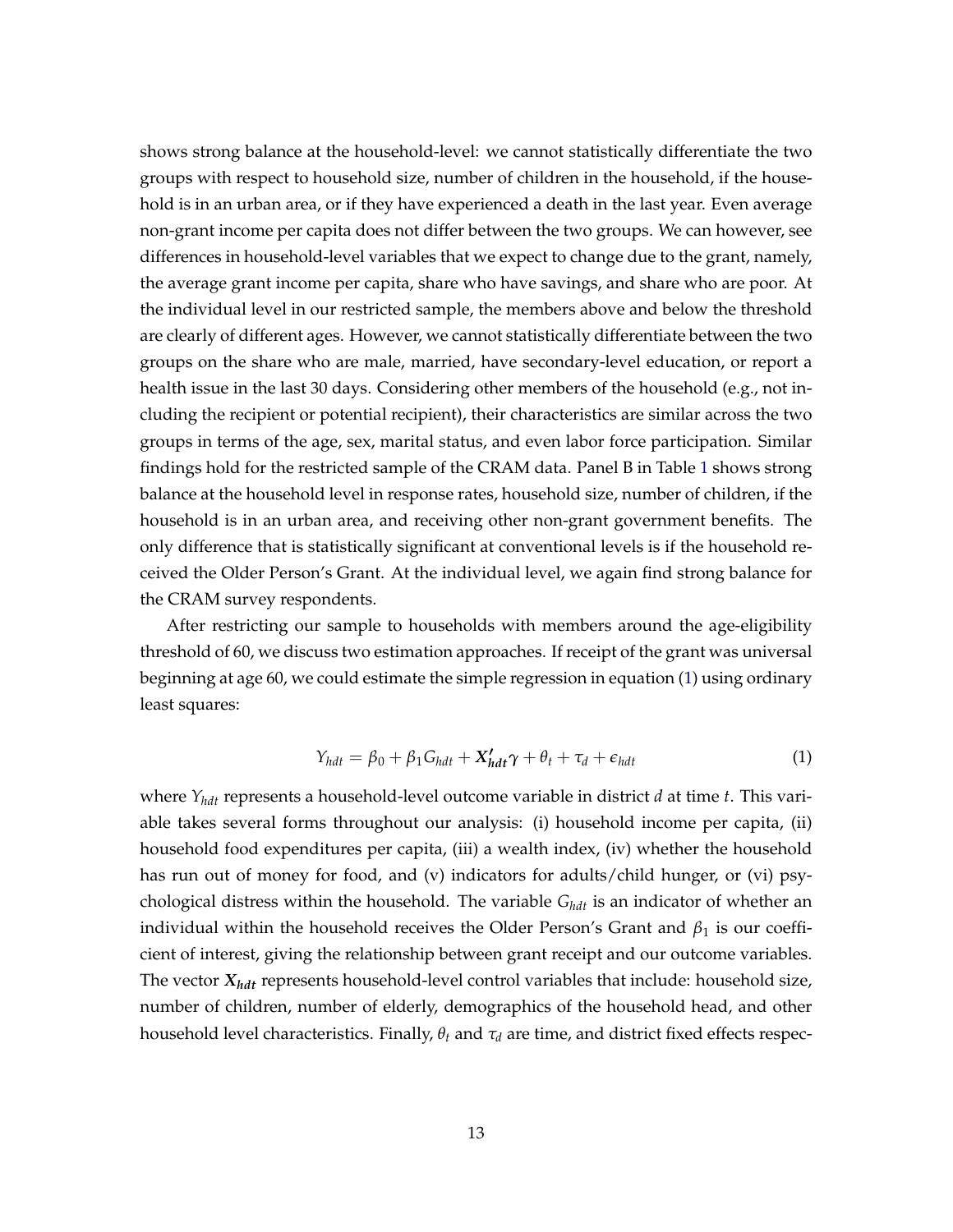shows strong balance at the household-level: we cannot statistically differentiate the two groups with respect to household size, number of children in the household, if the household is in an urban area, or if they have experienced a death in the last year. Even average non-grant income per capita does not differ between the two groups. We can however, see differences in household-level variables that we expect to change due to the grant, namely, the average grant income per capita, share who have savings, and share who are poor. At the individual level in our restricted sample, the members above and below the threshold are clearly of different ages. However, we cannot statistically differentiate between the two groups on the share who are male, married, have secondary-level education, or report a health issue in the last 30 days. Considering other members of the household (e.g., not including the recipient or potential recipient), their characteristics are similar across the two groups in terms of the age, sex, marital status, and even labor force participation. Similar findings hold for the restricted sample of the CRAM data. Panel B in Table [1](#page-12-0) shows strong balance at the household level in response rates, household size, number of children, if the household is in an urban area, and receiving other non-grant government benefits. The only difference that is statistically significant at conventional levels is if the household received the Older Person's Grant. At the individual level, we again find strong balance for the CRAM survey respondents.

After restricting our sample to households with members around the age-eligibility threshold of 60, we discuss two estimation approaches. If receipt of the grant was universal beginning at age 60, we could estimate the simple regression in equation [\(1\)](#page-13-0) using ordinary least squares:

<span id="page-13-0"></span>
$$
Y_{hdt} = \beta_0 + \beta_1 G_{hdt} + X'_{hdt} \gamma + \theta_t + \tau_d + \epsilon_{hdt}
$$
 (1)

where *Yhdt* represents a household-level outcome variable in district *d* at time *t*. This variable takes several forms throughout our analysis: (i) household income per capita, (ii) household food expenditures per capita, (iii) a wealth index, (iv) whether the household has run out of money for food, and (v) indicators for adults/child hunger, or (vi) psychological distress within the household. The variable *Ghdt* is an indicator of whether an individual within the household receives the Older Person's Grant and  $\beta_1$  is our coefficient of interest, giving the relationship between grant receipt and our outcome variables. The vector *Xhdt* represents household-level control variables that include: household size, number of children, number of elderly, demographics of the household head, and other household level characteristics. Finally, *θ<sup>t</sup>* and *τ<sup>d</sup>* are time, and district fixed effects respec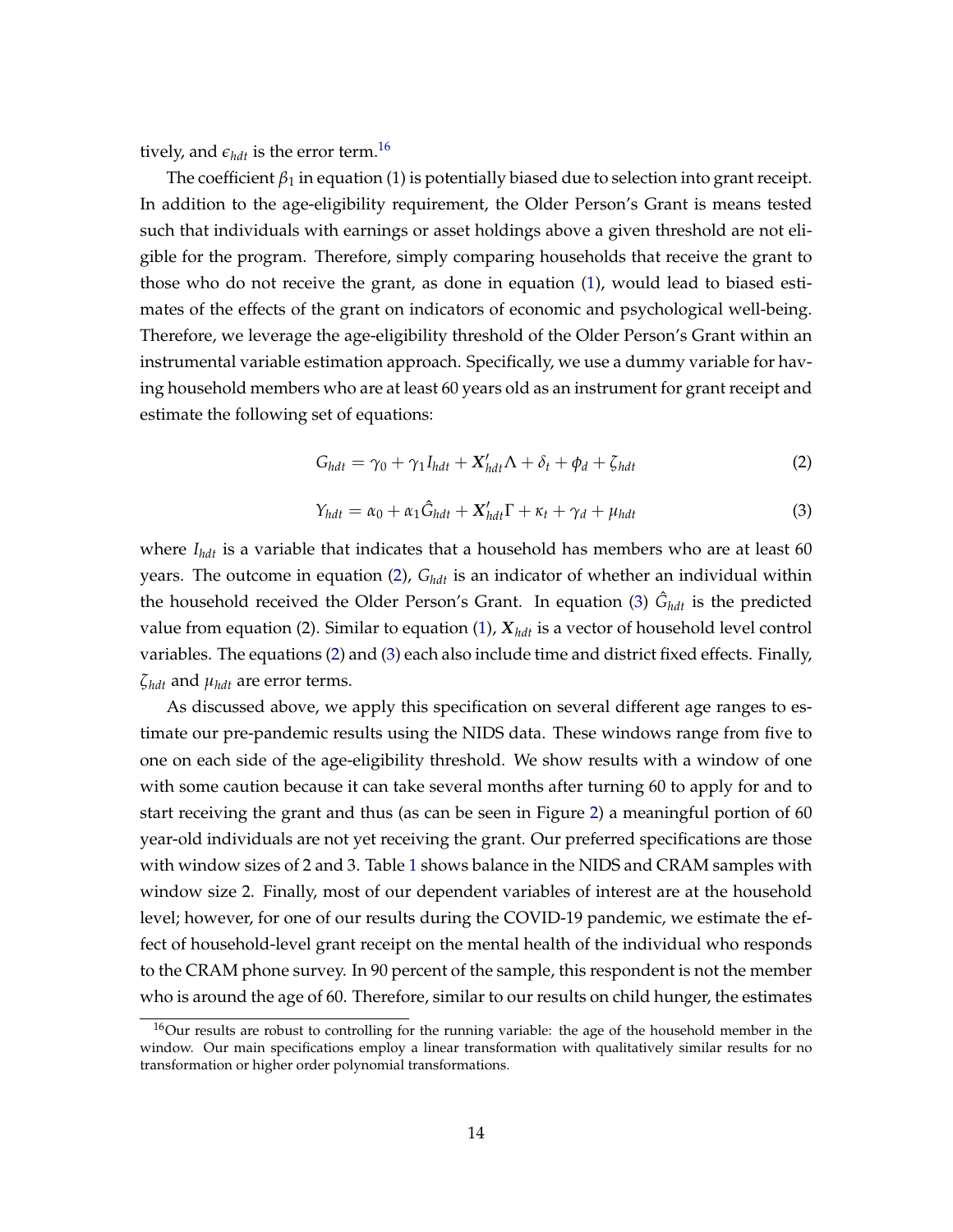tively, and  $\epsilon_{hdt}$  is the error term.<sup>[16](#page-0-0)</sup>

The coefficient  $\beta_1$  in equation (1) is potentially biased due to selection into grant receipt. In addition to the age-eligibility requirement, the Older Person's Grant is means tested such that individuals with earnings or asset holdings above a given threshold are not eligible for the program. Therefore, simply comparing households that receive the grant to those who do not receive the grant, as done in equation [\(1\)](#page-13-0), would lead to biased estimates of the effects of the grant on indicators of economic and psychological well-being. Therefore, we leverage the age-eligibility threshold of the Older Person's Grant within an instrumental variable estimation approach. Specifically, we use a dummy variable for having household members who are at least 60 years old as an instrument for grant receipt and estimate the following set of equations:

<span id="page-14-0"></span>
$$
G_{hdt} = \gamma_0 + \gamma_1 I_{hdt} + X'_{hdt} \Lambda + \delta_t + \phi_d + \zeta_{hdt}
$$
 (2)

<span id="page-14-1"></span>
$$
Y_{hdt} = \alpha_0 + \alpha_1 \hat{G}_{hdt} + X'_{hdt} \Gamma + \kappa_t + \gamma_d + \mu_{hdt}
$$
\n(3)

where *Ihdt* is a variable that indicates that a household has members who are at least 60 years. The outcome in equation [\(2\)](#page-14-0), *Ghdt* is an indicator of whether an individual within the household received the Older Person's Grant. In equation [\(3\)](#page-14-1)  $\hat{G}_{hdt}$  is the predicted value from equation (2). Similar to equation [\(1\)](#page-13-0),  $X_{hdt}$  is a vector of household level control variables. The equations [\(2\)](#page-14-0) and [\(3\)](#page-14-1) each also include time and district fixed effects. Finally, *ζhdt* and *µhdt* are error terms.

As discussed above, we apply this specification on several different age ranges to estimate our pre-pandemic results using the NIDS data. These windows range from five to one on each side of the age-eligibility threshold. We show results with a window of one with some caution because it can take several months after turning 60 to apply for and to start receiving the grant and thus (as can be seen in Figure [2\)](#page-11-0) a meaningful portion of 60 year-old individuals are not yet receiving the grant. Our preferred specifications are those with window sizes of 2 and 3. Table [1](#page-12-0) shows balance in the NIDS and CRAM samples with window size 2. Finally, most of our dependent variables of interest are at the household level; however, for one of our results during the COVID-19 pandemic, we estimate the effect of household-level grant receipt on the mental health of the individual who responds to the CRAM phone survey. In 90 percent of the sample, this respondent is not the member who is around the age of 60. Therefore, similar to our results on child hunger, the estimates

<sup>16</sup>Our results are robust to controlling for the running variable: the age of the household member in the window. Our main specifications employ a linear transformation with qualitatively similar results for no transformation or higher order polynomial transformations.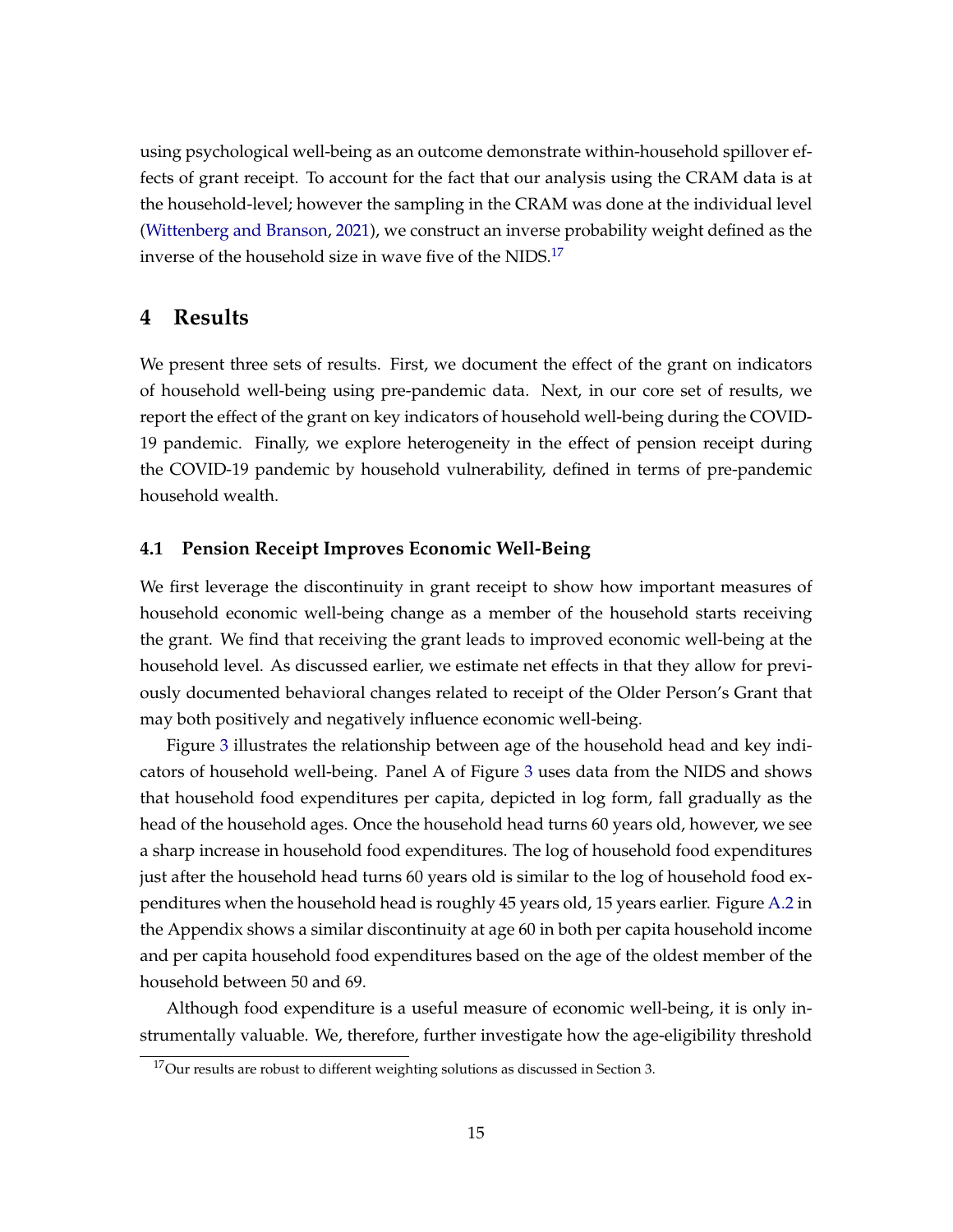using psychological well-being as an outcome demonstrate within-household spillover effects of grant receipt. To account for the fact that our analysis using the CRAM data is at the household-level; however the sampling in the CRAM was done at the individual level [\(Wittenberg and Branson,](#page-27-8) [2021\)](#page-27-8), we construct an inverse probability weight defined as the inverse of the household size in wave five of the NIDS.<sup>[17](#page-0-0)</sup>

### **4 Results**

We present three sets of results. First, we document the effect of the grant on indicators of household well-being using pre-pandemic data. Next, in our core set of results, we report the effect of the grant on key indicators of household well-being during the COVID-19 pandemic. Finally, we explore heterogeneity in the effect of pension receipt during the COVID-19 pandemic by household vulnerability, defined in terms of pre-pandemic household wealth.

#### **4.1 Pension Receipt Improves Economic Well-Being**

We first leverage the discontinuity in grant receipt to show how important measures of household economic well-being change as a member of the household starts receiving the grant. We find that receiving the grant leads to improved economic well-being at the household level. As discussed earlier, we estimate net effects in that they allow for previously documented behavioral changes related to receipt of the Older Person's Grant that may both positively and negatively influence economic well-being.

Figure [3](#page-16-0) illustrates the relationship between age of the household head and key indicators of household well-being. Panel A of Figure [3](#page-16-0) uses data from the NIDS and shows that household food expenditures per capita, depicted in log form, fall gradually as the head of the household ages. Once the household head turns 60 years old, however, we see a sharp increase in household food expenditures. The log of household food expenditures just after the household head turns 60 years old is similar to the log of household food expenditures when the household head is roughly 45 years old, 15 years earlier. Figure [A.2](#page-32-0) in the Appendix shows a similar discontinuity at age 60 in both per capita household income and per capita household food expenditures based on the age of the oldest member of the household between 50 and 69.

Although food expenditure is a useful measure of economic well-being, it is only instrumentally valuable. We, therefore, further investigate how the age-eligibility threshold

<sup>17</sup>Our results are robust to different weighting solutions as discussed in Section 3.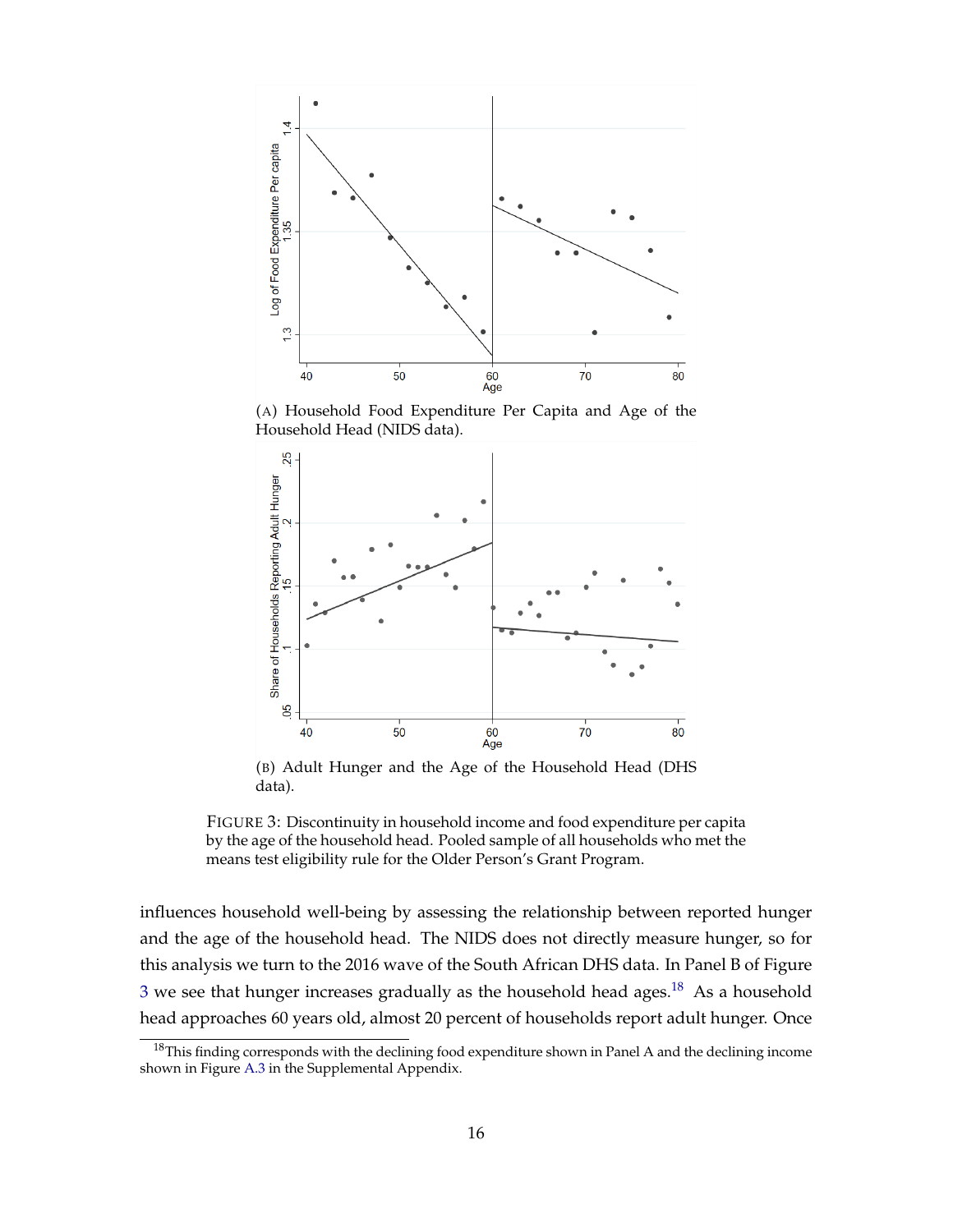<span id="page-16-0"></span>

(A) Household Food Expenditure Per Capita and Age of the Household Head (NIDS data).



(B) Adult Hunger and the Age of the Household Head (DHS data).



influences household well-being by assessing the relationship between reported hunger and the age of the household head. The NIDS does not directly measure hunger, so for this analysis we turn to the 2016 wave of the South African DHS data. In Panel B of Figure  $3$  we see that hunger increases gradually as the household head ages.<sup>[18](#page-0-0)</sup> As a household head approaches 60 years old, almost 20 percent of households report adult hunger. Once

<sup>&</sup>lt;sup>18</sup>This finding corresponds with the declining food expenditure shown in Panel A and the declining income shown in Figure [A.3](#page-33-0) in the Supplemental Appendix.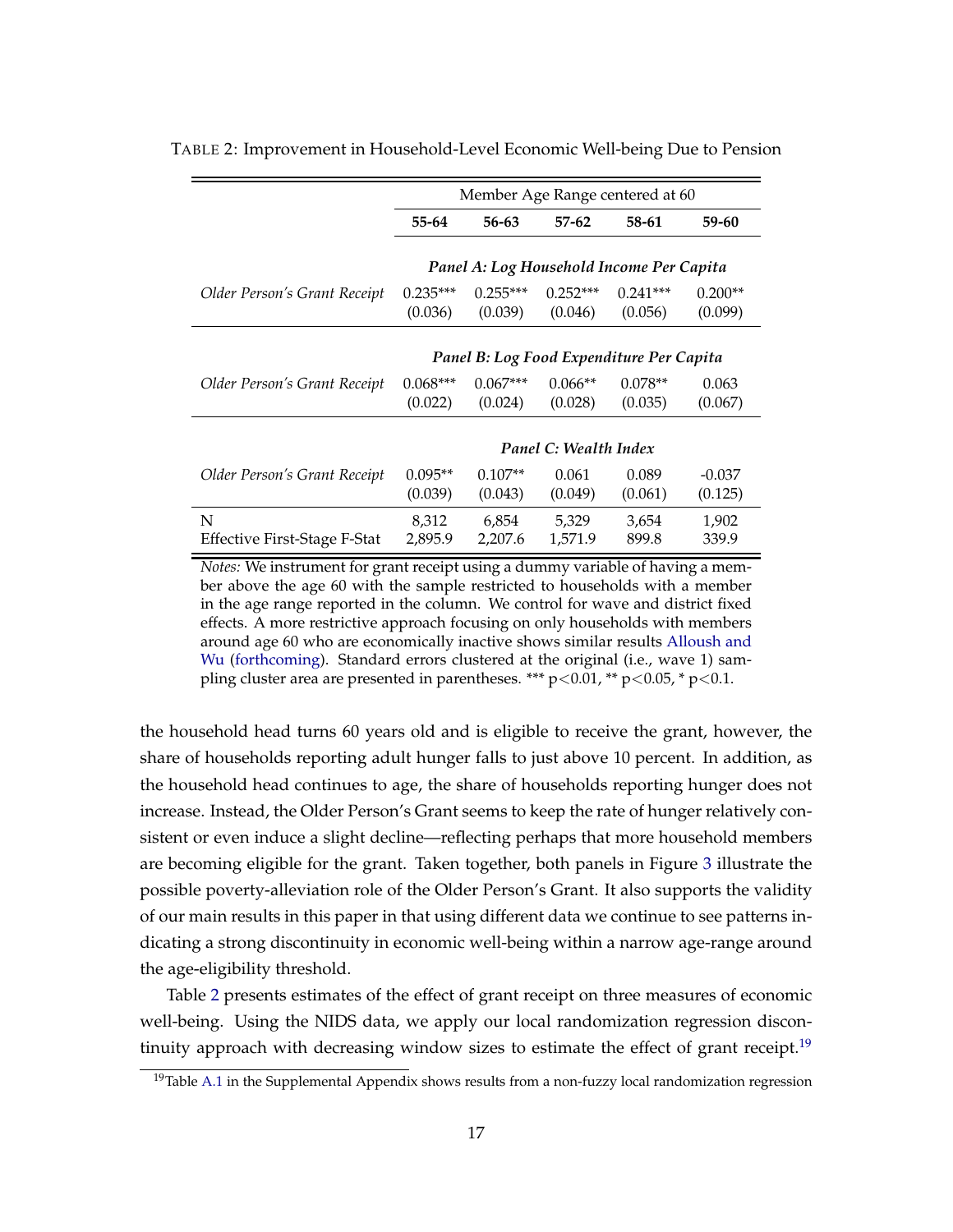|                                          | Member Age Range centered at 60          |                       |                       |                                          |                      |  |
|------------------------------------------|------------------------------------------|-----------------------|-----------------------|------------------------------------------|----------------------|--|
|                                          | 55-64                                    | 56-63                 | $57 - 62$             | 58-61                                    | 59-60                |  |
|                                          |                                          |                       |                       | Panel A: Log Household Income Per Capita |                      |  |
| Older Person's Grant Receipt             | $0.235***$<br>(0.036)                    | $0.255***$<br>(0.039) | $0.252***$<br>(0.046) | $0.241***$<br>(0.056)                    | $0.200**$<br>(0.099) |  |
|                                          | Panel B: Log Food Expenditure Per Capita |                       |                       |                                          |                      |  |
| Older Person's Grant Receipt             | $0.068***$<br>(0.022)                    | $0.067***$<br>(0.024) | $0.066**$<br>(0.028)  | $0.078**$<br>(0.035)                     | 0.063<br>(0.067)     |  |
|                                          |                                          |                       | Panel C: Wealth Index |                                          |                      |  |
| Older Person's Grant Receipt             | $0.095**$<br>(0.039)                     | $0.107**$<br>(0.043)  | 0.061<br>(0.049)      | 0.089<br>(0.061)                         | $-0.037$<br>(0.125)  |  |
| N<br><b>Effective First-Stage F-Stat</b> | 8,312<br>2,895.9                         | 6,854<br>2,207.6      | 5,329<br>1,571.9      | 3,654<br>899.8                           | 1,902<br>339.9       |  |

<span id="page-17-0"></span>TABLE 2: Improvement in Household-Level Economic Well-being Due to Pension

*Notes:* We instrument for grant receipt using a dummy variable of having a member above the age 60 with the sample restricted to households with a member in the age range reported in the column. We control for wave and district fixed effects. A more restrictive approach focusing on only households with members around age 60 who are economically inactive shows similar results [Alloush and](#page-25-10) [Wu](#page-25-10) [\(forthcoming\)](#page-25-10). Standard errors clustered at the original (i.e., wave 1) sampling cluster area are presented in parentheses. \*\*\*  $p<0.01$ , \*\*  $p<0.05$ , \*  $p<0.1$ .

the household head turns 60 years old and is eligible to receive the grant, however, the share of households reporting adult hunger falls to just above 10 percent. In addition, as the household head continues to age, the share of households reporting hunger does not increase. Instead, the Older Person's Grant seems to keep the rate of hunger relatively consistent or even induce a slight decline—reflecting perhaps that more household members are becoming eligible for the grant. Taken together, both panels in Figure [3](#page-16-0) illustrate the possible poverty-alleviation role of the Older Person's Grant. It also supports the validity of our main results in this paper in that using different data we continue to see patterns indicating a strong discontinuity in economic well-being within a narrow age-range around the age-eligibility threshold.

Table [2](#page-17-0) presents estimates of the effect of grant receipt on three measures of economic well-being. Using the NIDS data, we apply our local randomization regression discon-tinuity approach with decreasing window sizes to estimate the effect of grant receipt.<sup>[19](#page-0-0)</sup>

<sup>&</sup>lt;sup>19</sup>Table [A.1](#page-28-0) in the Supplemental Appendix shows results from a non-fuzzy local randomization regression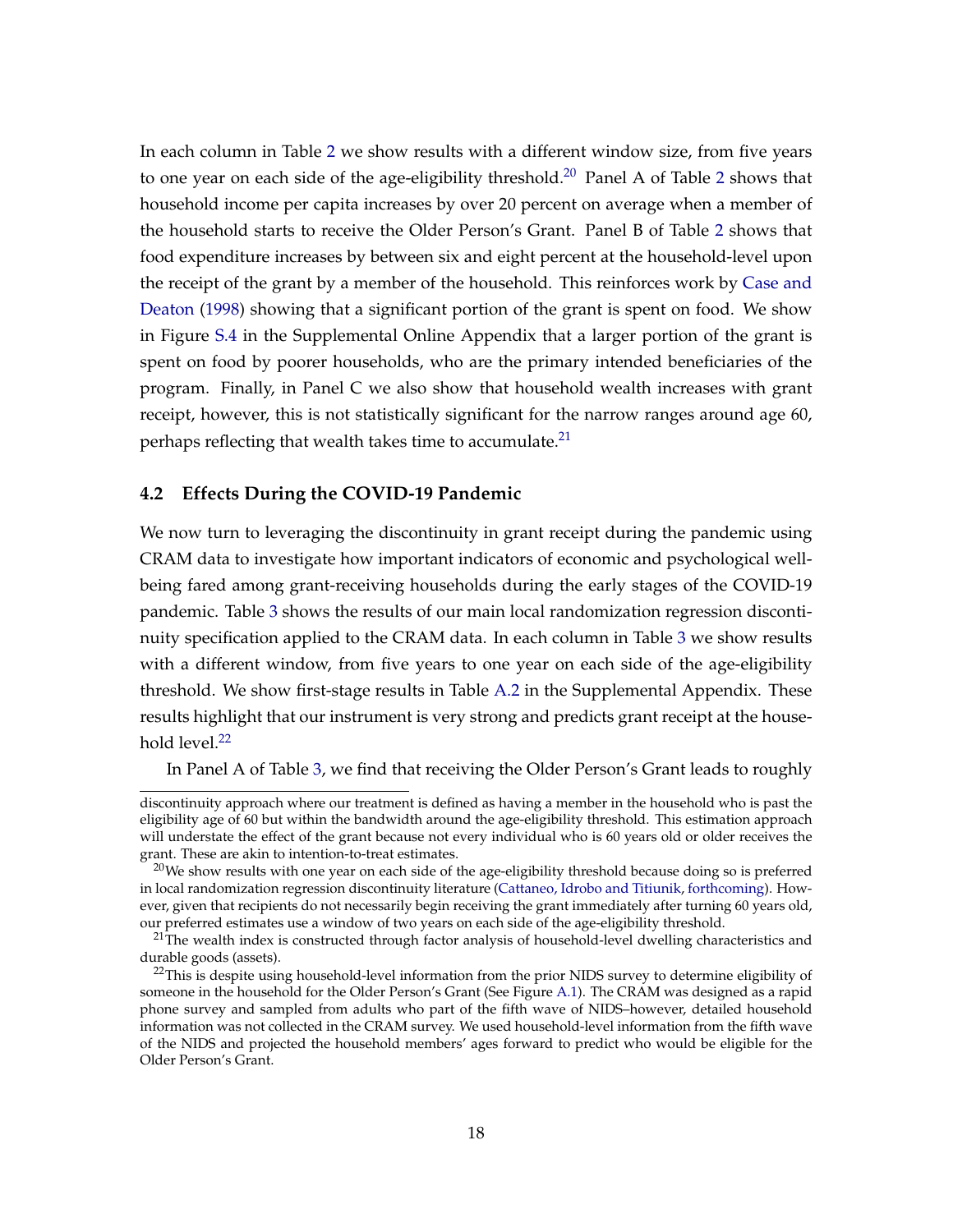In each column in Table [2](#page-17-0) we show results with a different window size, from five years to one year on each side of the age-eligibility threshold.<sup>[20](#page-0-0)</sup> Panel A of Table [2](#page-17-0) shows that household income per capita increases by over 20 percent on average when a member of the household starts to receive the Older Person's Grant. Panel B of Table [2](#page-17-0) shows that food expenditure increases by between six and eight percent at the household-level upon the receipt of the grant by a member of the household. This reinforces work by [Case and](#page-25-0) [Deaton](#page-25-0) [\(1998\)](#page-25-0) showing that a significant portion of the grant is spent on food. We show in Figure [S.4](#page-39-0) in the Supplemental Online Appendix that a larger portion of the grant is spent on food by poorer households, who are the primary intended beneficiaries of the program. Finally, in Panel C we also show that household wealth increases with grant receipt, however, this is not statistically significant for the narrow ranges around age 60, perhaps reflecting that wealth takes time to accumulate. $^{21}$  $^{21}$  $^{21}$ 

#### **4.2 Effects During the COVID-19 Pandemic**

We now turn to leveraging the discontinuity in grant receipt during the pandemic using CRAM data to investigate how important indicators of economic and psychological wellbeing fared among grant-receiving households during the early stages of the COVID-19 pandemic. Table [3](#page-19-0) shows the results of our main local randomization regression discontinuity specification applied to the CRAM data. In each column in Table [3](#page-19-0) we show results with a different window, from five years to one year on each side of the age-eligibility threshold. We show first-stage results in Table [A.2](#page-29-0) in the Supplemental Appendix. These results highlight that our instrument is very strong and predicts grant receipt at the house-hold level.<sup>[22](#page-0-0)</sup>

In Panel A of Table [3,](#page-19-0) we find that receiving the Older Person's Grant leads to roughly

discontinuity approach where our treatment is defined as having a member in the household who is past the eligibility age of 60 but within the bandwidth around the age-eligibility threshold. This estimation approach will understate the effect of the grant because not every individual who is 60 years old or older receives the grant. These are akin to intention-to-treat estimates.

<sup>&</sup>lt;sup>20</sup>We show results with one year on each side of the age-eligibility threshold because doing so is preferred in local randomization regression discontinuity literature [\(Cattaneo, Idrobo and Titiunik,](#page-25-9) [forthcoming\)](#page-25-9). However, given that recipients do not necessarily begin receiving the grant immediately after turning 60 years old, our preferred estimates use a window of two years on each side of the age-eligibility threshold.

 $21$ The wealth index is constructed through factor analysis of household-level dwelling characteristics and durable goods (assets).

<sup>&</sup>lt;sup>22</sup>This is despite using household-level information from the prior NIDS survey to determine eligibility of someone in the household for the Older Person's Grant (See Figure [A.1\)](#page-31-0). The CRAM was designed as a rapid phone survey and sampled from adults who part of the fifth wave of NIDS–however, detailed household information was not collected in the CRAM survey. We used household-level information from the fifth wave of the NIDS and projected the household members' ages forward to predict who would be eligible for the Older Person's Grant.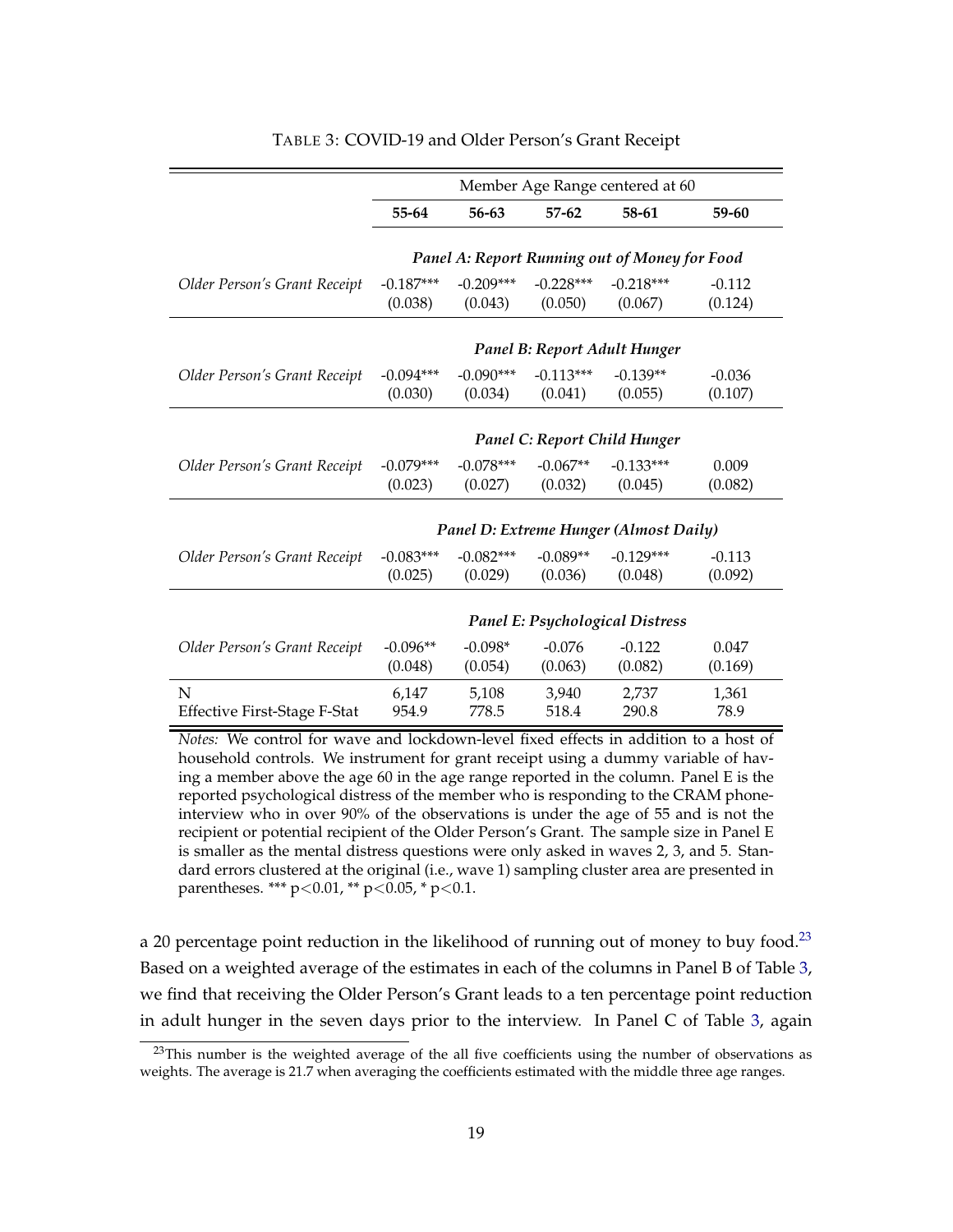<span id="page-19-0"></span>

|                                     | Member Age Range centered at 60        |             |             |                                               |          |  |  |
|-------------------------------------|----------------------------------------|-------------|-------------|-----------------------------------------------|----------|--|--|
|                                     | 55-64                                  | 56-63       | $57-62$     | 58-61                                         | 59-60    |  |  |
|                                     |                                        |             |             |                                               |          |  |  |
|                                     |                                        |             |             | Panel A: Report Running out of Money for Food |          |  |  |
| Older Person's Grant Receipt        | $-0.187***$                            | $-0.209***$ | $-0.228***$ | $-0.218***$                                   | $-0.112$ |  |  |
|                                     | (0.038)                                | (0.043)     | (0.050)     | (0.067)                                       | (0.124)  |  |  |
|                                     |                                        |             |             | Panel B: Report Adult Hunger                  |          |  |  |
| Older Person's Grant Receipt        | $-0.094***$                            | $-0.090***$ | $-0.113***$ | $-0.139**$                                    | $-0.036$ |  |  |
|                                     | (0.030)                                | (0.034)     | (0.041)     | (0.055)                                       | (0.107)  |  |  |
|                                     |                                        |             |             |                                               |          |  |  |
|                                     |                                        |             |             | Panel C: Report Child Hunger                  |          |  |  |
| Older Person's Grant Receipt        | $-0.079***$                            | $-0.078***$ | $-0.067**$  | $-0.133***$                                   | 0.009    |  |  |
|                                     | (0.023)                                | (0.027)     | (0.032)     | (0.045)                                       | (0.082)  |  |  |
|                                     |                                        |             |             |                                               |          |  |  |
|                                     |                                        |             |             | Panel D: Extreme Hunger (Almost Daily)        |          |  |  |
| Older Person's Grant Receipt        | $-0.083***$                            | $-0.082***$ | $-0.089**$  | $-0.129***$                                   | $-0.113$ |  |  |
|                                     | (0.025)                                | (0.029)     | (0.036)     | (0.048)                                       | (0.092)  |  |  |
|                                     |                                        |             |             |                                               |          |  |  |
|                                     | <b>Panel E: Psychological Distress</b> |             |             |                                               |          |  |  |
| Older Person's Grant Receipt        | $-0.096**$                             | $-0.098*$   | $-0.076$    | $-0.122$                                      | 0.047    |  |  |
|                                     | (0.048)                                | (0.054)     | (0.063)     | (0.082)                                       | (0.169)  |  |  |
| N                                   | 6,147                                  | 5,108       | 3,940       | 2,737                                         | 1,361    |  |  |
| <b>Effective First-Stage F-Stat</b> | 954.9                                  | 778.5       | 518.4       | 290.8                                         | 78.9     |  |  |

#### TABLE 3: COVID-19 and Older Person's Grant Receipt

*Notes:* We control for wave and lockdown-level fixed effects in addition to a host of household controls. We instrument for grant receipt using a dummy variable of having a member above the age 60 in the age range reported in the column. Panel E is the reported psychological distress of the member who is responding to the CRAM phoneinterview who in over 90% of the observations is under the age of 55 and is not the recipient or potential recipient of the Older Person's Grant. The sample size in Panel E is smaller as the mental distress questions were only asked in waves 2, 3, and 5. Standard errors clustered at the original (i.e., wave 1) sampling cluster area are presented in parentheses. \*\*\* p<0.01, \*\* p<0.05, \* p<0.1.

a 20 percentage point reduction in the likelihood of running out of money to buy food.<sup>[23](#page-0-0)</sup> Based on a weighted average of the estimates in each of the columns in Panel B of Table [3,](#page-19-0) we find that receiving the Older Person's Grant leads to a ten percentage point reduction in adult hunger in the seven days prior to the interview. In Panel C of Table [3,](#page-19-0) again

<sup>&</sup>lt;sup>23</sup>This number is the weighted average of the all five coefficients using the number of observations as weights. The average is 21.7 when averaging the coefficients estimated with the middle three age ranges.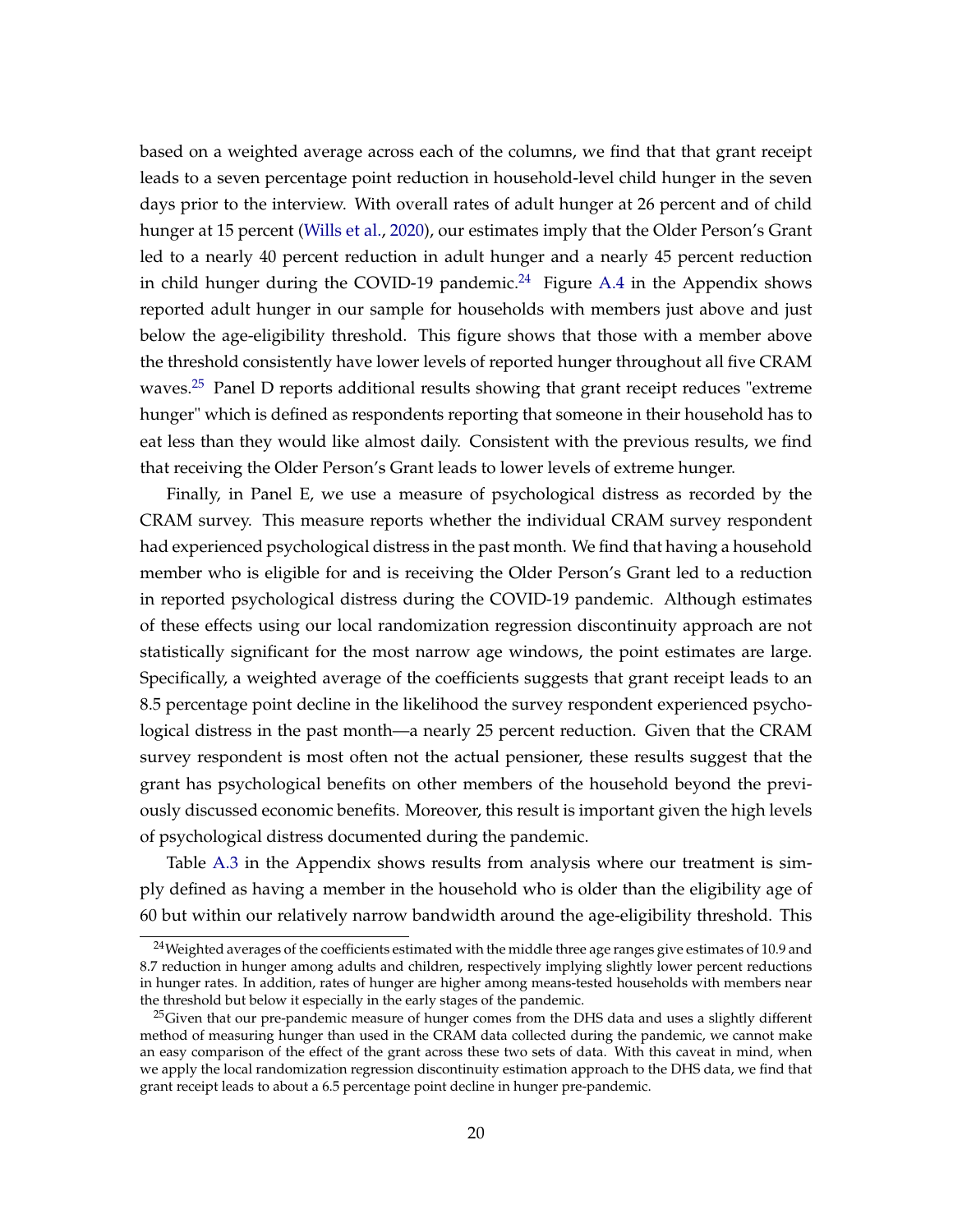based on a weighted average across each of the columns, we find that that grant receipt leads to a seven percentage point reduction in household-level child hunger in the seven days prior to the interview. With overall rates of adult hunger at 26 percent and of child hunger at 15 percent [\(Wills et al.,](#page-27-1) [2020\)](#page-27-1), our estimates imply that the Older Person's Grant led to a nearly 40 percent reduction in adult hunger and a nearly 45 percent reduction in child hunger during the COVID-19 pandemic.<sup>[24](#page-0-0)</sup> Figure [A.4](#page-33-1) in the Appendix shows reported adult hunger in our sample for households with members just above and just below the age-eligibility threshold. This figure shows that those with a member above the threshold consistently have lower levels of reported hunger throughout all five CRAM waves.<sup>[25](#page-0-0)</sup> Panel D reports additional results showing that grant receipt reduces "extreme hunger" which is defined as respondents reporting that someone in their household has to eat less than they would like almost daily. Consistent with the previous results, we find that receiving the Older Person's Grant leads to lower levels of extreme hunger.

Finally, in Panel E, we use a measure of psychological distress as recorded by the CRAM survey. This measure reports whether the individual CRAM survey respondent had experienced psychological distress in the past month. We find that having a household member who is eligible for and is receiving the Older Person's Grant led to a reduction in reported psychological distress during the COVID-19 pandemic. Although estimates of these effects using our local randomization regression discontinuity approach are not statistically significant for the most narrow age windows, the point estimates are large. Specifically, a weighted average of the coefficients suggests that grant receipt leads to an 8.5 percentage point decline in the likelihood the survey respondent experienced psychological distress in the past month—a nearly 25 percent reduction. Given that the CRAM survey respondent is most often not the actual pensioner, these results suggest that the grant has psychological benefits on other members of the household beyond the previously discussed economic benefits. Moreover, this result is important given the high levels of psychological distress documented during the pandemic.

Table [A.3](#page-30-0) in the Appendix shows results from analysis where our treatment is simply defined as having a member in the household who is older than the eligibility age of 60 but within our relatively narrow bandwidth around the age-eligibility threshold. This

<sup>&</sup>lt;sup>24</sup>Weighted averages of the coefficients estimated with the middle three age ranges give estimates of 10.9 and 8.7 reduction in hunger among adults and children, respectively implying slightly lower percent reductions in hunger rates. In addition, rates of hunger are higher among means-tested households with members near the threshold but below it especially in the early stages of the pandemic.

<sup>&</sup>lt;sup>25</sup>Given that our pre-pandemic measure of hunger comes from the DHS data and uses a slightly different method of measuring hunger than used in the CRAM data collected during the pandemic, we cannot make an easy comparison of the effect of the grant across these two sets of data. With this caveat in mind, when we apply the local randomization regression discontinuity estimation approach to the DHS data, we find that grant receipt leads to about a 6.5 percentage point decline in hunger pre-pandemic.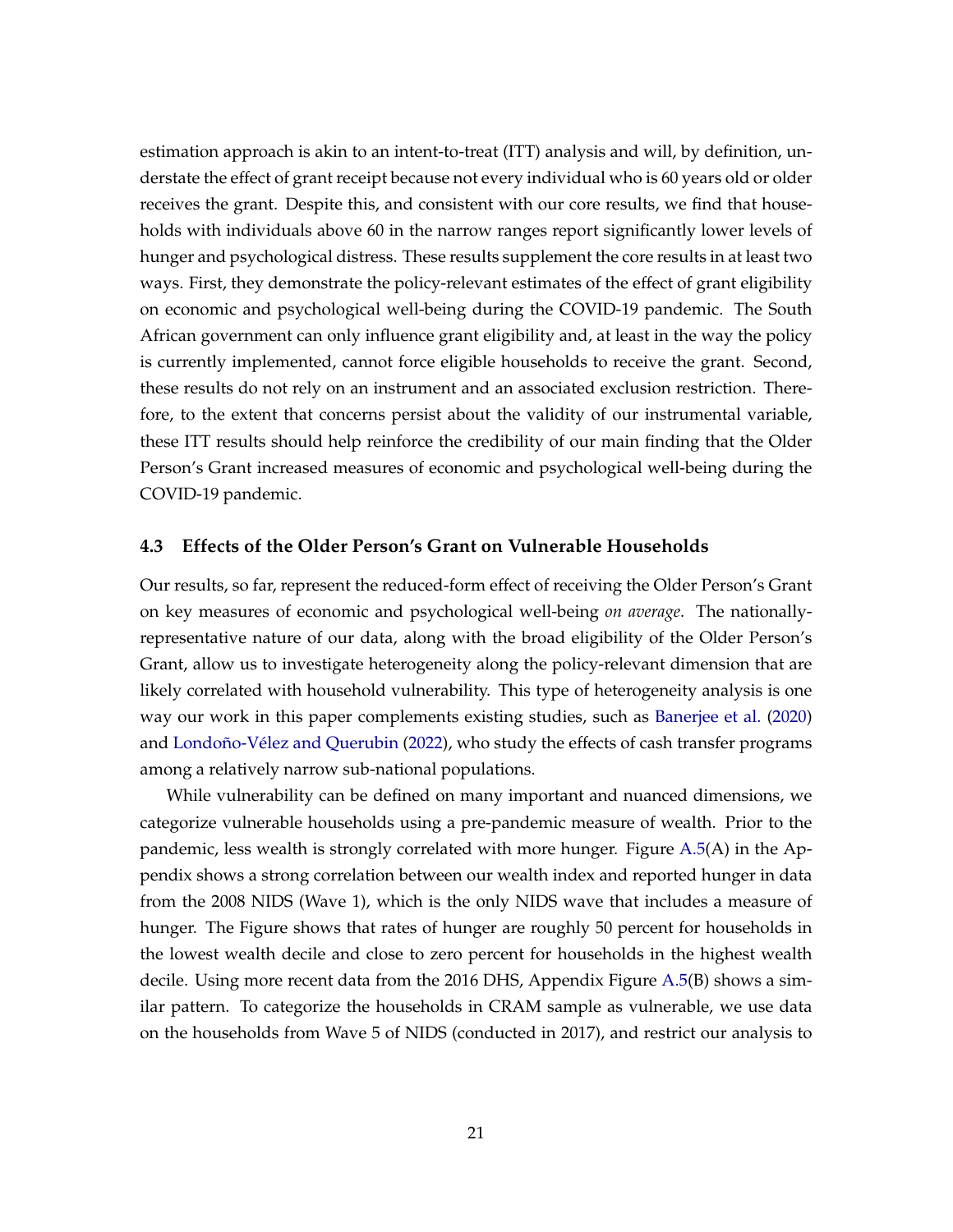estimation approach is akin to an intent-to-treat (ITT) analysis and will, by definition, understate the effect of grant receipt because not every individual who is 60 years old or older receives the grant. Despite this, and consistent with our core results, we find that households with individuals above 60 in the narrow ranges report significantly lower levels of hunger and psychological distress. These results supplement the core results in at least two ways. First, they demonstrate the policy-relevant estimates of the effect of grant eligibility on economic and psychological well-being during the COVID-19 pandemic. The South African government can only influence grant eligibility and, at least in the way the policy is currently implemented, cannot force eligible households to receive the grant. Second, these results do not rely on an instrument and an associated exclusion restriction. Therefore, to the extent that concerns persist about the validity of our instrumental variable, these ITT results should help reinforce the credibility of our main finding that the Older Person's Grant increased measures of economic and psychological well-being during the COVID-19 pandemic.

#### **4.3 Effects of the Older Person's Grant on Vulnerable Households**

Our results, so far, represent the reduced-form effect of receiving the Older Person's Grant on key measures of economic and psychological well-being *on average*. The nationallyrepresentative nature of our data, along with the broad eligibility of the Older Person's Grant, allow us to investigate heterogeneity along the policy-relevant dimension that are likely correlated with household vulnerability. This type of heterogeneity analysis is one way our work in this paper complements existing studies, such as [Banerjee et al.](#page-25-3) [\(2020\)](#page-25-3) and [Londoño-Vélez and Querubin](#page-27-2) [\(2022\)](#page-27-2), who study the effects of cash transfer programs among a relatively narrow sub-national populations.

While vulnerability can be defined on many important and nuanced dimensions, we categorize vulnerable households using a pre-pandemic measure of wealth. Prior to the pandemic, less wealth is strongly correlated with more hunger. Figure [A.5\(](#page-34-0)A) in the Appendix shows a strong correlation between our wealth index and reported hunger in data from the 2008 NIDS (Wave 1), which is the only NIDS wave that includes a measure of hunger. The Figure shows that rates of hunger are roughly 50 percent for households in the lowest wealth decile and close to zero percent for households in the highest wealth decile. Using more recent data from the 2016 DHS, Appendix Figure [A.5\(](#page-34-0)B) shows a similar pattern. To categorize the households in CRAM sample as vulnerable, we use data on the households from Wave 5 of NIDS (conducted in 2017), and restrict our analysis to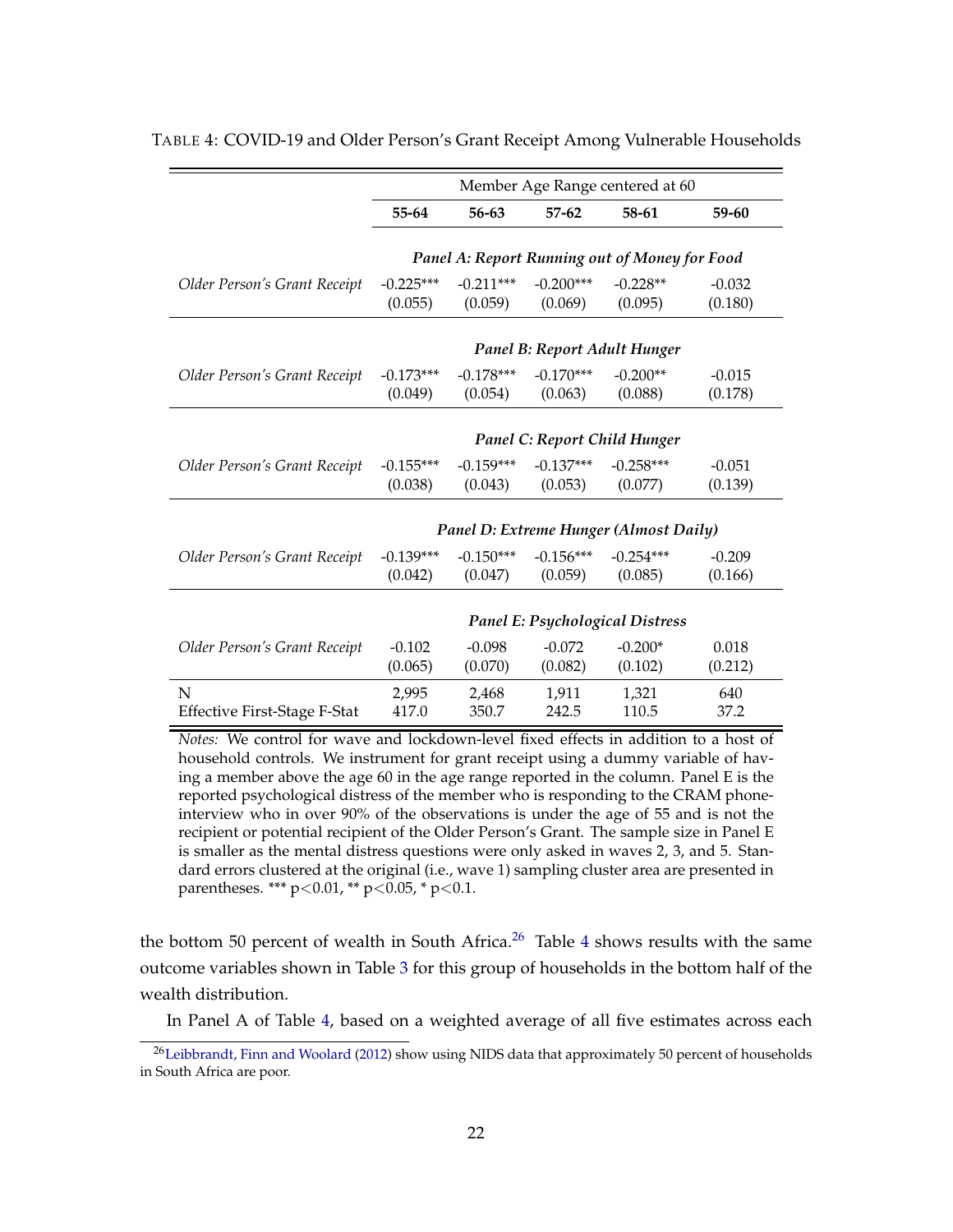|                                     | Member Age Range centered at 60        |                        |                        |                                               |                     |  |  |
|-------------------------------------|----------------------------------------|------------------------|------------------------|-----------------------------------------------|---------------------|--|--|
|                                     | 55-64                                  | 56-63                  | $57-62$                | 58-61                                         | 59-60               |  |  |
|                                     |                                        |                        |                        |                                               |                     |  |  |
|                                     |                                        |                        |                        | Panel A: Report Running out of Money for Food |                     |  |  |
| Older Person's Grant Receipt        | $-0.225***$<br>(0.055)                 | $-0.211***$<br>(0.059) | $-0.200***$<br>(0.069) | $-0.228**$<br>(0.095)                         | $-0.032$<br>(0.180) |  |  |
|                                     |                                        |                        |                        |                                               |                     |  |  |
|                                     |                                        |                        |                        | Panel B: Report Adult Hunger                  |                     |  |  |
| Older Person's Grant Receipt        | $-0.173***$                            | $-0.178***$            | $-0.170***$            | $-0.200**$                                    | $-0.015$            |  |  |
|                                     | (0.049)                                | (0.054)                | (0.063)                | (0.088)                                       | (0.178)             |  |  |
|                                     |                                        |                        |                        |                                               |                     |  |  |
|                                     |                                        |                        |                        | Panel C: Report Child Hunger                  |                     |  |  |
| Older Person's Grant Receipt        | $-0.155***$                            | $-0.159***$            | $-0.137***$            | $-0.258***$                                   | $-0.051$            |  |  |
|                                     | (0.038)                                | (0.043)                | (0.053)                | (0.077)                                       | (0.139)             |  |  |
|                                     |                                        |                        |                        |                                               |                     |  |  |
|                                     |                                        |                        |                        | Panel D: Extreme Hunger (Almost Daily)        |                     |  |  |
| Older Person's Grant Receipt        | $-0.139***$                            | $-0.150***$            | $-0.156***$            | $-0.254***$                                   | $-0.209$            |  |  |
|                                     | (0.042)                                | (0.047)                | (0.059)                | (0.085)                                       | (0.166)             |  |  |
|                                     |                                        |                        |                        |                                               |                     |  |  |
|                                     | <b>Panel E: Psychological Distress</b> |                        |                        |                                               |                     |  |  |
| Older Person's Grant Receipt        | $-0.102$                               | $-0.098$               | $-0.072$               | $-0.200*$                                     | 0.018               |  |  |
|                                     | (0.065)                                | (0.070)                | (0.082)                | (0.102)                                       | (0.212)             |  |  |
| N                                   | 2,995                                  | 2,468                  | 1,911                  | 1,321                                         | 640                 |  |  |
| <b>Effective First-Stage F-Stat</b> | 417.0                                  | 350.7                  | 242.5                  | 110.5                                         | 37.2                |  |  |

<span id="page-22-0"></span>TABLE 4: COVID-19 and Older Person's Grant Receipt Among Vulnerable Households

*Notes:* We control for wave and lockdown-level fixed effects in addition to a host of household controls. We instrument for grant receipt using a dummy variable of having a member above the age 60 in the age range reported in the column. Panel E is the reported psychological distress of the member who is responding to the CRAM phoneinterview who in over 90% of the observations is under the age of 55 and is not the recipient or potential recipient of the Older Person's Grant. The sample size in Panel E is smaller as the mental distress questions were only asked in waves 2, 3, and 5. Standard errors clustered at the original (i.e., wave 1) sampling cluster area are presented in parentheses. \*\*\* p<0.01, \*\* p<0.05, \* p<0.1.

the bottom 50 percent of wealth in South Africa.<sup>[26](#page-0-0)</sup> Table [4](#page-22-0) shows results with the same outcome variables shown in Table [3](#page-19-0) for this group of households in the bottom half of the wealth distribution.

In Panel A of Table [4,](#page-22-0) based on a weighted average of all five estimates across each

<sup>&</sup>lt;sup>26</sup>[Leibbrandt, Finn and Woolard](#page-26-11) [\(2012\)](#page-26-11) show using NIDS data that approximately 50 percent of households in South Africa are poor.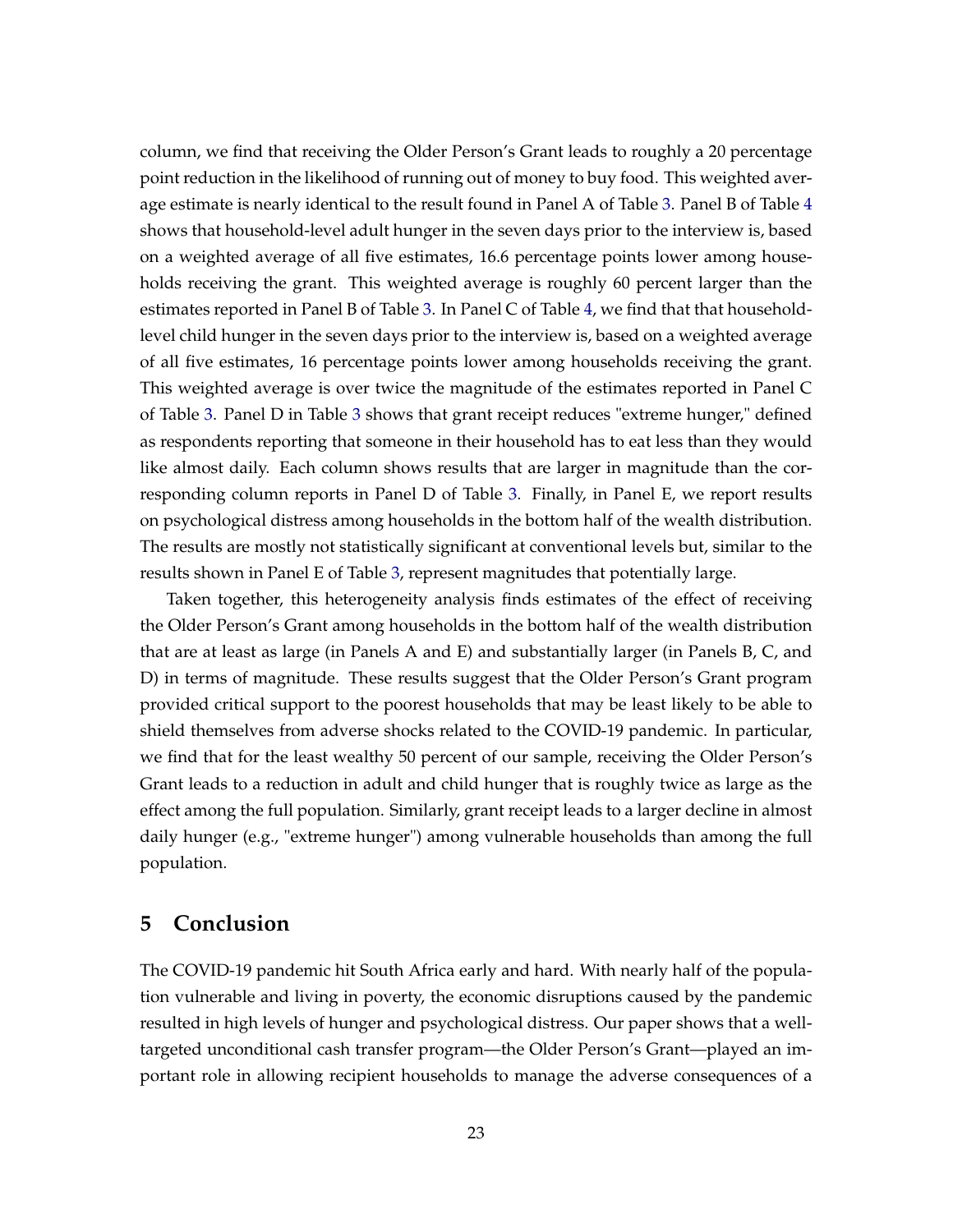column, we find that receiving the Older Person's Grant leads to roughly a 20 percentage point reduction in the likelihood of running out of money to buy food. This weighted average estimate is nearly identical to the result found in Panel A of Table [3.](#page-19-0) Panel B of Table [4](#page-22-0) shows that household-level adult hunger in the seven days prior to the interview is, based on a weighted average of all five estimates, 16.6 percentage points lower among households receiving the grant. This weighted average is roughly 60 percent larger than the estimates reported in Panel B of Table [3.](#page-19-0) In Panel C of Table [4,](#page-22-0) we find that that householdlevel child hunger in the seven days prior to the interview is, based on a weighted average of all five estimates, 16 percentage points lower among households receiving the grant. This weighted average is over twice the magnitude of the estimates reported in Panel C of Table [3.](#page-19-0) Panel D in Table [3](#page-19-0) shows that grant receipt reduces "extreme hunger," defined as respondents reporting that someone in their household has to eat less than they would like almost daily. Each column shows results that are larger in magnitude than the corresponding column reports in Panel D of Table [3.](#page-19-0) Finally, in Panel E, we report results on psychological distress among households in the bottom half of the wealth distribution. The results are mostly not statistically significant at conventional levels but, similar to the results shown in Panel E of Table [3,](#page-19-0) represent magnitudes that potentially large.

Taken together, this heterogeneity analysis finds estimates of the effect of receiving the Older Person's Grant among households in the bottom half of the wealth distribution that are at least as large (in Panels A and E) and substantially larger (in Panels B, C, and D) in terms of magnitude. These results suggest that the Older Person's Grant program provided critical support to the poorest households that may be least likely to be able to shield themselves from adverse shocks related to the COVID-19 pandemic. In particular, we find that for the least wealthy 50 percent of our sample, receiving the Older Person's Grant leads to a reduction in adult and child hunger that is roughly twice as large as the effect among the full population. Similarly, grant receipt leads to a larger decline in almost daily hunger (e.g., "extreme hunger") among vulnerable households than among the full population.

# **5 Conclusion**

The COVID-19 pandemic hit South Africa early and hard. With nearly half of the population vulnerable and living in poverty, the economic disruptions caused by the pandemic resulted in high levels of hunger and psychological distress. Our paper shows that a welltargeted unconditional cash transfer program—the Older Person's Grant—played an important role in allowing recipient households to manage the adverse consequences of a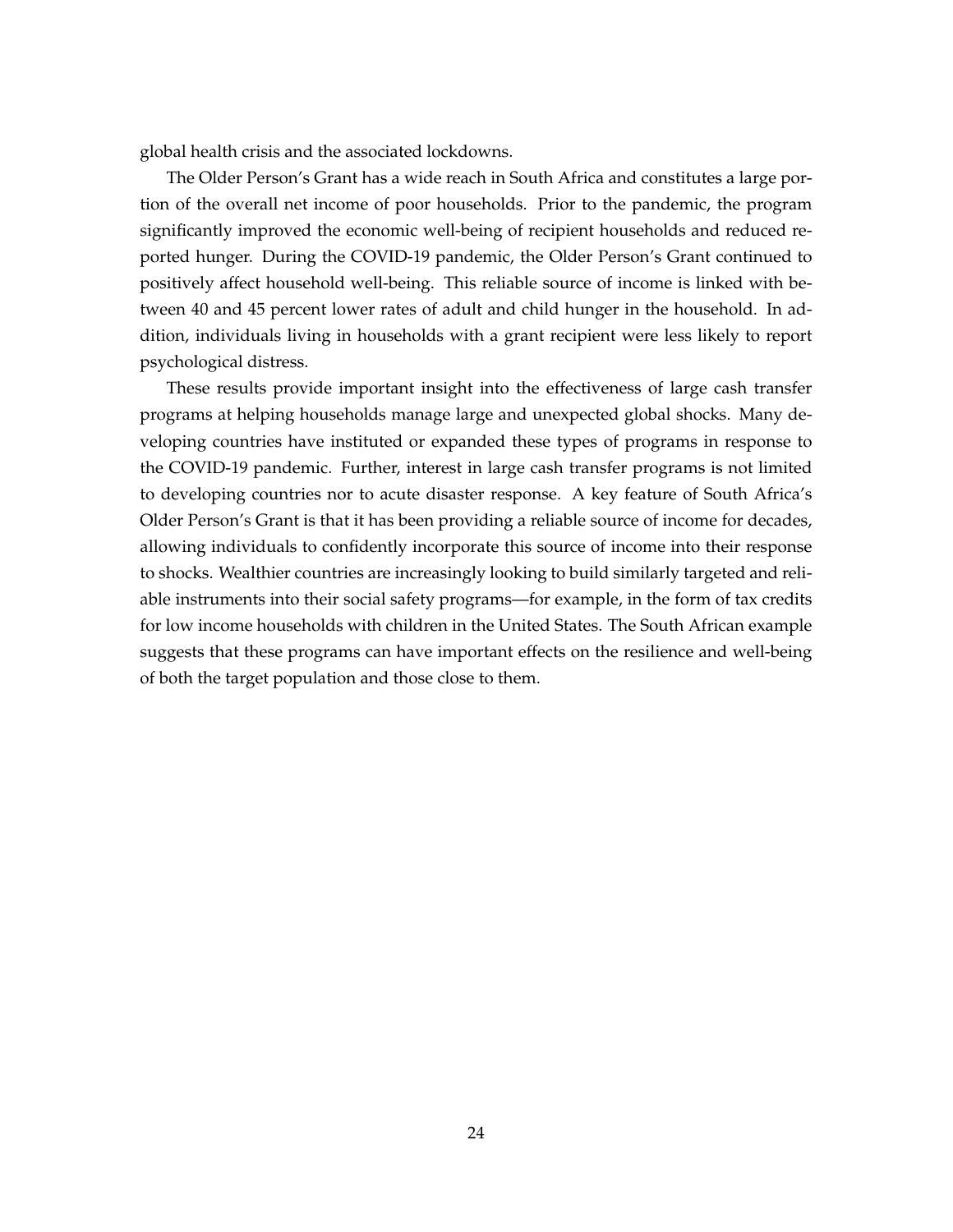global health crisis and the associated lockdowns.

The Older Person's Grant has a wide reach in South Africa and constitutes a large portion of the overall net income of poor households. Prior to the pandemic, the program significantly improved the economic well-being of recipient households and reduced reported hunger. During the COVID-19 pandemic, the Older Person's Grant continued to positively affect household well-being. This reliable source of income is linked with between 40 and 45 percent lower rates of adult and child hunger in the household. In addition, individuals living in households with a grant recipient were less likely to report psychological distress.

These results provide important insight into the effectiveness of large cash transfer programs at helping households manage large and unexpected global shocks. Many developing countries have instituted or expanded these types of programs in response to the COVID-19 pandemic. Further, interest in large cash transfer programs is not limited to developing countries nor to acute disaster response. A key feature of South Africa's Older Person's Grant is that it has been providing a reliable source of income for decades, allowing individuals to confidently incorporate this source of income into their response to shocks. Wealthier countries are increasingly looking to build similarly targeted and reliable instruments into their social safety programs—for example, in the form of tax credits for low income households with children in the United States. The South African example suggests that these programs can have important effects on the resilience and well-being of both the target population and those close to them.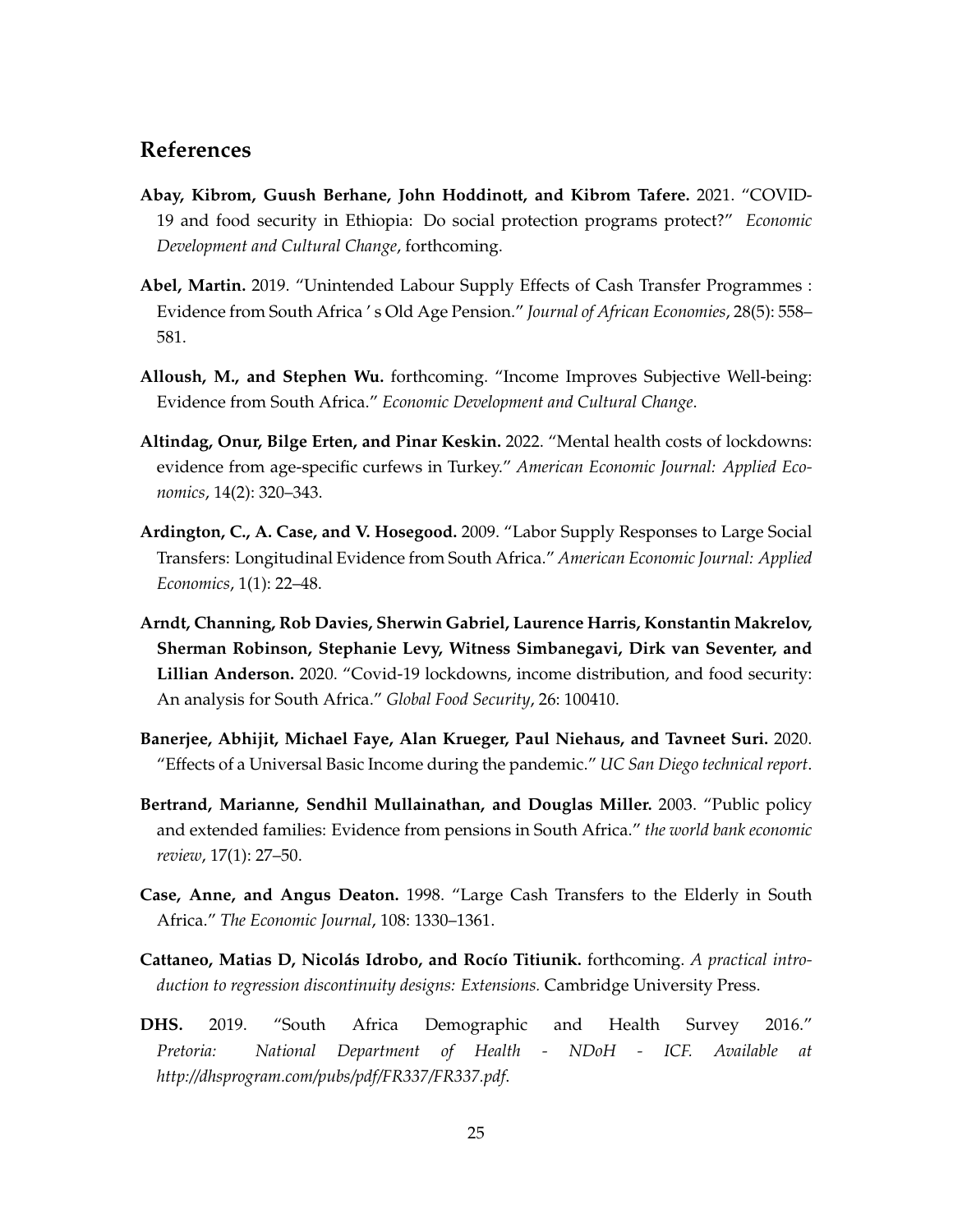## **References**

- <span id="page-25-4"></span>**Abay, Kibrom, Guush Berhane, John Hoddinott, and Kibrom Tafere.** 2021. "COVID-19 and food security in Ethiopia: Do social protection programs protect?" *Economic Development and Cultural Change*, forthcoming.
- <span id="page-25-5"></span>**Abel, Martin.** 2019. "Unintended Labour Supply Effects of Cash Transfer Programmes : Evidence from South Africa ' s Old Age Pension." *Journal of African Economies*, 28(5): 558– 581.
- <span id="page-25-10"></span>**Alloush, M., and Stephen Wu.** forthcoming. "Income Improves Subjective Well-being: Evidence from South Africa." *Economic Development and Cultural Change*.
- <span id="page-25-2"></span>**Altindag, Onur, Bilge Erten, and Pinar Keskin.** 2022. "Mental health costs of lockdowns: evidence from age-specific curfews in Turkey." *American Economic Journal: Applied Economics*, 14(2): 320–343.
- <span id="page-25-6"></span>**Ardington, C., A. Case, and V. Hosegood.** 2009. "Labor Supply Responses to Large Social Transfers: Longitudinal Evidence from South Africa." *American Economic Journal: Applied Economics*, 1(1): 22–48.
- <span id="page-25-1"></span>**Arndt, Channing, Rob Davies, Sherwin Gabriel, Laurence Harris, Konstantin Makrelov, Sherman Robinson, Stephanie Levy, Witness Simbanegavi, Dirk van Seventer, and Lillian Anderson.** 2020. "Covid-19 lockdowns, income distribution, and food security: An analysis for South Africa." *Global Food Security*, 26: 100410.
- <span id="page-25-3"></span>**Banerjee, Abhijit, Michael Faye, Alan Krueger, Paul Niehaus, and Tavneet Suri.** 2020. "Effects of a Universal Basic Income during the pandemic." *UC San Diego technical report*.
- <span id="page-25-7"></span>**Bertrand, Marianne, Sendhil Mullainathan, and Douglas Miller.** 2003. "Public policy and extended families: Evidence from pensions in South Africa." *the world bank economic review*, 17(1): 27–50.
- <span id="page-25-0"></span>**Case, Anne, and Angus Deaton.** 1998. "Large Cash Transfers to the Elderly in South Africa." *The Economic Journal*, 108: 1330–1361.
- <span id="page-25-9"></span>**Cattaneo, Matias D, Nicolás Idrobo, and Rocío Titiunik.** forthcoming. *A practical introduction to regression discontinuity designs: Extensions.* Cambridge University Press.
- <span id="page-25-8"></span>**DHS.** 2019. "South Africa Demographic and Health Survey 2016." *Pretoria: National Department of Health - NDoH - ICF. Available at http://dhsprogram.com/pubs/pdf/FR337/FR337.pdf*.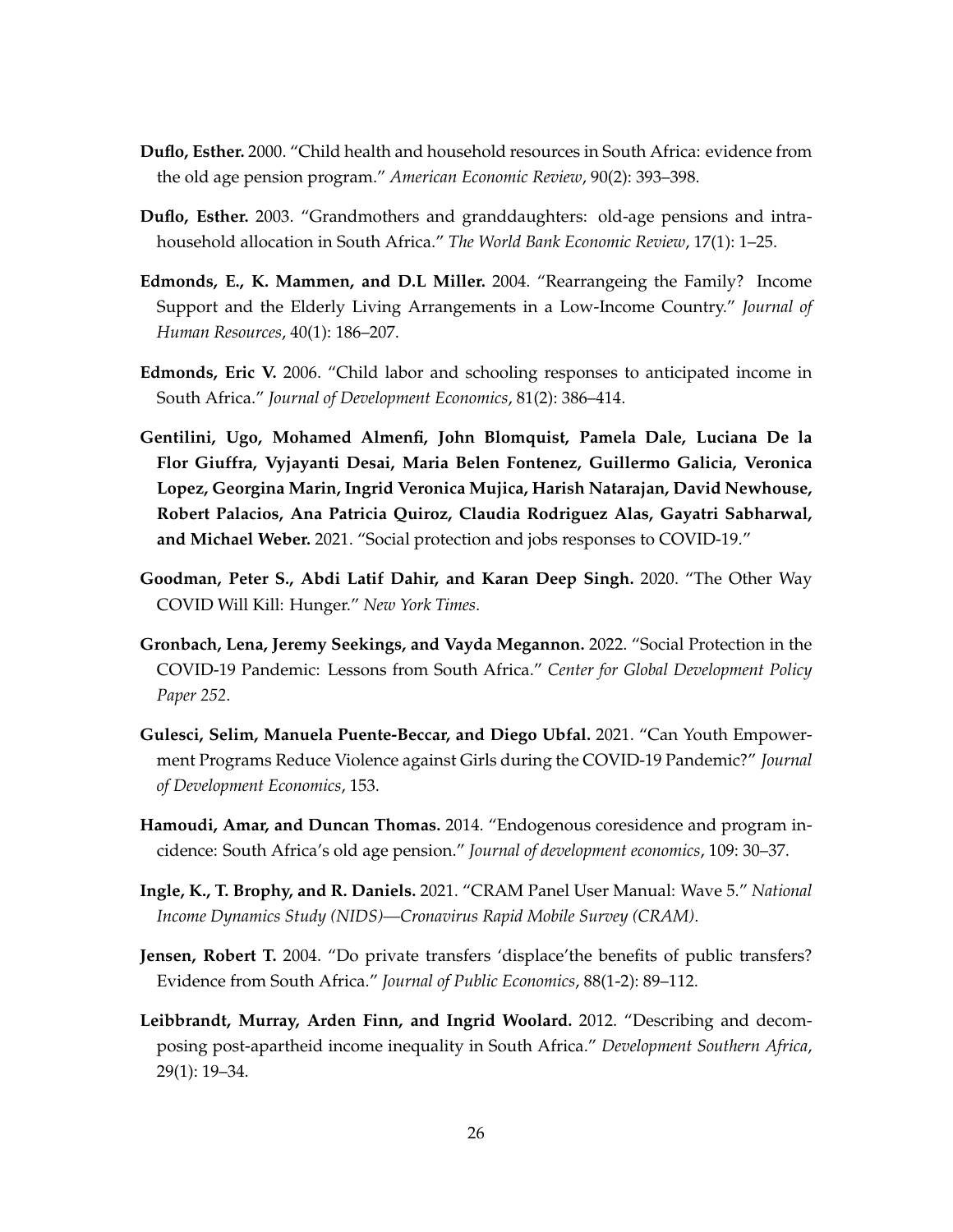- <span id="page-26-2"></span>**Duflo, Esther.** 2000. "Child health and household resources in South Africa: evidence from the old age pension program." *American Economic Review*, 90(2): 393–398.
- <span id="page-26-3"></span>**Duflo, Esther.** 2003. "Grandmothers and granddaughters: old-age pensions and intrahousehold allocation in South Africa." *The World Bank Economic Review*, 17(1): 1–25.
- <span id="page-26-4"></span>**Edmonds, E., K. Mammen, and D.L Miller.** 2004. "Rearrangeing the Family? Income Support and the Elderly Living Arrangements in a Low-Income Country." *Journal of Human Resources*, 40(1): 186–207.
- <span id="page-26-5"></span>**Edmonds, Eric V.** 2006. "Child labor and schooling responses to anticipated income in South Africa." *Journal of Development Economics*, 81(2): 386–414.
- <span id="page-26-0"></span>**Gentilini, Ugo, Mohamed Almenfi, John Blomquist, Pamela Dale, Luciana De la Flor Giuffra, Vyjayanti Desai, Maria Belen Fontenez, Guillermo Galicia, Veronica Lopez, Georgina Marin, Ingrid Veronica Mujica, Harish Natarajan, David Newhouse, Robert Palacios, Ana Patricia Quiroz, Claudia Rodriguez Alas, Gayatri Sabharwal, and Michael Weber.** 2021. "Social protection and jobs responses to COVID-19."
- <span id="page-26-9"></span>**Goodman, Peter S., Abdi Latif Dahir, and Karan Deep Singh.** 2020. "The Other Way COVID Will Kill: Hunger." *New York Times*.
- <span id="page-26-8"></span>**Gronbach, Lena, Jeremy Seekings, and Vayda Megannon.** 2022. "Social Protection in the COVID-19 Pandemic: Lessons from South Africa." *Center for Global Development Policy Paper 252*.
- <span id="page-26-1"></span>**Gulesci, Selim, Manuela Puente-Beccar, and Diego Ubfal.** 2021. "Can Youth Empowerment Programs Reduce Violence against Girls during the COVID-19 Pandemic?" *Journal of Development Economics*, 153.
- <span id="page-26-6"></span>**Hamoudi, Amar, and Duncan Thomas.** 2014. "Endogenous coresidence and program incidence: South Africa's old age pension." *Journal of development economics*, 109: 30–37.
- <span id="page-26-10"></span>**Ingle, K., T. Brophy, and R. Daniels.** 2021. "CRAM Panel User Manual: Wave 5." *National Income Dynamics Study (NIDS)—Cronavirus Rapid Mobile Survey (CRAM)*.
- <span id="page-26-7"></span>**Jensen, Robert T.** 2004. "Do private transfers 'displace'the benefits of public transfers? Evidence from South Africa." *Journal of Public Economics*, 88(1-2): 89–112.
- <span id="page-26-11"></span>**Leibbrandt, Murray, Arden Finn, and Ingrid Woolard.** 2012. "Describing and decomposing post-apartheid income inequality in South Africa." *Development Southern Africa*, 29(1): 19–34.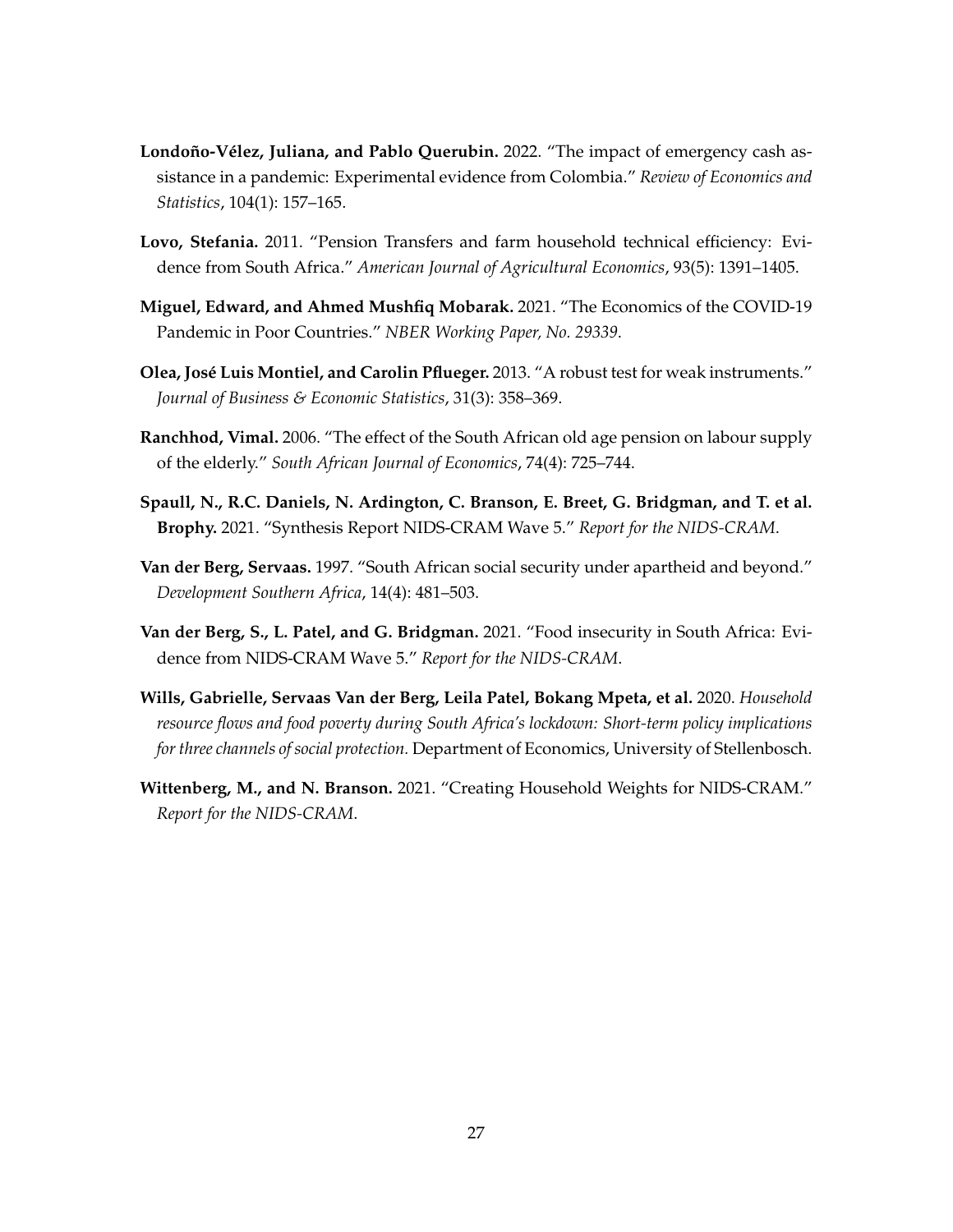- <span id="page-27-2"></span>**Londoño-Vélez, Juliana, and Pablo Querubin.** 2022. "The impact of emergency cash assistance in a pandemic: Experimental evidence from Colombia." *Review of Economics and Statistics*, 104(1): 157–165.
- <span id="page-27-3"></span>**Lovo, Stefania.** 2011. "Pension Transfers and farm household technical efficiency: Evidence from South Africa." *American Journal of Agricultural Economics*, 93(5): 1391–1405.
- <span id="page-27-0"></span>**Miguel, Edward, and Ahmed Mushfiq Mobarak.** 2021. "The Economics of the COVID-19 Pandemic in Poor Countries." *NBER Working Paper, No. 29339*.
- <span id="page-27-9"></span>**Olea, José Luis Montiel, and Carolin Pflueger.** 2013. "A robust test for weak instruments." *Journal of Business & Economic Statistics*, 31(3): 358–369.
- <span id="page-27-7"></span>**Ranchhod, Vimal.** 2006. "The effect of the South African old age pension on labour supply of the elderly." *South African Journal of Economics*, 74(4): 725–744.
- <span id="page-27-4"></span>**Spaull, N., R.C. Daniels, N. Ardington, C. Branson, E. Breet, G. Bridgman, and T. et al. Brophy.** 2021. "Synthesis Report NIDS-CRAM Wave 5." *Report for the NIDS-CRAM*.
- <span id="page-27-6"></span>**Van der Berg, Servaas.** 1997. "South African social security under apartheid and beyond." *Development Southern Africa*, 14(4): 481–503.
- <span id="page-27-5"></span>**Van der Berg, S., L. Patel, and G. Bridgman.** 2021. "Food insecurity in South Africa: Evidence from NIDS-CRAM Wave 5." *Report for the NIDS-CRAM*.
- <span id="page-27-1"></span>**Wills, Gabrielle, Servaas Van der Berg, Leila Patel, Bokang Mpeta, et al.** 2020. *Household resource flows and food poverty during South Africa's lockdown: Short-term policy implications for three channels of social protection.* Department of Economics, University of Stellenbosch.
- <span id="page-27-8"></span>**Wittenberg, M., and N. Branson.** 2021. "Creating Household Weights for NIDS-CRAM." *Report for the NIDS-CRAM*.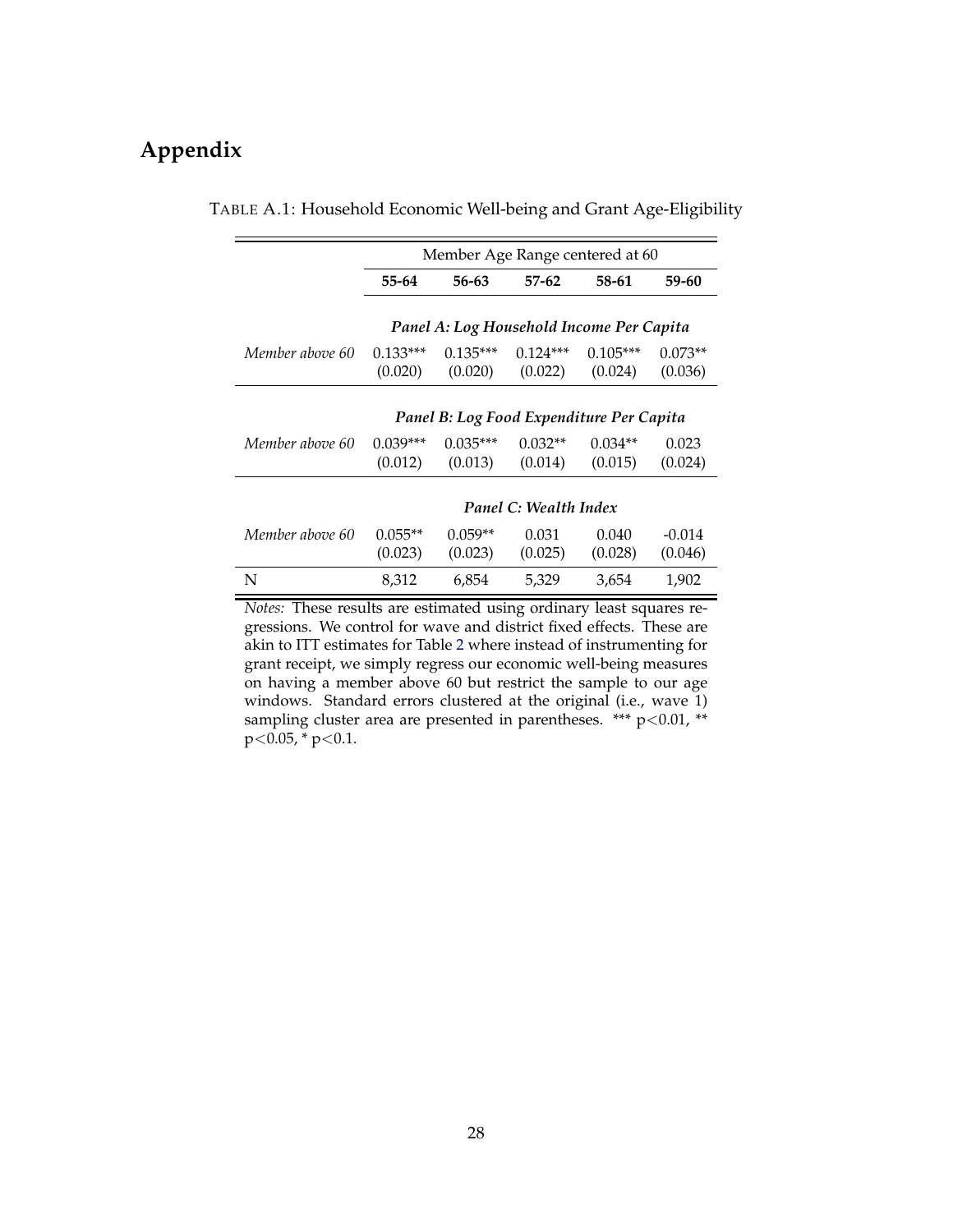# <span id="page-28-0"></span>**Appendix**

|                 | Member Age Range centered at 60          |            |                       |                                          |           |  |  |
|-----------------|------------------------------------------|------------|-----------------------|------------------------------------------|-----------|--|--|
|                 | 55-64                                    | 56-63      | $57-62$               | 58-61                                    | 59-60     |  |  |
|                 |                                          |            |                       | Panel A: Log Household Income Per Capita |           |  |  |
| Member above 60 | $0.133***$                               | $0.135***$ | $0.124***$            | $0.105***$                               | $0.073**$ |  |  |
|                 | (0.020)                                  | (0.020)    | (0.022)               | (0.024)                                  | (0.036)   |  |  |
|                 | Panel B: Log Food Expenditure Per Capita |            |                       |                                          |           |  |  |
| Member above 60 | $0.039***$                               | $0.035***$ | $0.032**$             | $0.034**$                                | 0.023     |  |  |
|                 | (0.012)                                  | (0.013)    | (0.014)               | (0.015)                                  | (0.024)   |  |  |
|                 |                                          |            | Panel C: Wealth Index |                                          |           |  |  |
| Member above 60 | $0.055**$                                | $0.059**$  | 0.031                 | 0.040                                    | $-0.014$  |  |  |
|                 | (0.023)                                  | (0.023)    | (0.025)               | (0.028)                                  | (0.046)   |  |  |
| N               | 8,312                                    | 6,854      | 5,329                 | 3,654                                    | 1,902     |  |  |

#### TABLE A.1: Household Economic Well-being and Grant Age-Eligibility

*Notes:* These results are estimated using ordinary least squares regressions. We control for wave and district fixed effects. These are akin to ITT estimates for Table [2](#page-17-0) where instead of instrumenting for grant receipt, we simply regress our economic well-being measures on having a member above 60 but restrict the sample to our age windows. Standard errors clustered at the original (i.e., wave 1) sampling cluster area are presented in parentheses. \*\*\*  $p<0.01$ , \*\*  $p < 0.05$ , \*  $p < 0.1$ .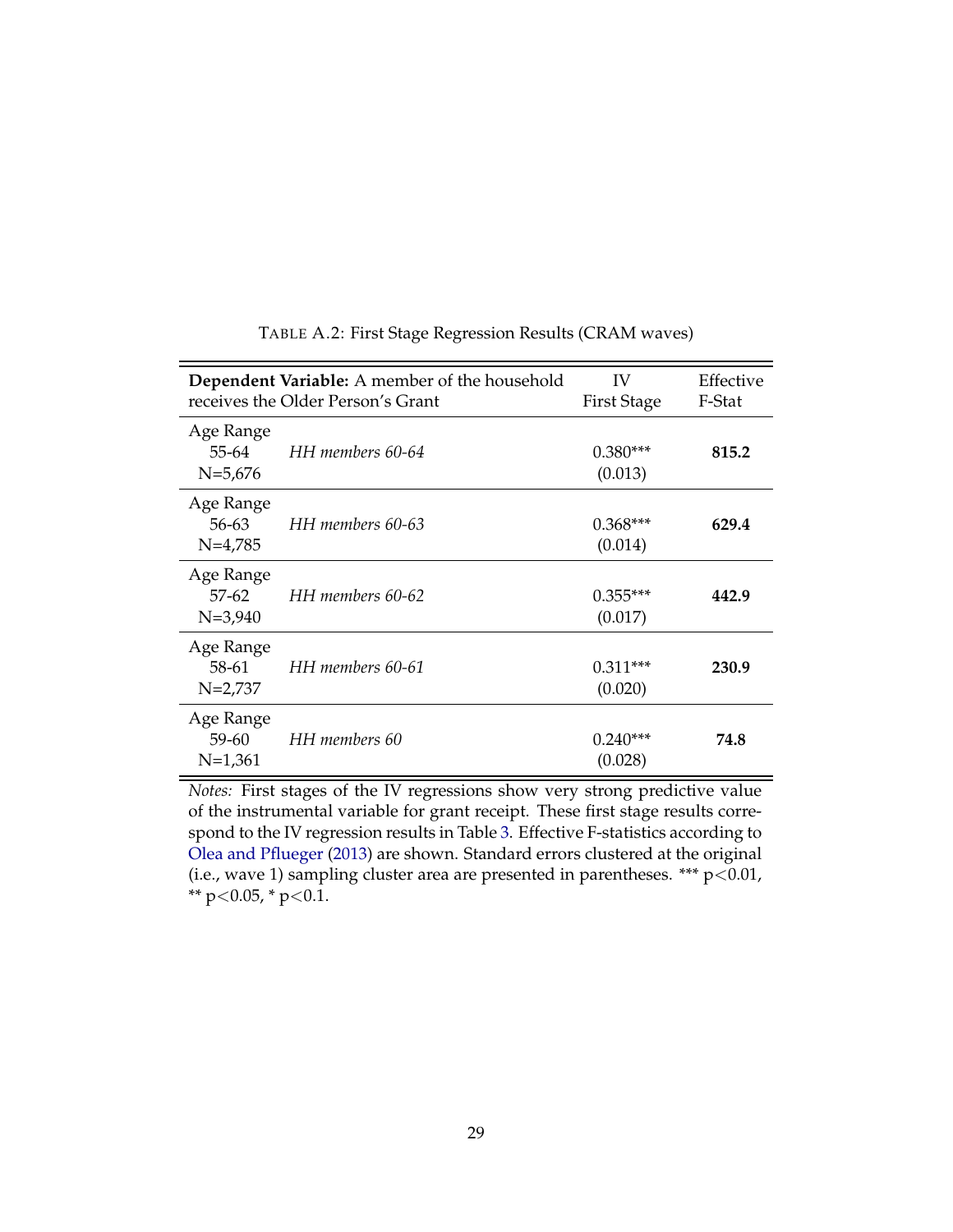<span id="page-29-0"></span>

|                                       | <b>Dependent Variable:</b> A member of the household<br>receives the Older Person's Grant | IV<br><b>First Stage</b> | Effective<br>F-Stat |
|---------------------------------------|-------------------------------------------------------------------------------------------|--------------------------|---------------------|
| Age Range<br>55-64<br>$N=5,676$       | HH members 60-64                                                                          | $0.380***$<br>(0.013)    | 815.2               |
| Age Range<br>56-63<br>$N=4,785$       | HH members 60-63                                                                          | $0.368***$<br>(0.014)    | 629.4               |
| Age Range<br>$57 - 62$<br>$N = 3,940$ | HH members 60-62                                                                          | $0.355***$<br>(0.017)    | 442.9               |
| Age Range<br>58-61<br>$N=2,737$       | HH members 60-61                                                                          | $0.311***$<br>(0.020)    | 230.9               |
| Age Range<br>$59 - 60$<br>$N=1,361$   | HH members 60                                                                             | $0.240***$<br>(0.028)    | 74.8                |

TABLE A.2: First Stage Regression Results (CRAM waves)

*Notes:* First stages of the IV regressions show very strong predictive value of the instrumental variable for grant receipt. These first stage results correspond to the IV regression results in Table [3.](#page-19-0) Effective F-statistics according to [Olea and Pflueger](#page-27-9) [\(2013\)](#page-27-9) are shown. Standard errors clustered at the original (i.e., wave 1) sampling cluster area are presented in parentheses. \*\*\*  $p<0.01$ , \*\*  $p<0.05$ , \*  $p<0.1$ .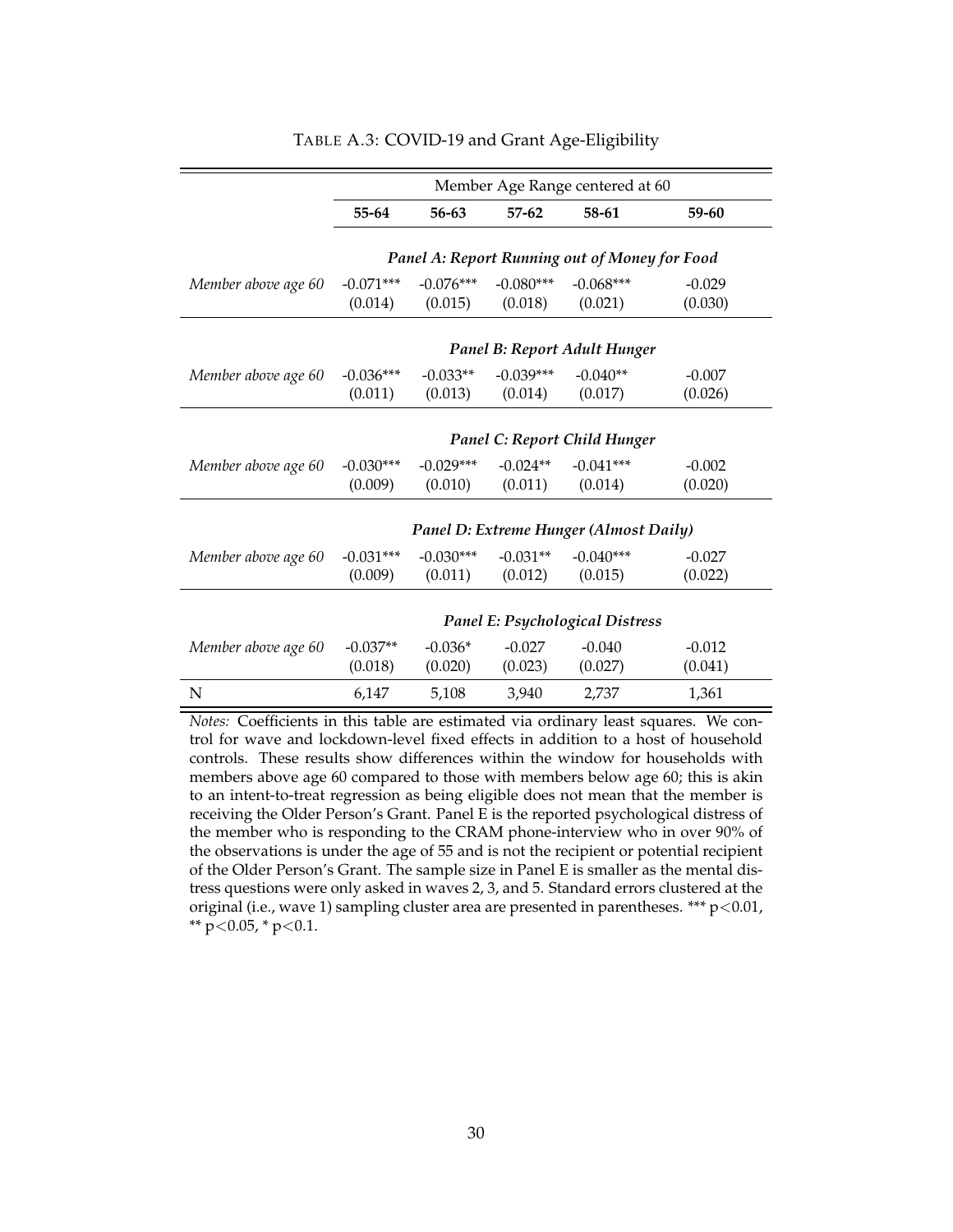<span id="page-30-0"></span>

|                     | Member Age Range centered at 60        |             |             |                                               |           |  |
|---------------------|----------------------------------------|-------------|-------------|-----------------------------------------------|-----------|--|
|                     | 55-64                                  | 56-63       | $57-62$     | 58-61                                         | $59 - 60$ |  |
|                     |                                        |             |             |                                               |           |  |
|                     |                                        |             |             | Panel A: Report Running out of Money for Food |           |  |
| Member above age 60 | $-0.071***$                            | $-0.076***$ | $-0.080***$ | $-0.068***$                                   | $-0.029$  |  |
|                     | (0.014)                                | (0.015)     | (0.018)     | (0.021)                                       | (0.030)   |  |
|                     |                                        |             |             |                                               |           |  |
|                     |                                        |             |             | Panel B: Report Adult Hunger                  |           |  |
| Member above age 60 | $-0.036***$                            | $-0.033**$  | $-0.039***$ | $-0.040**$                                    | $-0.007$  |  |
|                     | (0.011)                                | (0.013)     | (0.014)     | (0.017)                                       | (0.026)   |  |
|                     |                                        |             |             |                                               |           |  |
|                     |                                        |             |             | Panel C: Report Child Hunger                  |           |  |
| Member above age 60 | $-0.030***$                            | $-0.029***$ | $-0.024**$  | $-0.041***$                                   | $-0.002$  |  |
|                     | (0.009)                                | (0.010)     | (0.011)     | (0.014)                                       | (0.020)   |  |
|                     |                                        |             |             |                                               |           |  |
|                     |                                        |             |             | Panel D: Extreme Hunger (Almost Daily)        |           |  |
| Member above age 60 | $-0.031***$                            | $-0.030***$ | $-0.031**$  | $-0.040***$                                   | $-0.027$  |  |
|                     | (0.009)                                | (0.011)     | (0.012)     | (0.015)                                       | (0.022)   |  |
|                     |                                        |             |             |                                               |           |  |
|                     | <b>Panel E: Psychological Distress</b> |             |             |                                               |           |  |
| Member above age 60 | $-0.037**$                             | $-0.036*$   | $-0.027$    | $-0.040$                                      | $-0.012$  |  |
|                     | (0.018)                                | (0.020)     | (0.023)     | (0.027)                                       | (0.041)   |  |
| N                   | 6,147                                  | 5,108       | 3.940       | 2,737                                         | 1,361     |  |

#### TABLE A.3: COVID-19 and Grant Age-Eligibility

*Notes:* Coefficients in this table are estimated via ordinary least squares. We control for wave and lockdown-level fixed effects in addition to a host of household controls. These results show differences within the window for households with members above age 60 compared to those with members below age 60; this is akin to an intent-to-treat regression as being eligible does not mean that the member is receiving the Older Person's Grant. Panel E is the reported psychological distress of the member who is responding to the CRAM phone-interview who in over 90% of the observations is under the age of 55 and is not the recipient or potential recipient of the Older Person's Grant. The sample size in Panel E is smaller as the mental distress questions were only asked in waves 2, 3, and 5. Standard errors clustered at the original (i.e., wave 1) sampling cluster area are presented in parentheses. \*\*\*  $p<0.01$ , \*\*  $p<0.05$ , \*  $p<0.1$ .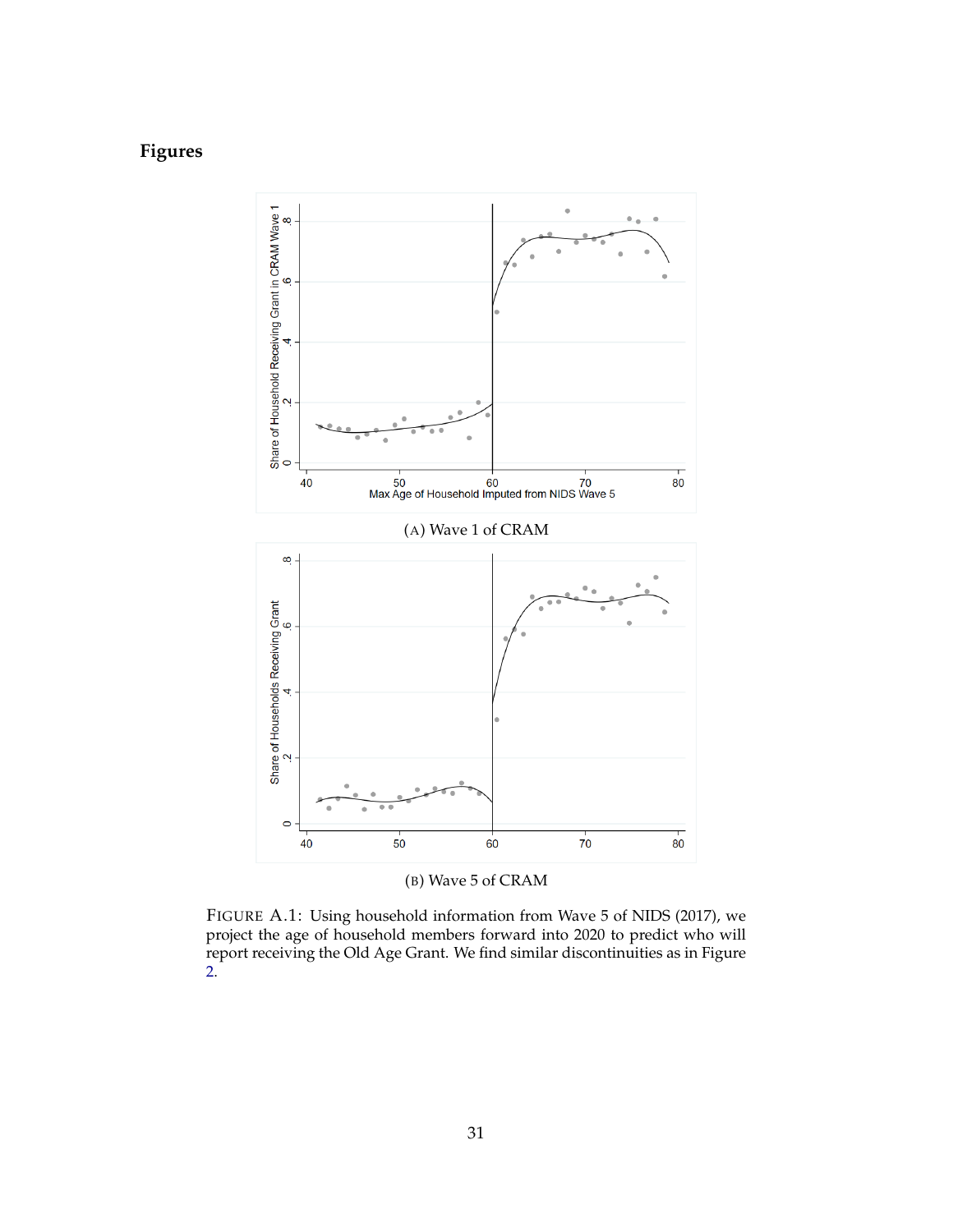# <span id="page-31-0"></span>**Figures**



(B) Wave 5 of CRAM

FIGURE A.1: Using household information from Wave 5 of NIDS (2017), we project the age of household members forward into 2020 to predict who will report receiving the Old Age Grant. We find similar discontinuities as in Figure [2.](#page-11-0)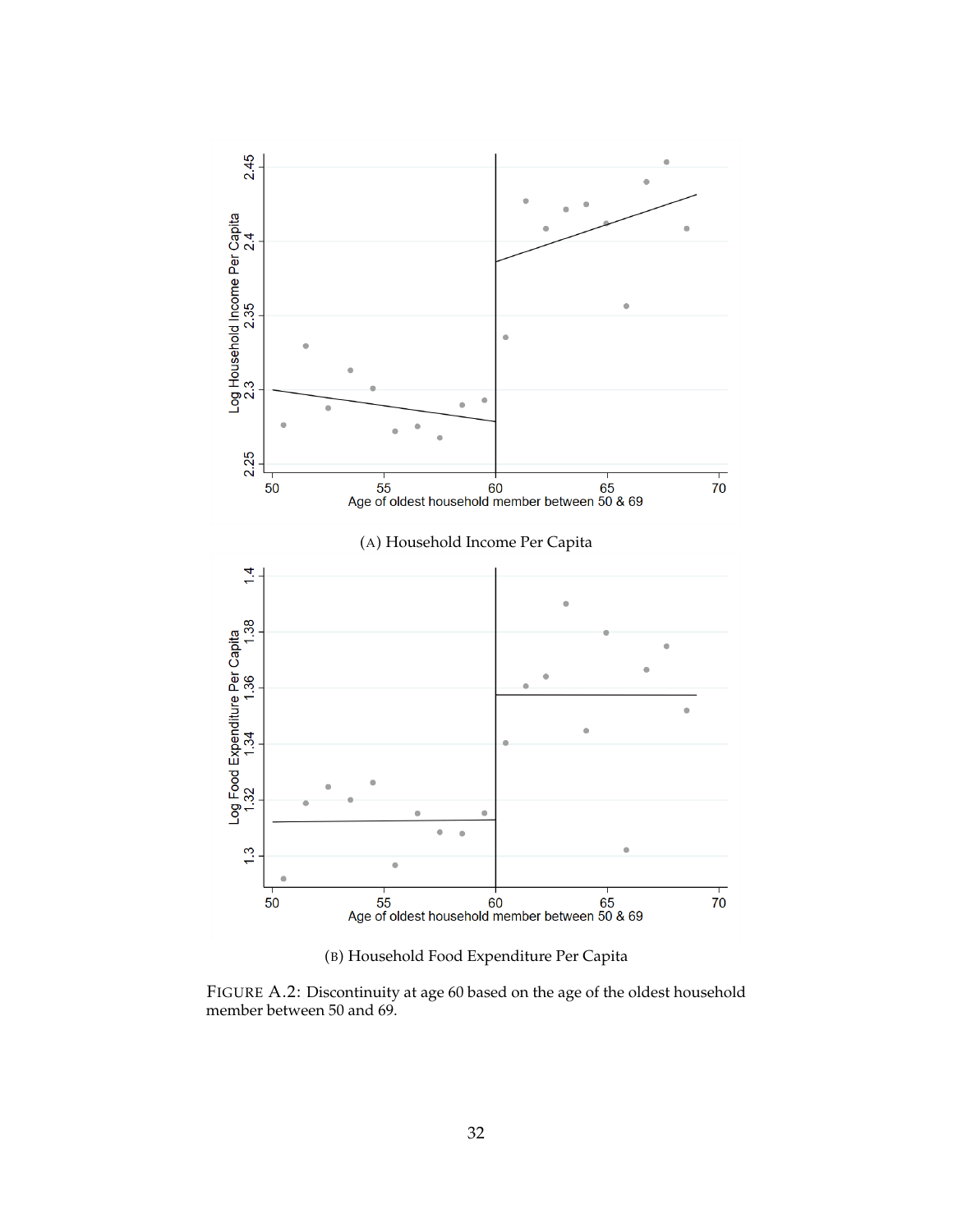<span id="page-32-0"></span>

(B) Household Food Expenditure Per Capita

FIGURE A.2: Discontinuity at age 60 based on the age of the oldest household member between 50 and 69.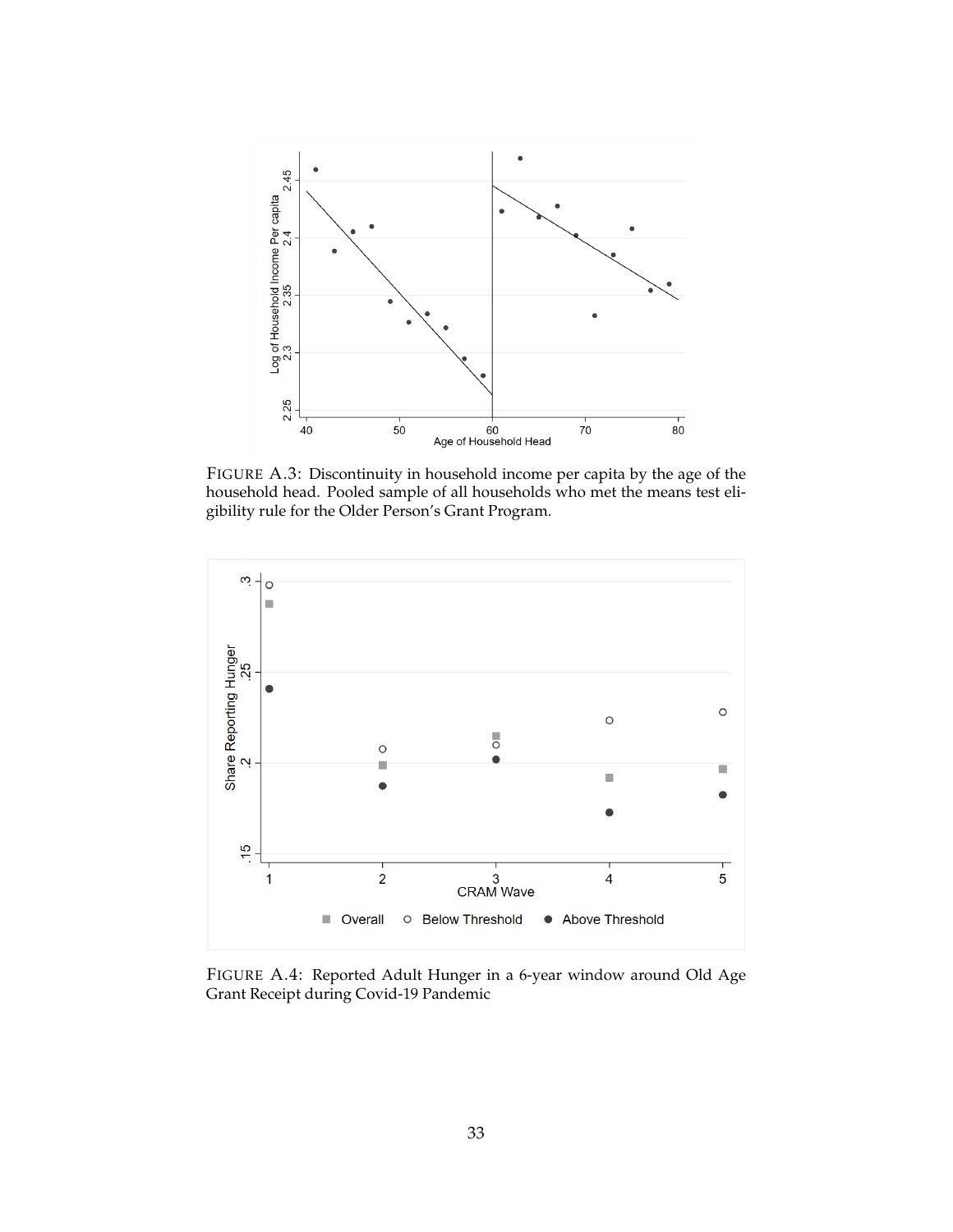<span id="page-33-0"></span>

FIGURE A.3: Discontinuity in household income per capita by the age of the household head. Pooled sample of all households who met the means test eligibility rule for the Older Person's Grant Program.

<span id="page-33-1"></span>

FIGURE A.4: Reported Adult Hunger in a 6-year window around Old Age Grant Receipt during Covid-19 Pandemic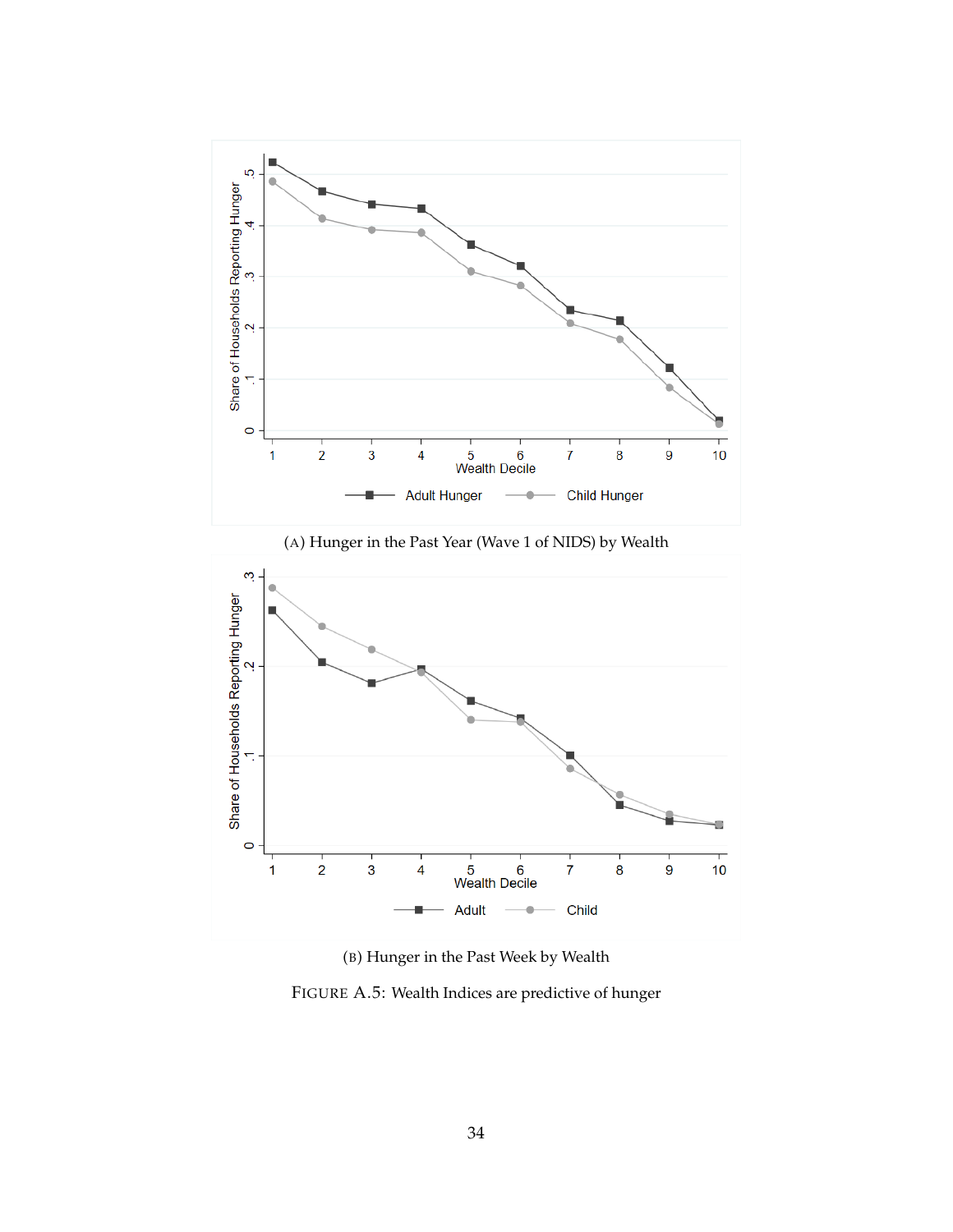<span id="page-34-0"></span>

(A) Hunger in the Past Year (Wave 1 of NIDS) by Wealth



(B) Hunger in the Past Week by Wealth

FIGURE A.5: Wealth Indices are predictive of hunger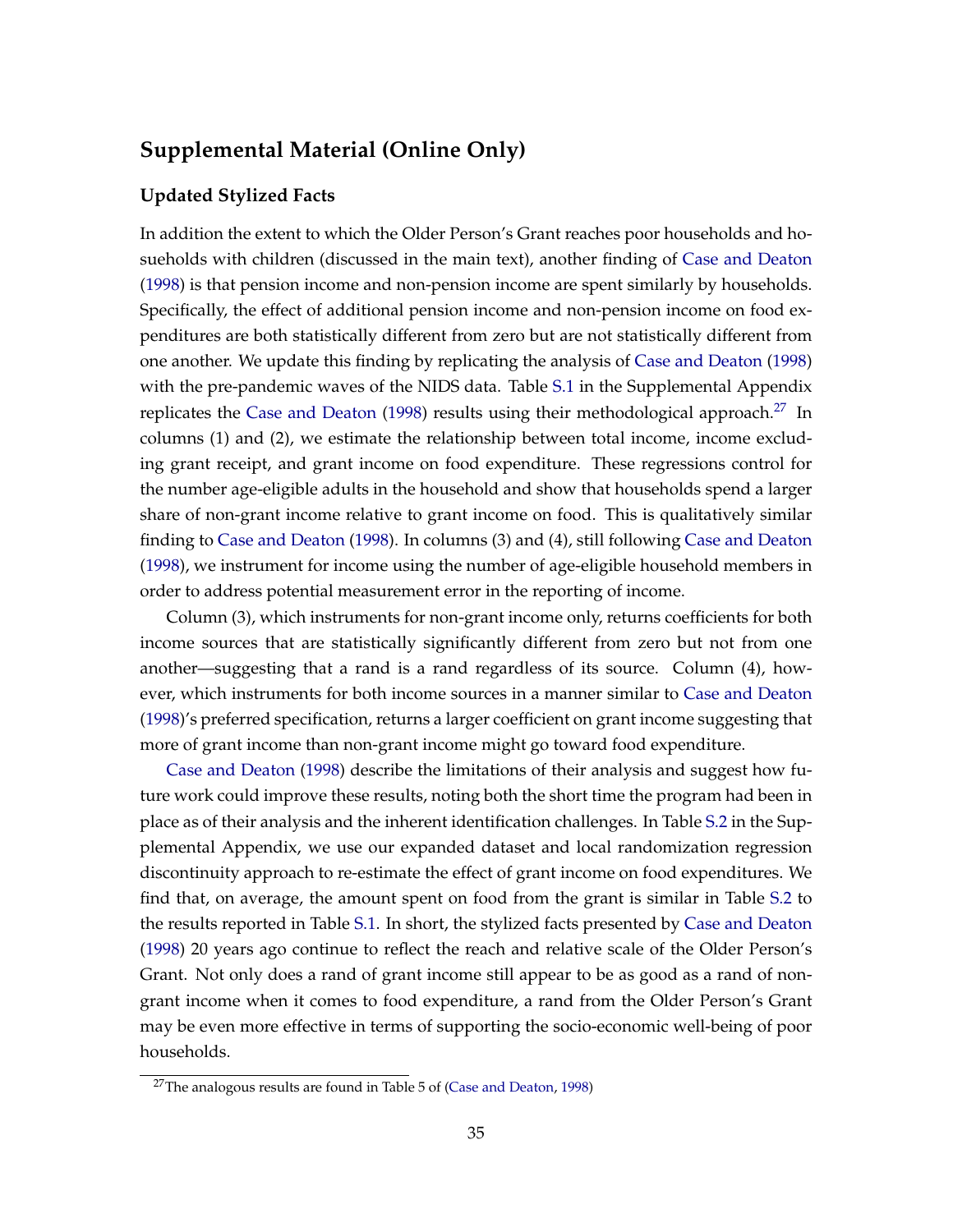# **Supplemental Material (Online Only)**

#### **Updated Stylized Facts**

In addition the extent to which the Older Person's Grant reaches poor households and hosueholds with children (discussed in the main text), another finding of [Case and Deaton](#page-25-0) [\(1998\)](#page-25-0) is that pension income and non-pension income are spent similarly by households. Specifically, the effect of additional pension income and non-pension income on food expenditures are both statistically different from zero but are not statistically different from one another. We update this finding by replicating the analysis of [Case and Deaton](#page-25-0) [\(1998\)](#page-25-0) with the pre-pandemic waves of the NIDS data. Table [S.1](#page-36-0) in the Supplemental Appendix replicates the [Case and Deaton](#page-25-0) [\(1998\)](#page-25-0) results using their methodological approach.<sup>[27](#page-0-0)</sup> In columns (1) and (2), we estimate the relationship between total income, income excluding grant receipt, and grant income on food expenditure. These regressions control for the number age-eligible adults in the household and show that households spend a larger share of non-grant income relative to grant income on food. This is qualitatively similar finding to [Case and Deaton](#page-25-0) [\(1998\)](#page-25-0). In columns (3) and (4), still following [Case and Deaton](#page-25-0) [\(1998\)](#page-25-0), we instrument for income using the number of age-eligible household members in order to address potential measurement error in the reporting of income.

Column (3), which instruments for non-grant income only, returns coefficients for both income sources that are statistically significantly different from zero but not from one another—suggesting that a rand is a rand regardless of its source. Column (4), however, which instruments for both income sources in a manner similar to [Case and Deaton](#page-25-0) [\(1998\)](#page-25-0)'s preferred specification, returns a larger coefficient on grant income suggesting that more of grant income than non-grant income might go toward food expenditure.

[Case and Deaton](#page-25-0) [\(1998\)](#page-25-0) describe the limitations of their analysis and suggest how future work could improve these results, noting both the short time the program had been in place as of their analysis and the inherent identification challenges. In Table [S.2](#page-37-0) in the Supplemental Appendix, we use our expanded dataset and local randomization regression discontinuity approach to re-estimate the effect of grant income on food expenditures. We find that, on average, the amount spent on food from the grant is similar in Table [S.2](#page-37-0) to the results reported in Table [S.1.](#page-36-0) In short, the stylized facts presented by [Case and Deaton](#page-25-0) [\(1998\)](#page-25-0) 20 years ago continue to reflect the reach and relative scale of the Older Person's Grant. Not only does a rand of grant income still appear to be as good as a rand of nongrant income when it comes to food expenditure, a rand from the Older Person's Grant may be even more effective in terms of supporting the socio-economic well-being of poor households.

 $27$ The analogous results are found in Table 5 of [\(Case and Deaton,](#page-25-0) [1998\)](#page-25-0)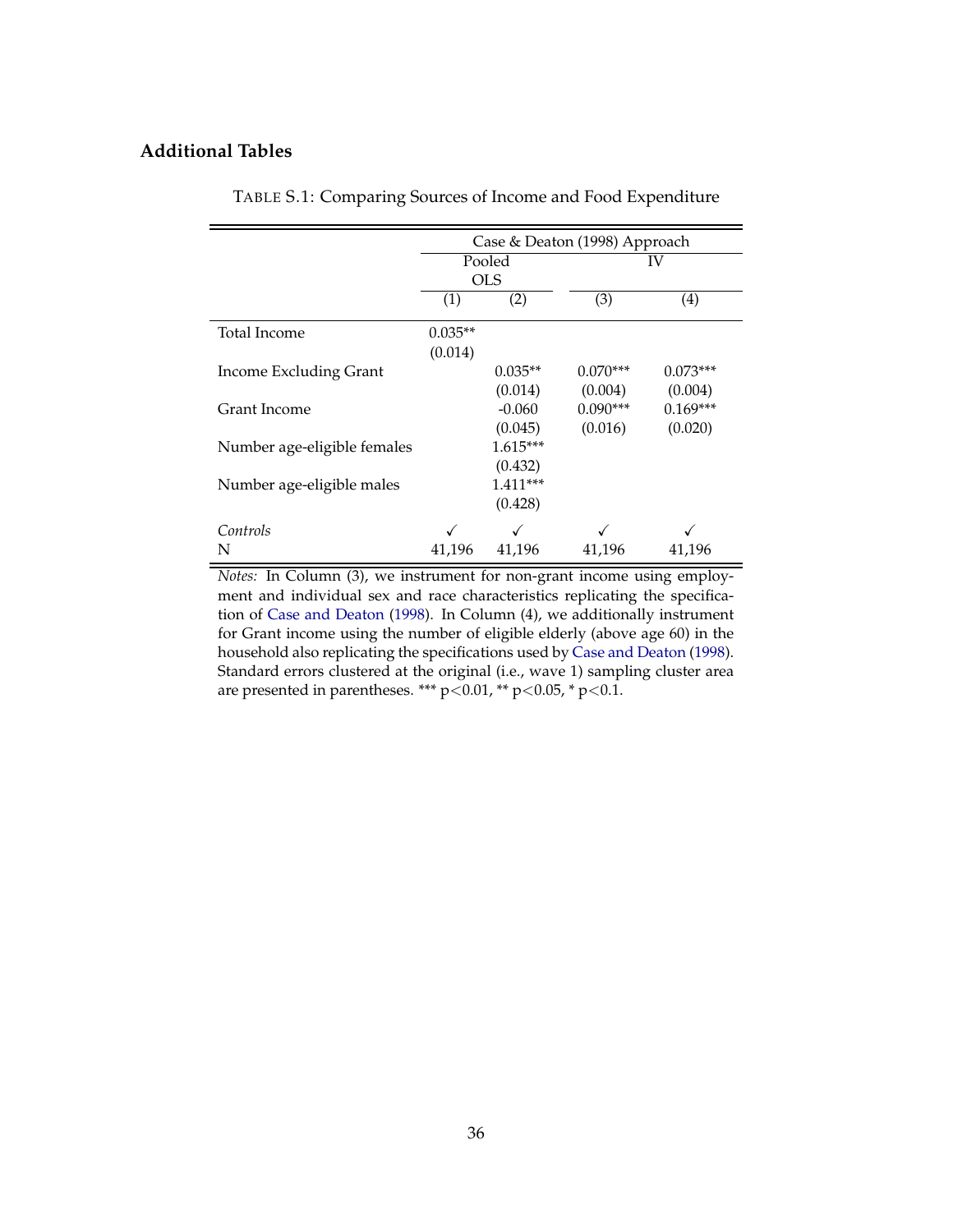### <span id="page-36-0"></span>**Additional Tables**

|                               | Case & Deaton (1998) Approach |            |            |            |  |  |
|-------------------------------|-------------------------------|------------|------------|------------|--|--|
|                               |                               | Pooled     | IV         |            |  |  |
|                               |                               | <b>OLS</b> |            |            |  |  |
|                               | (1)                           | (2)        | (3)        | (4)        |  |  |
| Total Income                  | $0.035**$                     |            |            |            |  |  |
|                               | (0.014)                       |            |            |            |  |  |
| <b>Income Excluding Grant</b> |                               | $0.035**$  | $0.070***$ | $0.073***$ |  |  |
|                               |                               | (0.014)    | (0.004)    | (0.004)    |  |  |
| Grant Income                  |                               | $-0.060$   | $0.090***$ | $0.169***$ |  |  |
|                               |                               | (0.045)    | (0.016)    | (0.020)    |  |  |
| Number age-eligible females   |                               | $1.615***$ |            |            |  |  |
|                               |                               | (0.432)    |            |            |  |  |
| Number age-eligible males     |                               | $1.411***$ |            |            |  |  |
|                               |                               | (0.428)    |            |            |  |  |
| Controls                      |                               |            |            |            |  |  |
| N                             | 41,196                        | 41,196     | 41,196     | 41,196     |  |  |

TABLE S.1: Comparing Sources of Income and Food Expenditure

*Notes:* In Column (3), we instrument for non-grant income using employment and individual sex and race characteristics replicating the specification of [Case and Deaton](#page-25-0) [\(1998\)](#page-25-0). In Column (4), we additionally instrument for Grant income using the number of eligible elderly (above age 60) in the household also replicating the specifications used by [Case and Deaton](#page-25-0) [\(1998\)](#page-25-0). Standard errors clustered at the original (i.e., wave 1) sampling cluster area are presented in parentheses. \*\*\* p<0.01, \*\* p<0.05, \* p<0.1.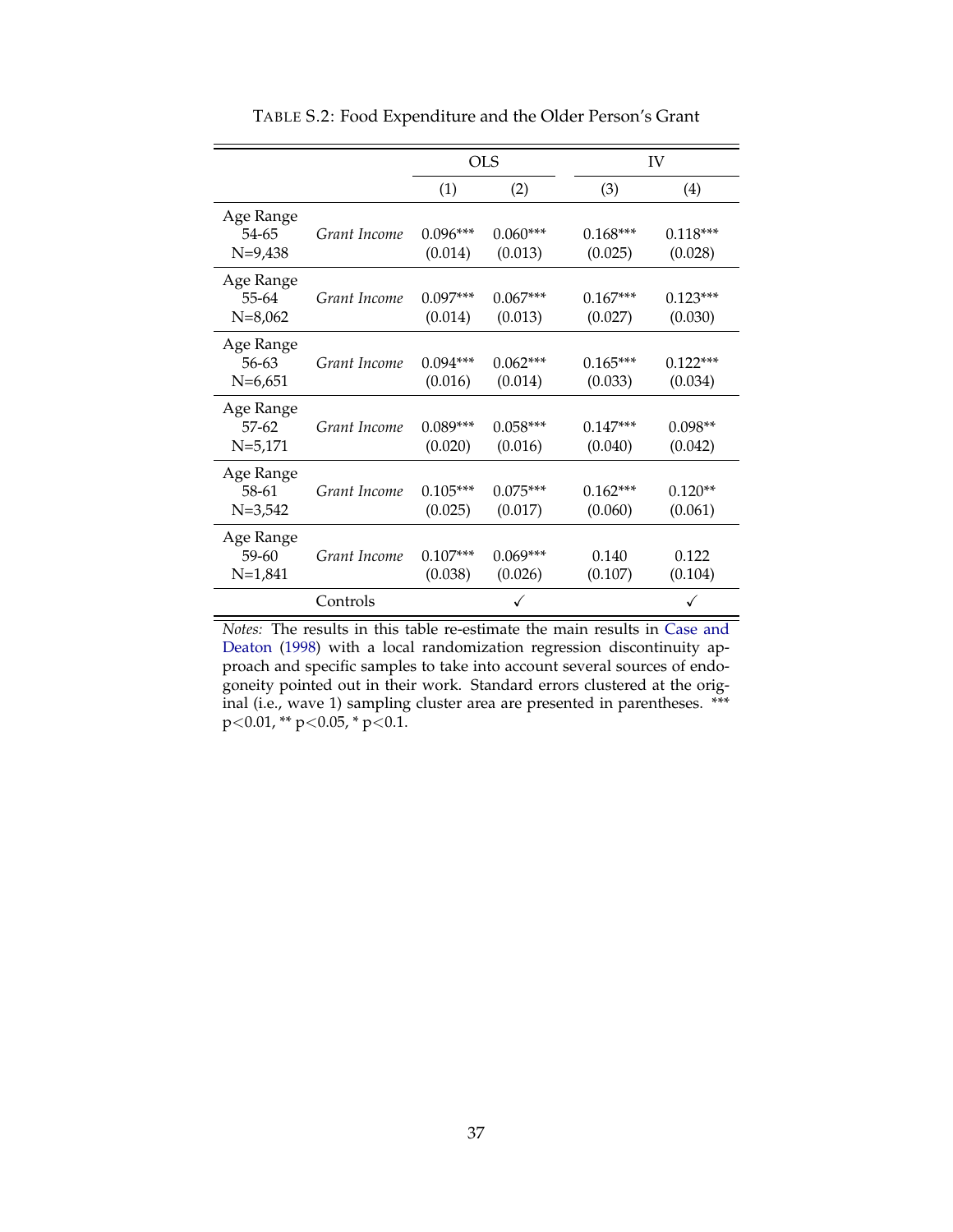<span id="page-37-0"></span>

|                                       |              | <b>OLS</b>            |                       |                       | IV                    |
|---------------------------------------|--------------|-----------------------|-----------------------|-----------------------|-----------------------|
|                                       |              | (1)                   | (2)                   | (3)                   | (4)                   |
| Age Range<br>54-65<br>$N=9,438$       | Grant Income | $0.096***$<br>(0.014) | $0.060***$<br>(0.013) | $0.168***$<br>(0.025) | $0.118***$<br>(0.028) |
| Age Range<br>55-64<br>$N=8,062$       | Grant Income | $0.097***$<br>(0.014) | $0.067***$<br>(0.013) | $0.167***$<br>(0.027) | $0.123***$<br>(0.030) |
| Age Range<br>56-63<br>$N=6,651$       | Grant Income | $0.094***$<br>(0.016) | $0.062***$<br>(0.014) | $0.165***$<br>(0.033) | $0.122***$<br>(0.034) |
| Age Range<br>$57 - 62$<br>$N = 5,171$ | Grant Income | $0.089***$<br>(0.020) | $0.058***$<br>(0.016) | $0.147***$<br>(0.040) | $0.098**$<br>(0.042)  |
| Age Range<br>58-61<br>$N = 3,542$     | Grant Income | $0.105***$<br>(0.025) | $0.075***$<br>(0.017) | $0.162***$<br>(0.060) | $0.120**$<br>(0.061)  |
| Age Range<br>59-60<br>$N=1,841$       | Grant Income | $0.107***$<br>(0.038) | $0.069***$<br>(0.026) | 0.140<br>(0.107)      | 0.122<br>(0.104)      |
|                                       | Controls     |                       |                       |                       | ✓                     |

TABLE S.2: Food Expenditure and the Older Person's Grant

*Notes:* The results in this table re-estimate the main results in [Case and](#page-25-0) [Deaton](#page-25-0) [\(1998\)](#page-25-0) with a local randomization regression discontinuity approach and specific samples to take into account several sources of endogoneity pointed out in their work. Standard errors clustered at the original (i.e., wave 1) sampling cluster area are presented in parentheses. \*\*\*  $p<0.01$ , \*\*  $p<0.05$ , \*  $p<0.1$ .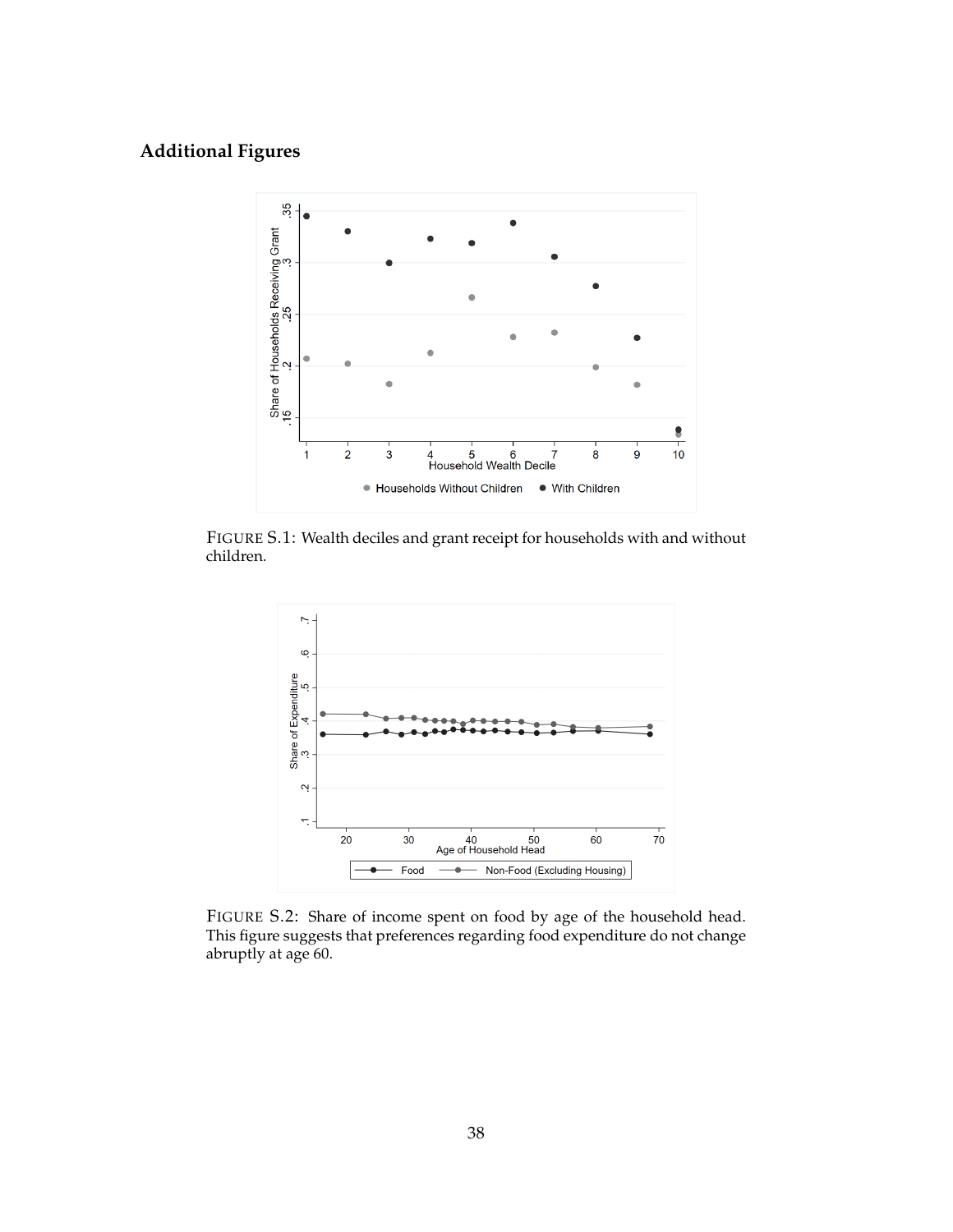# <span id="page-38-0"></span>**Additional Figures**



<span id="page-38-1"></span>FIGURE S.1: Wealth deciles and grant receipt for households with and without children.



FIGURE S.2: Share of income spent on food by age of the household head. This figure suggests that preferences regarding food expenditure do not change abruptly at age 60.